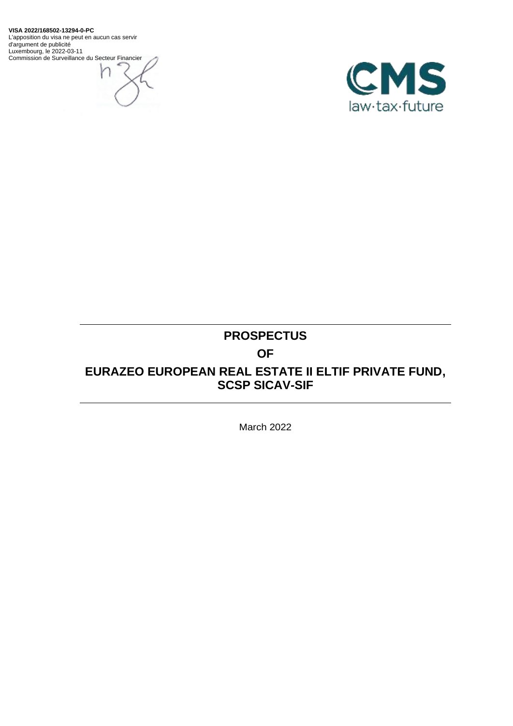**VISA 2022/168502-13294-0-PC** L'apposition du visa ne peut en aucun cas servir d'argument de publicité Luxembourg, le 2022-03-11 Commission de Surveillance du Secteur Financier





# **PROSPECTUS OF EURAZEO EUROPEAN REAL ESTATE II ELTIF PRIVATE FUND, SCSP SICAV-SIF**

March 2022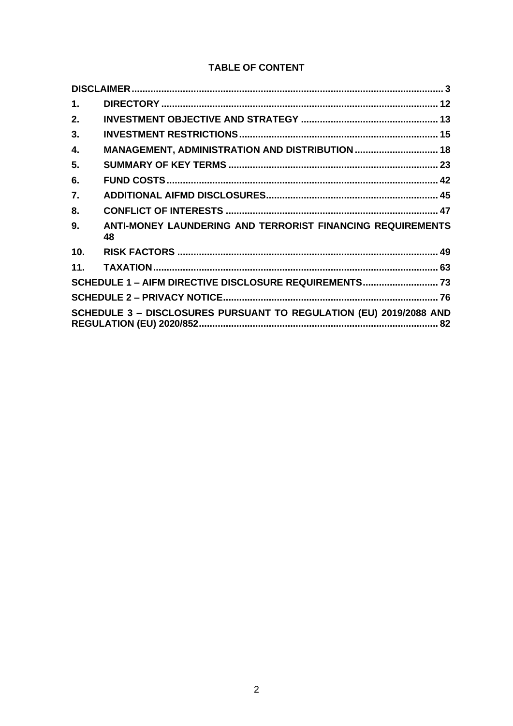# **TABLE OF CONTENT**

| 1.              |                                                                    |  |
|-----------------|--------------------------------------------------------------------|--|
| 2.              |                                                                    |  |
| 3.              |                                                                    |  |
| 4.              |                                                                    |  |
| 5.              |                                                                    |  |
| 6.              |                                                                    |  |
| 7.              |                                                                    |  |
| 8.              |                                                                    |  |
| 9.              | ANTI-MONEY LAUNDERING AND TERRORIST FINANCING REQUIREMENTS<br>48   |  |
| 10 <sub>1</sub> |                                                                    |  |
| 11.             |                                                                    |  |
|                 | SCHEDULE 1 - AIFM DIRECTIVE DISCLOSURE REQUIREMENTS 73             |  |
|                 |                                                                    |  |
|                 | SCHEDULE 3 - DISCLOSURES PURSUANT TO REGULATION (EU) 2019/2088 AND |  |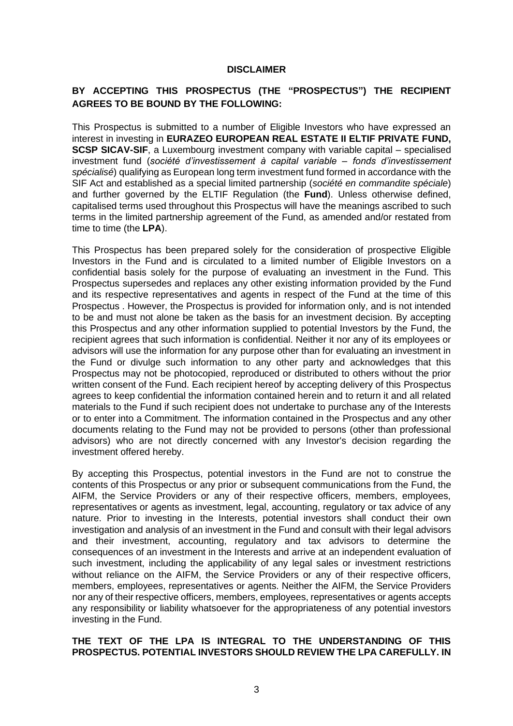#### **DISCLAIMER**

# <span id="page-2-0"></span>**BY ACCEPTING THIS PROSPECTUS (THE "PROSPECTUS") THE RECIPIENT AGREES TO BE BOUND BY THE FOLLOWING:**

This Prospectus is submitted to a number of Eligible Investors who have expressed an interest in investing in **EURAZEO EUROPEAN REAL ESTATE II ELTIF PRIVATE FUND, SCSP SICAV-SIF**, a Luxembourg investment company with variable capital – specialised investment fund (*société d'investissement à capital variable – fonds d'investissement spécialisé*) qualifying as European long term investment fund formed in accordance with the SIF Act and established as a special limited partnership (*société en commandite spéciale*) and further governed by the ELTIF Regulation (the **Fund**). Unless otherwise defined, capitalised terms used throughout this Prospectus will have the meanings ascribed to such terms in the limited partnership agreement of the Fund, as amended and/or restated from time to time (the **LPA**).

This Prospectus has been prepared solely for the consideration of prospective Eligible Investors in the Fund and is circulated to a limited number of Eligible Investors on a confidential basis solely for the purpose of evaluating an investment in the Fund. This Prospectus supersedes and replaces any other existing information provided by the Fund and its respective representatives and agents in respect of the Fund at the time of this Prospectus . However, the Prospectus is provided for information only, and is not intended to be and must not alone be taken as the basis for an investment decision. By accepting this Prospectus and any other information supplied to potential Investors by the Fund, the recipient agrees that such information is confidential. Neither it nor any of its employees or advisors will use the information for any purpose other than for evaluating an investment in the Fund or divulge such information to any other party and acknowledges that this Prospectus may not be photocopied, reproduced or distributed to others without the prior written consent of the Fund. Each recipient hereof by accepting delivery of this Prospectus agrees to keep confidential the information contained herein and to return it and all related materials to the Fund if such recipient does not undertake to purchase any of the Interests or to enter into a Commitment. The information contained in the Prospectus and any other documents relating to the Fund may not be provided to persons (other than professional advisors) who are not directly concerned with any Investor's decision regarding the investment offered hereby.

By accepting this Prospectus, potential investors in the Fund are not to construe the contents of this Prospectus or any prior or subsequent communications from the Fund, the AIFM, the Service Providers or any of their respective officers, members, employees, representatives or agents as investment, legal, accounting, regulatory or tax advice of any nature. Prior to investing in the Interests, potential investors shall conduct their own investigation and analysis of an investment in the Fund and consult with their legal advisors and their investment, accounting, regulatory and tax advisors to determine the consequences of an investment in the Interests and arrive at an independent evaluation of such investment, including the applicability of any legal sales or investment restrictions without reliance on the AIFM, the Service Providers or any of their respective officers, members, employees, representatives or agents. Neither the AIFM, the Service Providers nor any of their respective officers, members, employees, representatives or agents accepts any responsibility or liability whatsoever for the appropriateness of any potential investors investing in the Fund.

#### **THE TEXT OF THE LPA IS INTEGRAL TO THE UNDERSTANDING OF THIS PROSPECTUS. POTENTIAL INVESTORS SHOULD REVIEW THE LPA CAREFULLY. IN**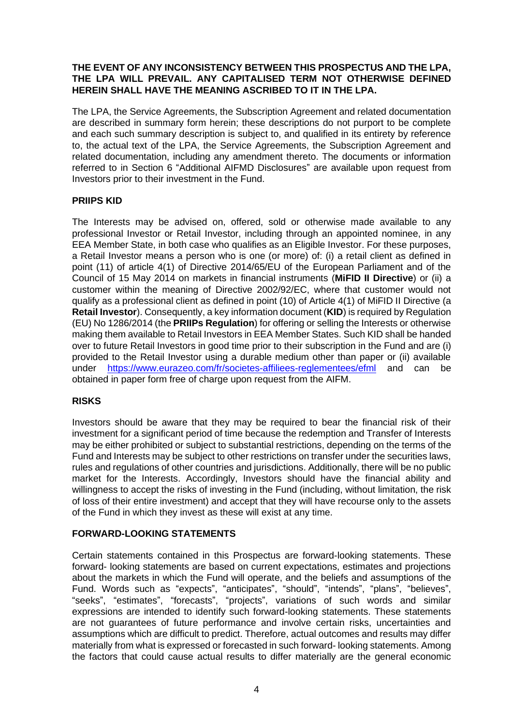# **THE EVENT OF ANY INCONSISTENCY BETWEEN THIS PROSPECTUS AND THE LPA, THE LPA WILL PREVAIL. ANY CAPITALISED TERM NOT OTHERWISE DEFINED HEREIN SHALL HAVE THE MEANING ASCRIBED TO IT IN THE LPA.**

The LPA, the Service Agreements, the Subscription Agreement and related documentation are described in summary form herein; these descriptions do not purport to be complete and each such summary description is subject to, and qualified in its entirety by reference to, the actual text of the LPA, the Service Agreements, the Subscription Agreement and related documentation, including any amendment thereto. The documents or information referred to in Section [6](#page-41-0) "Additional AIFMD Disclosures" are available upon request from Investors prior to their investment in the Fund.

# **PRIIPS KID**

The Interests may be advised on, offered, sold or otherwise made available to any professional Investor or Retail Investor, including through an appointed nominee, in any EEA Member State, in both case who qualifies as an Eligible Investor. For these purposes, a Retail Investor means a person who is one (or more) of: (i) a retail client as defined in point (11) of article 4(1) of Directive 2014/65/EU of the European Parliament and of the Council of 15 May 2014 on markets in financial instruments (**MiFID II Directive**) or (ii) a customer within the meaning of Directive 2002/92/EC, where that customer would not qualify as a professional client as defined in point (10) of Article 4(1) of MiFID II Directive (a **Retail Investor**). Consequently, a key information document (**KID**) is required by Regulation (EU) No 1286/2014 (the **PRIIPs Regulation**) for offering or selling the Interests or otherwise making them available to Retail Investors in EEA Member States. Such KID shall be handed over to future Retail Investors in good time prior to their subscription in the Fund and are (i) provided to the Retail Investor using a durable medium other than paper or (ii) available under <https://www.eurazeo.com/fr/societes-affiliees-reglementees/efml> and can be obtained in paper form free of charge upon request from the AIFM.

# **RISKS**

Investors should be aware that they may be required to bear the financial risk of their investment for a significant period of time because the redemption and Transfer of Interests may be either prohibited or subject to substantial restrictions, depending on the terms of the Fund and Interests may be subject to other restrictions on transfer under the securities laws, rules and regulations of other countries and jurisdictions. Additionally, there will be no public market for the Interests. Accordingly, Investors should have the financial ability and willingness to accept the risks of investing in the Fund (including, without limitation, the risk of loss of their entire investment) and accept that they will have recourse only to the assets of the Fund in which they invest as these will exist at any time.

# **FORWARD-LOOKING STATEMENTS**

Certain statements contained in this Prospectus are forward-looking statements. These forward- looking statements are based on current expectations, estimates and projections about the markets in which the Fund will operate, and the beliefs and assumptions of the Fund. Words such as "expects", "anticipates", "should", "intends", "plans", "believes", "seeks", "estimates", "forecasts", "projects", variations of such words and similar expressions are intended to identify such forward-looking statements. These statements are not guarantees of future performance and involve certain risks, uncertainties and assumptions which are difficult to predict. Therefore, actual outcomes and results may differ materially from what is expressed or forecasted in such forward- looking statements. Among the factors that could cause actual results to differ materially are the general economic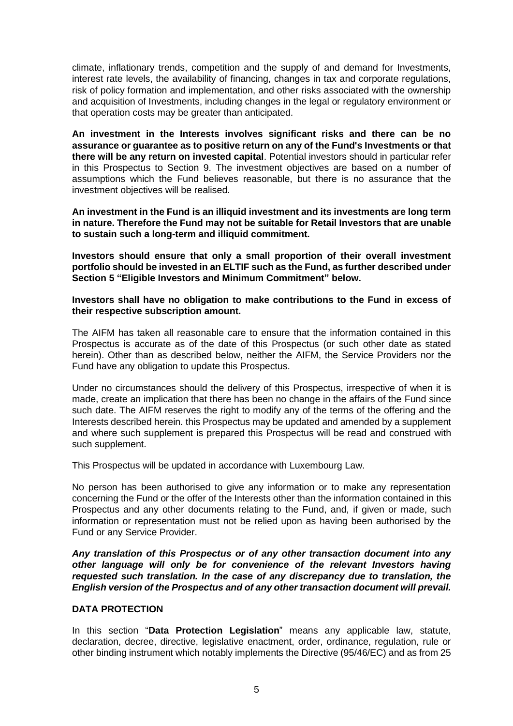climate, inflationary trends, competition and the supply of and demand for Investments, interest rate levels, the availability of financing, changes in tax and corporate regulations, risk of policy formation and implementation, and other risks associated with the ownership and acquisition of Investments, including changes in the legal or regulatory environment or that operation costs may be greater than anticipated.

**An investment in the Interests involves significant risks and there can be no assurance or guarantee as to positive return on any of the Fund's Investments or that there will be any return on invested capital**. Potential investors should in particular refer in this Prospectus to Section [9.](#page-47-0) The investment objectives are based on a number of assumptions which the Fund believes reasonable, but there is no assurance that the investment objectives will be realised.

**An investment in the Fund is an illiquid investment and its investments are long term in nature. Therefore the Fund may not be suitable for Retail Investors that are unable to sustain such a long-term and illiquid commitment.**

**Investors should ensure that only a small proportion of their overall investment portfolio should be invested in an ELTIF such as the Fund, as further described under Section [5](#page-22-0) "Eligible Investors and Minimum Commitment" below.**

**Investors shall have no obligation to make contributions to the Fund in excess of their respective subscription amount.**

The AIFM has taken all reasonable care to ensure that the information contained in this Prospectus is accurate as of the date of this Prospectus (or such other date as stated herein). Other than as described below, neither the AIFM, the Service Providers nor the Fund have any obligation to update this Prospectus.

Under no circumstances should the delivery of this Prospectus, irrespective of when it is made, create an implication that there has been no change in the affairs of the Fund since such date. The AIFM reserves the right to modify any of the terms of the offering and the Interests described herein. this Prospectus may be updated and amended by a supplement and where such supplement is prepared this Prospectus will be read and construed with such supplement.

This Prospectus will be updated in accordance with Luxembourg Law.

No person has been authorised to give any information or to make any representation concerning the Fund or the offer of the Interests other than the information contained in this Prospectus and any other documents relating to the Fund, and, if given or made, such information or representation must not be relied upon as having been authorised by the Fund or any Service Provider.

*Any translation of this Prospectus or of any other transaction document into any other language will only be for convenience of the relevant Investors having requested such translation. In the case of any discrepancy due to translation, the English version of the Prospectus and of any other transaction document will prevail.*

#### **DATA PROTECTION**

In this section "**Data Protection Legislation**" means any applicable law, statute, declaration, decree, directive, legislative enactment, order, ordinance, regulation, rule or other binding instrument which notably implements the Directive (95/46/EC) and as from 25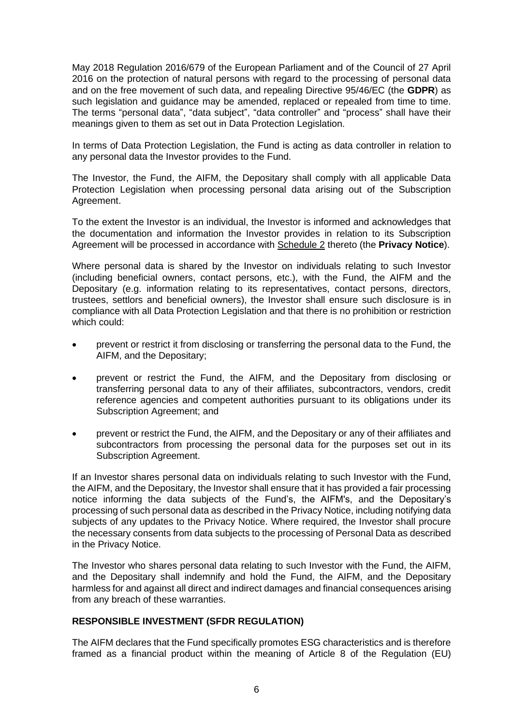May 2018 Regulation 2016/679 of the European Parliament and of the Council of 27 April 2016 on the protection of natural persons with regard to the processing of personal data and on the free movement of such data, and repealing Directive 95/46/EC (the **GDPR**) as such legislation and guidance may be amended, replaced or repealed from time to time. The terms "personal data", "data subject", "data controller" and "process" shall have their meanings given to them as set out in Data Protection Legislation.

In terms of Data Protection Legislation, the Fund is acting as data controller in relation to any personal data the Investor provides to the Fund.

The Investor, the Fund, the AIFM, the Depositary shall comply with all applicable Data Protection Legislation when processing personal data arising out of the Subscription Agreement.

To the extent the Investor is an individual, the Investor is informed and acknowledges that the documentation and information the Investor provides in relation to its Subscription Agreement will be processed in accordance with Schedule 2 thereto (the **Privacy Notice**).

Where personal data is shared by the Investor on individuals relating to such Investor (including beneficial owners, contact persons, etc.), with the Fund, the AIFM and the Depositary (e.g. information relating to its representatives, contact persons, directors, trustees, settlors and beneficial owners), the Investor shall ensure such disclosure is in compliance with all Data Protection Legislation and that there is no prohibition or restriction which could:

- prevent or restrict it from disclosing or transferring the personal data to the Fund, the AIFM, and the Depositary;
- prevent or restrict the Fund, the AIFM, and the Depositary from disclosing or transferring personal data to any of their affiliates, subcontractors, vendors, credit reference agencies and competent authorities pursuant to its obligations under its Subscription Agreement; and
- prevent or restrict the Fund, the AIFM, and the Depositary or any of their affiliates and subcontractors from processing the personal data for the purposes set out in its Subscription Agreement.

If an Investor shares personal data on individuals relating to such Investor with the Fund, the AIFM, and the Depositary, the Investor shall ensure that it has provided a fair processing notice informing the data subjects of the Fund's, the AIFM's, and the Depositary's processing of such personal data as described in the Privacy Notice, including notifying data subjects of any updates to the Privacy Notice. Where required, the Investor shall procure the necessary consents from data subjects to the processing of Personal Data as described in the Privacy Notice.

The Investor who shares personal data relating to such Investor with the Fund, the AIFM, and the Depositary shall indemnify and hold the Fund, the AIFM, and the Depositary harmless for and against all direct and indirect damages and financial consequences arising from any breach of these warranties.

# **RESPONSIBLE INVESTMENT (SFDR REGULATION)**

The AIFM declares that the Fund specifically promotes ESG characteristics and is therefore framed as a financial product within the meaning of Article 8 of the Regulation (EU)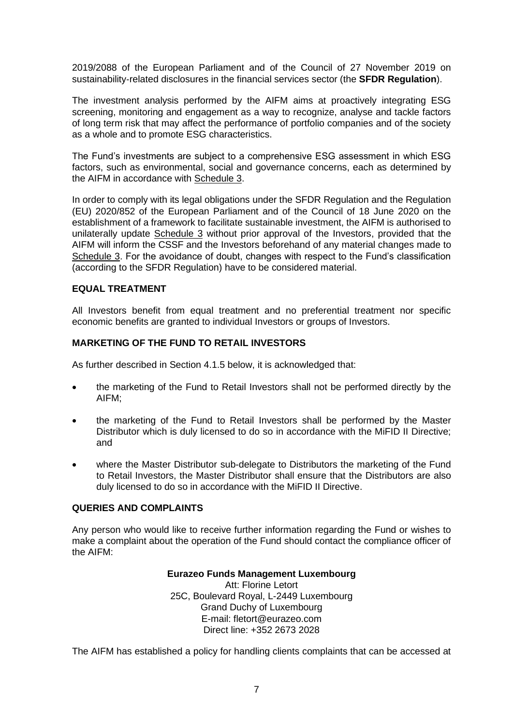2019/2088 of the European Parliament and of the Council of 27 November 2019 on sustainability‐related disclosures in the financial services sector (the **SFDR Regulation**).

The investment analysis performed by the AIFM aims at proactively integrating ESG screening, monitoring and engagement as a way to recognize, analyse and tackle factors of long term risk that may affect the performance of portfolio companies and of the society as a whole and to promote ESG characteristics.

The Fund's investments are subject to a comprehensive ESG assessment in which ESG factors, such as environmental, social and governance concerns, each as determined by the AIFM in accordance with Schedule 3.

In order to comply with its legal obligations under the SFDR Regulation and the Regulation (EU) 2020/852 of the European Parliament and of the Council of 18 June 2020 on the establishment of a framework to facilitate sustainable investment, the AIFM is authorised to unilaterally update Schedule 3 without prior approval of the Investors, provided that the AIFM will inform the CSSF and the Investors beforehand of any material changes made to Schedule 3. For the avoidance of doubt, changes with respect to the Fund's classification (according to the SFDR Regulation) have to be considered material.

#### **EQUAL TREATMENT**

All Investors benefit from equal treatment and no preferential treatment nor specific economic benefits are granted to individual Investors or groups of Investors.

# **MARKETING OF THE FUND TO RETAIL INVESTORS**

As further described in Section [4.1.5](#page-20-0) below, it is acknowledged that:

- the marketing of the Fund to Retail Investors shall not be performed directly by the AIFM;
- the marketing of the Fund to Retail Investors shall be performed by the Master Distributor which is duly licensed to do so in accordance with the MiFID II Directive; and
- where the Master Distributor sub-delegate to Distributors the marketing of the Fund to Retail Investors, the Master Distributor shall ensure that the Distributors are also duly licensed to do so in accordance with the MiFID II Directive.

# **QUERIES AND COMPLAINTS**

Any person who would like to receive further information regarding the Fund or wishes to make a complaint about the operation of the Fund should contact the compliance officer of the AIFM:

#### **Eurazeo Funds Management Luxembourg**

Att: Florine Letort 25C, Boulevard Royal, L-2449 Luxembourg Grand Duchy of Luxembourg E-mail: fletort@eurazeo.com Direct line: +352 2673 2028

The AIFM has established a policy for handling clients complaints that can be accessed at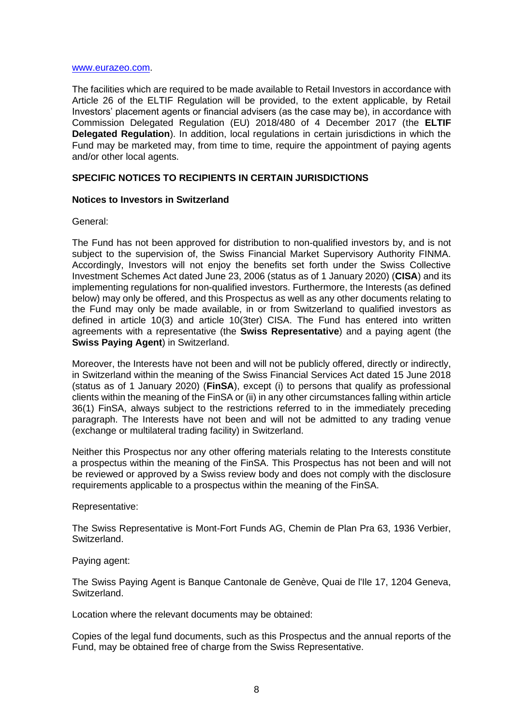#### [www.eurazeo.com.](http://www.eurazeo.com/)

The facilities which are required to be made available to Retail Investors in accordance with Article 26 of the ELTIF Regulation will be provided, to the extent applicable, by Retail Investors' placement agents or financial advisers (as the case may be), in accordance with Commission Delegated Regulation (EU) 2018/480 of 4 December 2017 (the **ELTIF Delegated Regulation**). In addition, local regulations in certain jurisdictions in which the Fund may be marketed may, from time to time, require the appointment of paying agents and/or other local agents.

#### **SPECIFIC NOTICES TO RECIPIENTS IN CERTAIN JURISDICTIONS**

#### **Notices to Investors in Switzerland**

#### General:

The Fund has not been approved for distribution to non-qualified investors by, and is not subject to the supervision of, the Swiss Financial Market Supervisory Authority FINMA. Accordingly, Investors will not enjoy the benefits set forth under the Swiss Collective Investment Schemes Act dated June 23, 2006 (status as of 1 January 2020) (**CISA**) and its implementing regulations for non-qualified investors. Furthermore, the Interests (as defined below) may only be offered, and this Prospectus as well as any other documents relating to the Fund may only be made available, in or from Switzerland to qualified investors as defined in article 10(3) and article 10(3ter) CISA. The Fund has entered into written agreements with a representative (the **Swiss Representative**) and a paying agent (the **Swiss Paying Agent**) in Switzerland.

Moreover, the Interests have not been and will not be publicly offered, directly or indirectly, in Switzerland within the meaning of the Swiss Financial Services Act dated 15 June 2018 (status as of 1 January 2020) (**FinSA**), except (i) to persons that qualify as professional clients within the meaning of the FinSA or (ii) in any other circumstances falling within article 36(1) FinSA, always subject to the restrictions referred to in the immediately preceding paragraph. The Interests have not been and will not be admitted to any trading venue (exchange or multilateral trading facility) in Switzerland.

Neither this Prospectus nor any other offering materials relating to the Interests constitute a prospectus within the meaning of the FinSA. This Prospectus has not been and will not be reviewed or approved by a Swiss review body and does not comply with the disclosure requirements applicable to a prospectus within the meaning of the FinSA.

Representative:

The Swiss Representative is Mont-Fort Funds AG, Chemin de Plan Pra 63, 1936 Verbier, Switzerland.

Paying agent:

The Swiss Paying Agent is Banque Cantonale de Genève, Quai de l'Ile 17, 1204 Geneva, Switzerland.

Location where the relevant documents may be obtained:

Copies of the legal fund documents, such as this Prospectus and the annual reports of the Fund, may be obtained free of charge from the Swiss Representative.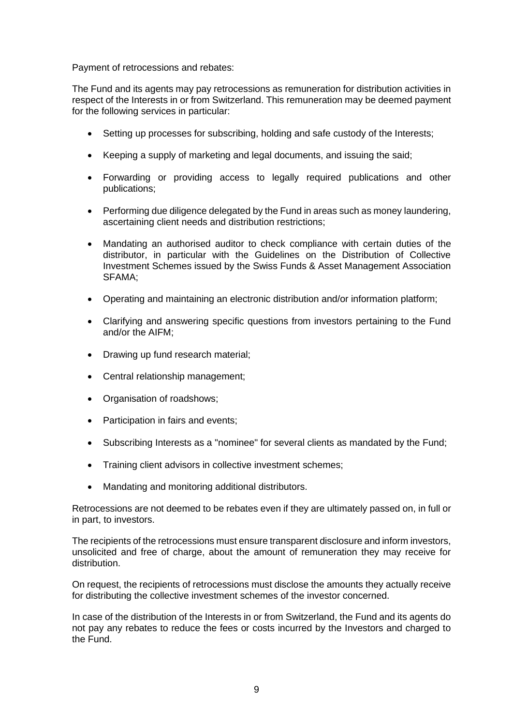Payment of retrocessions and rebates:

The Fund and its agents may pay retrocessions as remuneration for distribution activities in respect of the Interests in or from Switzerland. This remuneration may be deemed payment for the following services in particular:

- Setting up processes for subscribing, holding and safe custody of the Interests;
- Keeping a supply of marketing and legal documents, and issuing the said;
- Forwarding or providing access to legally required publications and other publications;
- Performing due diligence delegated by the Fund in areas such as money laundering, ascertaining client needs and distribution restrictions;
- Mandating an authorised auditor to check compliance with certain duties of the distributor, in particular with the Guidelines on the Distribution of Collective Investment Schemes issued by the Swiss Funds & Asset Management Association SFAMA;
- Operating and maintaining an electronic distribution and/or information platform;
- Clarifying and answering specific questions from investors pertaining to the Fund and/or the AIFM;
- Drawing up fund research material;
- Central relationship management;
- Organisation of roadshows;
- Participation in fairs and events;
- Subscribing Interests as a "nominee" for several clients as mandated by the Fund;
- Training client advisors in collective investment schemes;
- Mandating and monitoring additional distributors.

Retrocessions are not deemed to be rebates even if they are ultimately passed on, in full or in part, to investors.

The recipients of the retrocessions must ensure transparent disclosure and inform investors, unsolicited and free of charge, about the amount of remuneration they may receive for distribution.

On request, the recipients of retrocessions must disclose the amounts they actually receive for distributing the collective investment schemes of the investor concerned.

In case of the distribution of the Interests in or from Switzerland, the Fund and its agents do not pay any rebates to reduce the fees or costs incurred by the Investors and charged to the Fund.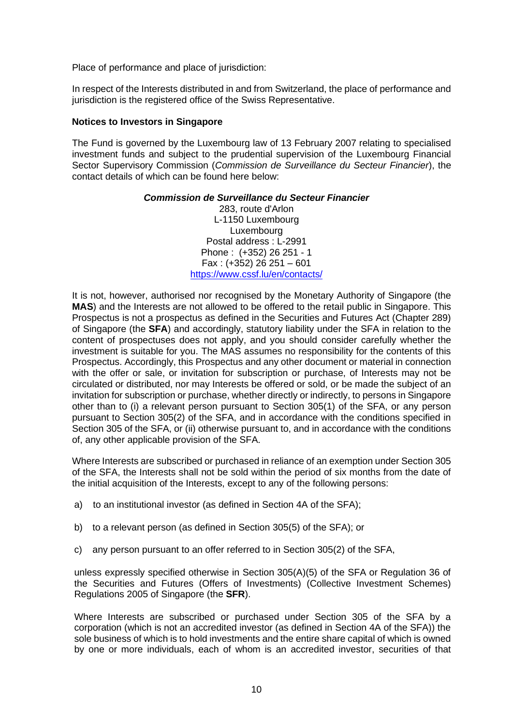Place of performance and place of jurisdiction:

In respect of the Interests distributed in and from Switzerland, the place of performance and jurisdiction is the registered office of the Swiss Representative.

#### **Notices to Investors in Singapore**

The Fund is governed by the Luxembourg law of 13 February 2007 relating to specialised investment funds and subject to the prudential supervision of the Luxembourg Financial Sector Supervisory Commission (*Commission de Surveillance du Secteur Financier*), the contact details of which can be found here below:

#### *Commission de Surveillance du Secteur Financier*

283, route d'Arlon L-1150 Luxembourg Luxembourg Postal address : L-2991 Phone : (+352) 26 251 - 1 Fax : (+352) 26 251 – 601 <https://www.cssf.lu/en/contacts/>

It is not, however, authorised nor recognised by the Monetary Authority of Singapore (the **MAS**) and the Interests are not allowed to be offered to the retail public in Singapore. This Prospectus is not a prospectus as defined in the Securities and Futures Act (Chapter 289) of Singapore (the **SFA**) and accordingly, statutory liability under the SFA in relation to the content of prospectuses does not apply, and you should consider carefully whether the investment is suitable for you. The MAS assumes no responsibility for the contents of this Prospectus. Accordingly, this Prospectus and any other document or material in connection with the offer or sale, or invitation for subscription or purchase, of Interests may not be circulated or distributed, nor may Interests be offered or sold, or be made the subject of an invitation for subscription or purchase, whether directly or indirectly, to persons in Singapore other than to (i) a relevant person pursuant to Section 305(1) of the SFA, or any person pursuant to Section 305(2) of the SFA, and in accordance with the conditions specified in Section 305 of the SFA, or (ii) otherwise pursuant to, and in accordance with the conditions of, any other applicable provision of the SFA.

Where Interests are subscribed or purchased in reliance of an exemption under Section 305 of the SFA, the Interests shall not be sold within the period of six months from the date of the initial acquisition of the Interests, except to any of the following persons:

- a) to an institutional investor (as defined in Section 4A of the SFA);
- b) to a relevant person (as defined in Section 305(5) of the SFA); or
- c) any person pursuant to an offer referred to in Section 305(2) of the SFA,

unless expressly specified otherwise in Section 305(A)(5) of the SFA or Regulation 36 of the Securities and Futures (Offers of Investments) (Collective Investment Schemes) Regulations 2005 of Singapore (the **SFR**).

Where Interests are subscribed or purchased under Section 305 of the SFA by a corporation (which is not an accredited investor (as defined in Section 4A of the SFA)) the sole business of which is to hold investments and the entire share capital of which is owned by one or more individuals, each of whom is an accredited investor, securities of that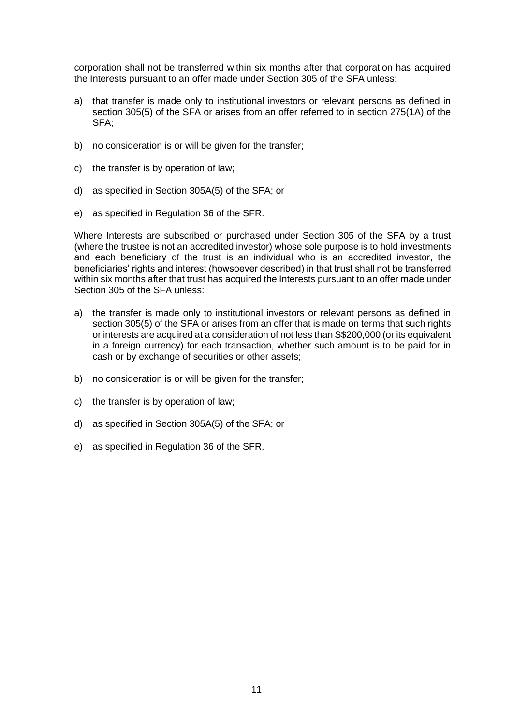corporation shall not be transferred within six months after that corporation has acquired the Interests pursuant to an offer made under Section 305 of the SFA unless:

- a) that transfer is made only to institutional investors or relevant persons as defined in section 305(5) of the SFA or arises from an offer referred to in section 275(1A) of the SFA;
- b) no consideration is or will be given for the transfer;
- c) the transfer is by operation of law;
- d) as specified in Section 305A(5) of the SFA; or
- e) as specified in Regulation 36 of the SFR.

Where Interests are subscribed or purchased under Section 305 of the SFA by a trust (where the trustee is not an accredited investor) whose sole purpose is to hold investments and each beneficiary of the trust is an individual who is an accredited investor, the beneficiaries' rights and interest (howsoever described) in that trust shall not be transferred within six months after that trust has acquired the Interests pursuant to an offer made under Section 305 of the SFA unless:

- a) the transfer is made only to institutional investors or relevant persons as defined in section 305(5) of the SFA or arises from an offer that is made on terms that such rights or interests are acquired at a consideration of not less than S\$200,000 (or its equivalent in a foreign currency) for each transaction, whether such amount is to be paid for in cash or by exchange of securities or other assets;
- b) no consideration is or will be given for the transfer;
- c) the transfer is by operation of law;
- d) as specified in Section 305A(5) of the SFA; or
- e) as specified in Regulation 36 of the SFR.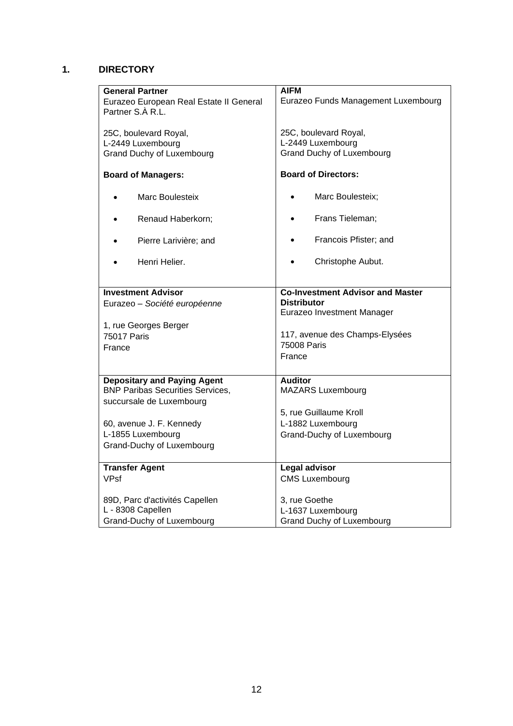# <span id="page-11-0"></span>**1. DIRECTORY**

| <b>General Partner</b>                  | AIFM                                    |  |
|-----------------------------------------|-----------------------------------------|--|
| Eurazeo European Real Estate II General | Eurazeo Funds Management Luxembourg     |  |
| Partner S.À R.L.                        |                                         |  |
|                                         |                                         |  |
|                                         |                                         |  |
| 25C, boulevard Royal,                   | 25C, boulevard Royal,                   |  |
| L-2449 Luxembourg                       | L-2449 Luxembourg                       |  |
| <b>Grand Duchy of Luxembourg</b>        | <b>Grand Duchy of Luxembourg</b>        |  |
|                                         |                                         |  |
| <b>Board of Managers:</b>               | <b>Board of Directors:</b>              |  |
|                                         |                                         |  |
|                                         |                                         |  |
| Marc Boulesteix                         | Marc Boulesteix;                        |  |
|                                         |                                         |  |
| Renaud Haberkorn;                       | Frans Tieleman;<br>$\bullet$            |  |
|                                         |                                         |  |
| Pierre Larivière; and                   | Francois Pfister; and                   |  |
|                                         |                                         |  |
|                                         |                                         |  |
| Henri Helier.                           | Christophe Aubut.                       |  |
|                                         |                                         |  |
|                                         |                                         |  |
| <b>Investment Advisor</b>               | <b>Co-Investment Advisor and Master</b> |  |
| Eurazeo - Société européenne            | <b>Distributor</b>                      |  |
|                                         | Eurazeo Investment Manager              |  |
|                                         |                                         |  |
| 1, rue Georges Berger                   |                                         |  |
| <b>75017 Paris</b>                      | 117, avenue des Champs-Elysées          |  |
| France                                  | 75008 Paris                             |  |
|                                         | France                                  |  |
|                                         |                                         |  |
|                                         |                                         |  |
| <b>Depositary and Paying Agent</b>      | <b>Auditor</b>                          |  |
| <b>BNP Paribas Securities Services,</b> | <b>MAZARS Luxembourg</b>                |  |
| succursale de Luxembourg                |                                         |  |
|                                         | 5, rue Guillaume Kroll                  |  |
|                                         |                                         |  |
| 60, avenue J. F. Kennedy                | L-1882 Luxembourg                       |  |
| L-1855 Luxembourg                       | Grand-Duchy of Luxembourg               |  |
| Grand-Duchy of Luxembourg               |                                         |  |
|                                         |                                         |  |
| <b>Transfer Agent</b>                   | <b>Legal advisor</b>                    |  |
|                                         |                                         |  |
| <b>VPsf</b>                             | <b>CMS Luxembourg</b>                   |  |
|                                         |                                         |  |
| 89D, Parc d'activités Capellen          | 3, rue Goethe                           |  |
| L - 8308 Capellen                       | L-1637 Luxembourg                       |  |
| Grand-Duchy of Luxembourg               | Grand Duchy of Luxembourg               |  |
|                                         |                                         |  |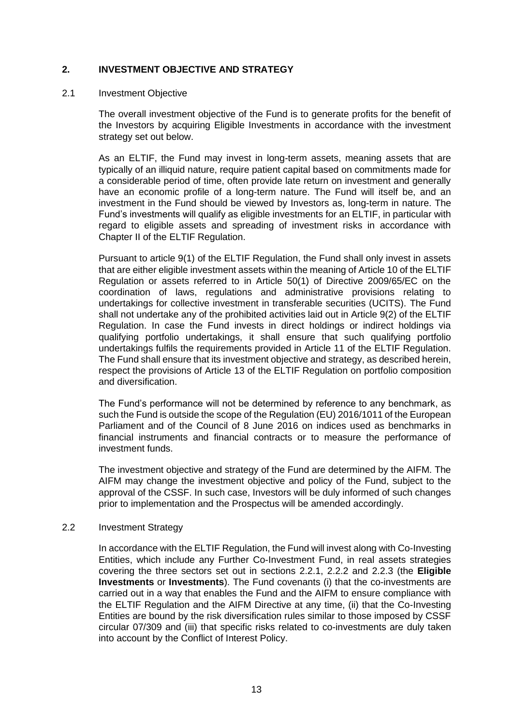# <span id="page-12-0"></span>**2. INVESTMENT OBJECTIVE AND STRATEGY**

#### 2.1 Investment Objective

The overall investment objective of the Fund is to generate profits for the benefit of the Investors by acquiring Eligible Investments in accordance with the investment strategy set out below.

As an ELTIF, the Fund may invest in long-term assets, meaning assets that are typically of an illiquid nature, require patient capital based on commitments made for a considerable period of time, often provide late return on investment and generally have an economic profile of a long-term nature. The Fund will itself be, and an investment in the Fund should be viewed by Investors as, long-term in nature. The Fund's investments will qualify as eligible investments for an ELTIF, in particular with regard to eligible assets and spreading of investment risks in accordance with Chapter II of the ELTIF Regulation.

Pursuant to article 9(1) of the ELTIF Regulation, the Fund shall only invest in assets that are either eligible investment assets within the meaning of Article 10 of the ELTIF Regulation or assets referred to in Article 50(1) of Directive 2009/65/EC on the coordination of laws, regulations and administrative provisions relating to undertakings for collective investment in transferable securities (UCITS). The Fund shall not undertake any of the prohibited activities laid out in Article 9(2) of the ELTIF Regulation. In case the Fund invests in direct holdings or indirect holdings via qualifying portfolio undertakings, it shall ensure that such qualifying portfolio undertakings fulfils the requirements provided in Article 11 of the ELTIF Regulation. The Fund shall ensure that its investment objective and strategy, as described herein, respect the provisions of Article 13 of the ELTIF Regulation on portfolio composition and diversification.

The Fund's performance will not be determined by reference to any benchmark, as such the Fund is outside the scope of the Regulation (EU) 2016/1011 of the European Parliament and of the Council of 8 June 2016 on indices used as benchmarks in financial instruments and financial contracts or to measure the performance of investment funds.

The investment objective and strategy of the Fund are determined by the AIFM. The AIFM may change the investment objective and policy of the Fund, subject to the approval of the CSSF. In such case, Investors will be duly informed of such changes prior to implementation and the Prospectus will be amended accordingly.

#### 2.2 Investment Strategy

In accordance with the ELTIF Regulation, the Fund will invest along with Co-Investing Entities, which include any Further Co-Investment Fund, in real assets strategies covering the three sectors set out in sections [2.2.1,](#page-13-0) [2.2.2](#page-13-1) and [2.2.3](#page-13-2) (the **Eligible Investments** or **Investments**). The Fund covenants (i) that the co-investments are carried out in a way that enables the Fund and the AIFM to ensure compliance with the ELTIF Regulation and the AIFM Directive at any time, (ii) that the Co-Investing Entities are bound by the risk diversification rules similar to those imposed by CSSF circular 07/309 and (iii) that specific risks related to co-investments are duly taken into account by the Conflict of Interest Policy.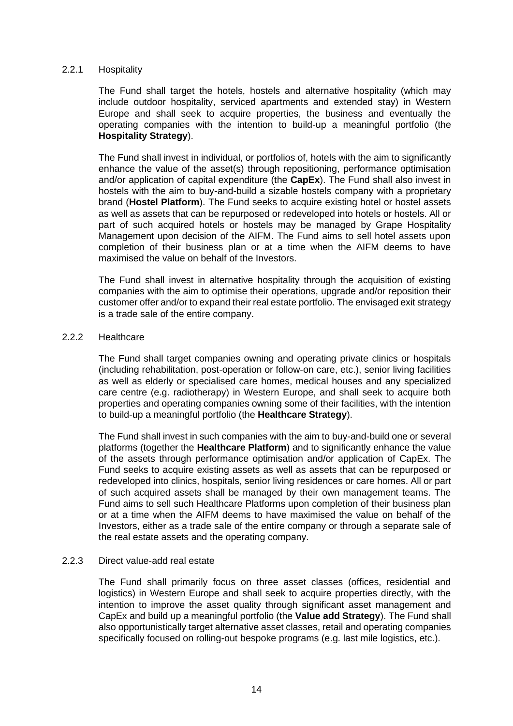#### <span id="page-13-0"></span>2.2.1 Hospitality

The Fund shall target the hotels, hostels and alternative hospitality (which may include outdoor hospitality, serviced apartments and extended stay) in Western Europe and shall seek to acquire properties, the business and eventually the operating companies with the intention to build-up a meaningful portfolio (the **Hospitality Strategy**).

The Fund shall invest in individual, or portfolios of, hotels with the aim to significantly enhance the value of the asset(s) through repositioning, performance optimisation and/or application of capital expenditure (the **CapEx**). The Fund shall also invest in hostels with the aim to buy-and-build a sizable hostels company with a proprietary brand (**Hostel Platform**). The Fund seeks to acquire existing hotel or hostel assets as well as assets that can be repurposed or redeveloped into hotels or hostels. All or part of such acquired hotels or hostels may be managed by Grape Hospitality Management upon decision of the AIFM. The Fund aims to sell hotel assets upon completion of their business plan or at a time when the AIFM deems to have maximised the value on behalf of the Investors.

The Fund shall invest in alternative hospitality through the acquisition of existing companies with the aim to optimise their operations, upgrade and/or reposition their customer offer and/or to expand their real estate portfolio. The envisaged exit strategy is a trade sale of the entire company.

#### <span id="page-13-1"></span>2.2.2 Healthcare

The Fund shall target companies owning and operating private clinics or hospitals (including rehabilitation, post-operation or follow-on care, etc.), senior living facilities as well as elderly or specialised care homes, medical houses and any specialized care centre (e.g. radiotherapy) in Western Europe, and shall seek to acquire both properties and operating companies owning some of their facilities, with the intention to build-up a meaningful portfolio (the **Healthcare Strategy**).

The Fund shall invest in such companies with the aim to buy-and-build one or several platforms (together the **Healthcare Platform**) and to significantly enhance the value of the assets through performance optimisation and/or application of CapEx. The Fund seeks to acquire existing assets as well as assets that can be repurposed or redeveloped into clinics, hospitals, senior living residences or care homes. All or part of such acquired assets shall be managed by their own management teams. The Fund aims to sell such Healthcare Platforms upon completion of their business plan or at a time when the AIFM deems to have maximised the value on behalf of the Investors, either as a trade sale of the entire company or through a separate sale of the real estate assets and the operating company.

#### <span id="page-13-2"></span>2.2.3 Direct value-add real estate

The Fund shall primarily focus on three asset classes (offices, residential and logistics) in Western Europe and shall seek to acquire properties directly, with the intention to improve the asset quality through significant asset management and CapEx and build up a meaningful portfolio (the **Value add Strategy**). The Fund shall also opportunistically target alternative asset classes, retail and operating companies specifically focused on rolling-out bespoke programs (e.g. last mile logistics, etc.).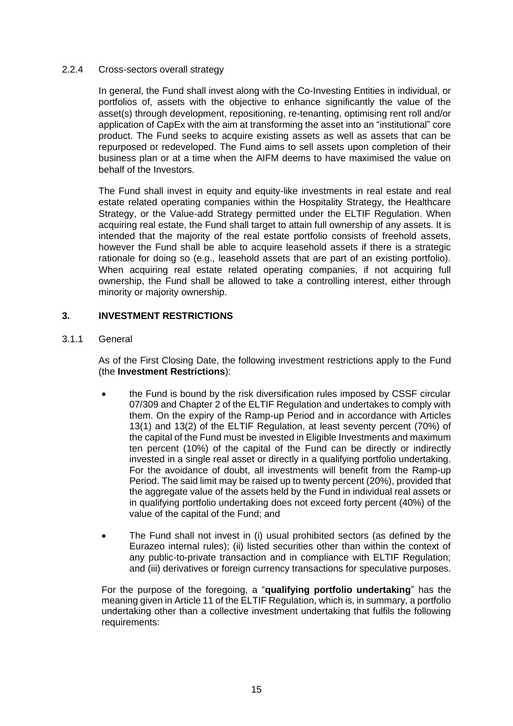# 2.2.4 Cross-sectors overall strategy

In general, the Fund shall invest along with the Co-Investing Entities in individual, or portfolios of, assets with the objective to enhance significantly the value of the asset(s) through development, repositioning, re-tenanting, optimising rent roll and/or application of CapEx with the aim at transforming the asset into an "institutional" core product. The Fund seeks to acquire existing assets as well as assets that can be repurposed or redeveloped. The Fund aims to sell assets upon completion of their business plan or at a time when the AIFM deems to have maximised the value on behalf of the Investors.

The Fund shall invest in equity and equity-like investments in real estate and real estate related operating companies within the Hospitality Strategy, the Healthcare Strategy, or the Value-add Strategy permitted under the ELTIF Regulation. When acquiring real estate, the Fund shall target to attain full ownership of any assets. It is intended that the majority of the real estate portfolio consists of freehold assets, however the Fund shall be able to acquire leasehold assets if there is a strategic rationale for doing so (e.g., leasehold assets that are part of an existing portfolio). When acquiring real estate related operating companies, if not acquiring full ownership, the Fund shall be allowed to take a controlling interest, either through minority or majority ownership.

# <span id="page-14-0"></span>**3. INVESTMENT RESTRICTIONS**

<span id="page-14-1"></span>3.1.1 General

As of the First Closing Date, the following investment restrictions apply to the Fund (the **Investment Restrictions**):

- the Fund is bound by the risk diversification rules imposed by CSSF circular 07/309 and Chapter 2 of the ELTIF Regulation and undertakes to comply with them. On the expiry of the Ramp-up Period and in accordance with Articles 13(1) and 13(2) of the ELTIF Regulation, at least seventy percent (70%) of the capital of the Fund must be invested in Eligible Investments and maximum ten percent (10%) of the capital of the Fund can be directly or indirectly invested in a single real asset or directly in a qualifying portfolio undertaking. For the avoidance of doubt, all investments will benefit from the Ramp-up Period. The said limit may be raised up to twenty percent (20%), provided that the aggregate value of the assets held by the Fund in individual real assets or in qualifying portfolio undertaking does not exceed forty percent (40%) of the value of the capital of the Fund; and
- The Fund shall not invest in (i) usual prohibited sectors (as defined by the Eurazeo internal rules); (ii) listed securities other than within the context of any public-to-private transaction and in compliance with ELTIF Regulation; and (iii) derivatives or foreign currency transactions for speculative purposes.

For the purpose of the foregoing, a "**qualifying portfolio undertaking**" has the meaning given in Article 11 of the ELTIF Regulation, which is, in summary, a portfolio undertaking other than a collective investment undertaking that fulfils the following requirements: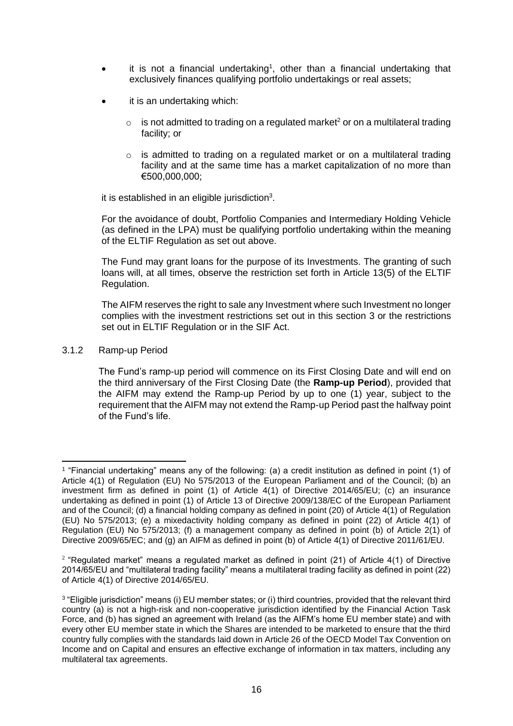- $\bullet$  it is not a financial undertaking<sup>1</sup>, other than a financial undertaking that exclusively finances qualifying portfolio undertakings or real assets;
- it is an undertaking which:
	- $\circ$  is not admitted to trading on a regulated market<sup>2</sup> or on a multilateral trading facility; or
	- $\circ$  is admitted to trading on a regulated market or on a multilateral trading facility and at the same time has a market capitalization of no more than €500,000,000;

it is established in an eligible jurisdiction<sup>3</sup>.

For the avoidance of doubt, Portfolio Companies and Intermediary Holding Vehicle (as defined in the LPA) must be qualifying portfolio undertaking within the meaning of the ELTIF Regulation as set out above.

The Fund may grant loans for the purpose of its Investments. The granting of such loans will, at all times, observe the restriction set forth in Article 13(5) of the ELTIF Regulation.

The AIFM reserves the right to sale any Investment where such Investment no longer complies with the investment restrictions set out in this section [3](#page-14-0) or the restrictions set out in ELTIF Regulation or in the SIF Act.

3.1.2 Ramp-up Period

The Fund's ramp-up period will commence on its First Closing Date and will end on the third anniversary of the First Closing Date (the **Ramp-up Period**), provided that the AIFM may extend the Ramp-up Period by up to one (1) year, subject to the requirement that the AIFM may not extend the Ramp-up Period past the halfway point of the Fund's life.

<sup>1</sup> "Financial undertaking" means any of the following: (a) a credit institution as defined in point (1) of Article 4(1) of Regulation (EU) No 575/2013 of the European Parliament and of the Council; (b) an investment firm as defined in point (1) of Article 4(1) of Directive 2014/65/EU; (c) an insurance undertaking as defined in point (1) of Article 13 of Directive 2009/138/EC of the European Parliament and of the Council; (d) a financial holding company as defined in point (20) of Article 4(1) of Regulation (EU) No 575/2013; (e) a mixedactivity holding company as defined in point (22) of Article 4(1) of Regulation (EU) No 575/2013; (f) a management company as defined in point (b) of Article 2(1) of Directive 2009/65/EC; and (g) an AIFM as defined in point (b) of Article 4(1) of Directive 2011/61/EU.

<sup>&</sup>lt;sup>2</sup> "Regulated market" means a regulated market as defined in point (21) of Article 4(1) of Directive 2014/65/EU and "multilateral trading facility" means a multilateral trading facility as defined in point (22) of Article 4(1) of Directive 2014/65/EU.

<sup>3</sup> "Eligible jurisdiction" means (i) EU member states; or (i) third countries, provided that the relevant third country (a) is not a high-risk and non-cooperative jurisdiction identified by the Financial Action Task Force, and (b) has signed an agreement with Ireland (as the AIFM's home EU member state) and with every other EU member state in which the Shares are intended to be marketed to ensure that the third country fully complies with the standards laid down in Article 26 of the OECD Model Tax Convention on Income and on Capital and ensures an effective exchange of information in tax matters, including any multilateral tax agreements.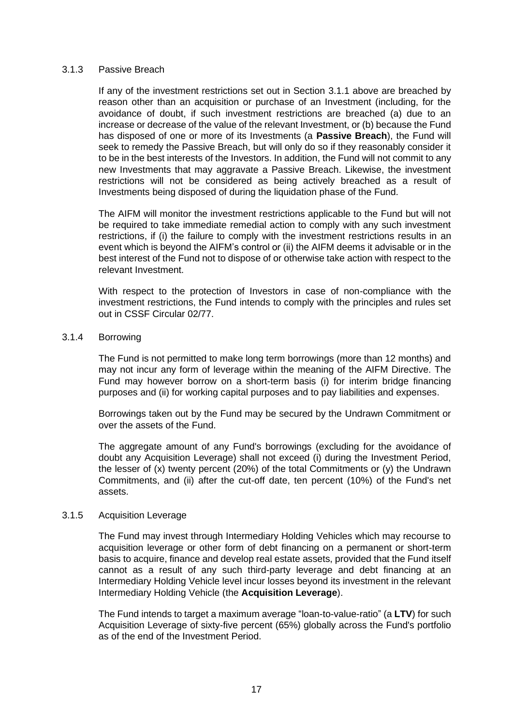#### 3.1.3 Passive Breach

If any of the investment restrictions set out in Section [3.1.1](#page-14-1) above are breached by reason other than an acquisition or purchase of an Investment (including, for the avoidance of doubt, if such investment restrictions are breached (a) due to an increase or decrease of the value of the relevant Investment, or (b) because the Fund has disposed of one or more of its Investments (a **Passive Breach**), the Fund will seek to remedy the Passive Breach, but will only do so if they reasonably consider it to be in the best interests of the Investors. In addition, the Fund will not commit to any new Investments that may aggravate a Passive Breach. Likewise, the investment restrictions will not be considered as being actively breached as a result of Investments being disposed of during the liquidation phase of the Fund.

The AIFM will monitor the investment restrictions applicable to the Fund but will not be required to take immediate remedial action to comply with any such investment restrictions, if (i) the failure to comply with the investment restrictions results in an event which is beyond the AIFM's control or (ii) the AIFM deems it advisable or in the best interest of the Fund not to dispose of or otherwise take action with respect to the relevant Investment.

With respect to the protection of Investors in case of non-compliance with the investment restrictions, the Fund intends to comply with the principles and rules set out in CSSF Circular 02/77.

#### <span id="page-16-0"></span>3.1.4 Borrowing

The Fund is not permitted to make long term borrowings (more than 12 months) and may not incur any form of leverage within the meaning of the AIFM Directive. The Fund may however borrow on a short-term basis (i) for interim bridge financing purposes and (ii) for working capital purposes and to pay liabilities and expenses.

Borrowings taken out by the Fund may be secured by the Undrawn Commitment or over the assets of the Fund.

The aggregate amount of any Fund's borrowings (excluding for the avoidance of doubt any Acquisition Leverage) shall not exceed (i) during the Investment Period, the lesser of  $(x)$  twenty percent (20%) of the total Commitments or  $(y)$  the Undrawn Commitments, and (ii) after the cut-off date, ten percent (10%) of the Fund's net assets.

#### 3.1.5 Acquisition Leverage

The Fund may invest through Intermediary Holding Vehicles which may recourse to acquisition leverage or other form of debt financing on a permanent or short-term basis to acquire, finance and develop real estate assets, provided that the Fund itself cannot as a result of any such third-party leverage and debt financing at an Intermediary Holding Vehicle level incur losses beyond its investment in the relevant Intermediary Holding Vehicle (the **Acquisition Leverage**).

The Fund intends to target a maximum average "loan-to-value-ratio" (a **LTV**) for such Acquisition Leverage of sixty-five percent (65%) globally across the Fund's portfolio as of the end of the Investment Period.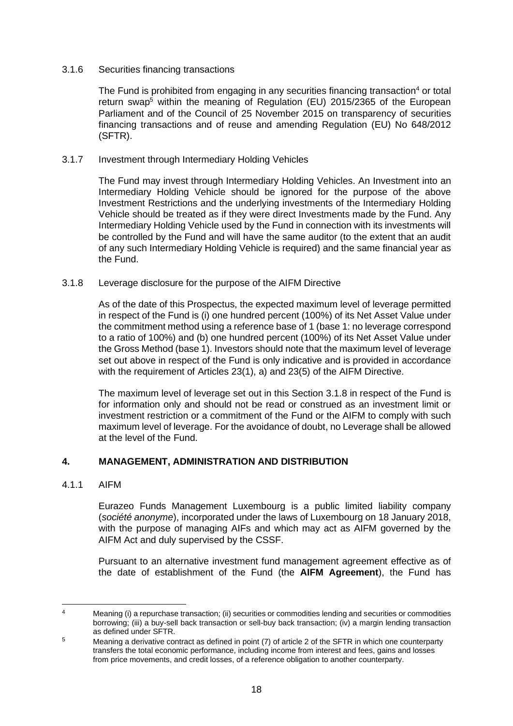# 3.1.6 Securities financing transactions

The Fund is prohibited from engaging in any securities financing transaction<sup>4</sup> or total return swap<sup>5</sup> within the meaning of Regulation (EU) 2015/2365 of the European Parliament and of the Council of 25 November 2015 on transparency of securities financing transactions and of reuse and amending Regulation (EU) No 648/2012 (SFTR).

#### 3.1.7 Investment through Intermediary Holding Vehicles

The Fund may invest through Intermediary Holding Vehicles. An Investment into an Intermediary Holding Vehicle should be ignored for the purpose of the above Investment Restrictions and the underlying investments of the Intermediary Holding Vehicle should be treated as if they were direct Investments made by the Fund. Any Intermediary Holding Vehicle used by the Fund in connection with its investments will be controlled by the Fund and will have the same auditor (to the extent that an audit of any such Intermediary Holding Vehicle is required) and the same financial year as the Fund.

#### <span id="page-17-1"></span>3.1.8 Leverage disclosure for the purpose of the AIFM Directive

As of the date of this Prospectus, the expected maximum level of leverage permitted in respect of the Fund is (i) one hundred percent (100%) of its Net Asset Value under the commitment method using a reference base of 1 (base 1: no leverage correspond to a ratio of 100%) and (b) one hundred percent (100%) of its Net Asset Value under the Gross Method (base 1). Investors should note that the maximum level of leverage set out above in respect of the Fund is only indicative and is provided in accordance with the requirement of Articles 23(1), a) and 23(5) of the AIFM Directive.

The maximum level of leverage set out in this Section [3.1.8](#page-17-1) in respect of the Fund is for information only and should not be read or construed as an investment limit or investment restriction or a commitment of the Fund or the AIFM to comply with such maximum level of leverage. For the avoidance of doubt, no Leverage shall be allowed at the level of the Fund.

# <span id="page-17-0"></span>**4. MANAGEMENT, ADMINISTRATION AND DISTRIBUTION**

#### 4.1.1 AIFM

Eurazeo Funds Management Luxembourg is a public limited liability company (*société anonyme*), incorporated under the laws of Luxembourg on 18 January 2018, with the purpose of managing AIFs and which may act as AIFM governed by the AIFM Act and duly supervised by the CSSF.

Pursuant to an alternative investment fund management agreement effective as of the date of establishment of the Fund (the **AIFM Agreement**), the Fund has

<sup>4</sup> Meaning (i) a repurchase transaction; (ii) securities or commodities lending and securities or commodities borrowing; (iii) a buy-sell back transaction or sell-buy back transaction; (iv) a margin lending transaction as defined under SFTR.

<sup>&</sup>lt;sup>5</sup> Meaning a derivative contract as defined in point (7) of article 2 of the SFTR in which one counterparty transfers the total economic performance, including income from interest and fees, gains and losses from price movements, and credit losses, of a reference obligation to another counterparty.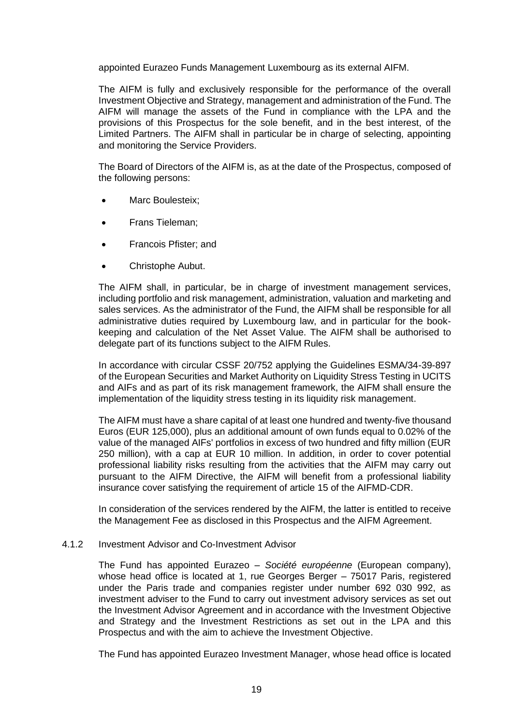appointed Eurazeo Funds Management Luxembourg as its external AIFM.

The AIFM is fully and exclusively responsible for the performance of the overall Investment Objective and Strategy, management and administration of the Fund. The AIFM will manage the assets of the Fund in compliance with the LPA and the provisions of this Prospectus for the sole benefit, and in the best interest, of the Limited Partners. The AIFM shall in particular be in charge of selecting, appointing and monitoring the Service Providers.

The Board of Directors of the AIFM is, as at the date of the Prospectus, composed of the following persons:

- Marc Boulesteix;
- Frans Tieleman;
- Francois Pfister; and
- Christophe Aubut.

The AIFM shall, in particular, be in charge of investment management services, including portfolio and risk management, administration, valuation and marketing and sales services. As the administrator of the Fund, the AIFM shall be responsible for all administrative duties required by Luxembourg law, and in particular for the bookkeeping and calculation of the Net Asset Value. The AIFM shall be authorised to delegate part of its functions subject to the AIFM Rules.

In accordance with circular CSSF 20/752 applying the Guidelines ESMA/34-39-897 of the European Securities and Market Authority on Liquidity Stress Testing in UCITS and AIFs and as part of its risk management framework, the AIFM shall ensure the implementation of the liquidity stress testing in its liquidity risk management.

The AIFM must have a share capital of at least one hundred and twenty-five thousand Euros (EUR 125,000), plus an additional amount of own funds equal to 0.02% of the value of the managed AIFs' portfolios in excess of two hundred and fifty million (EUR 250 million), with a cap at EUR 10 million. In addition, in order to cover potential professional liability risks resulting from the activities that the AIFM may carry out pursuant to the AIFM Directive, the AIFM will benefit from a professional liability insurance cover satisfying the requirement of article 15 of the AIFMD-CDR.

In consideration of the services rendered by the AIFM, the latter is entitled to receive the Management Fee as disclosed in this Prospectus and the AIFM Agreement.

#### 4.1.2 Investment Advisor and Co-Investment Advisor

The Fund has appointed Eurazeo – *Société européenne* (European company), whose head office is located at 1, rue Georges Berger - 75017 Paris, registered under the Paris trade and companies register under number 692 030 992, as investment adviser to the Fund to carry out investment advisory services as set out the Investment Advisor Agreement and in accordance with the Investment Objective and Strategy and the Investment Restrictions as set out in the LPA and this Prospectus and with the aim to achieve the Investment Objective.

The Fund has appointed Eurazeo Investment Manager, whose head office is located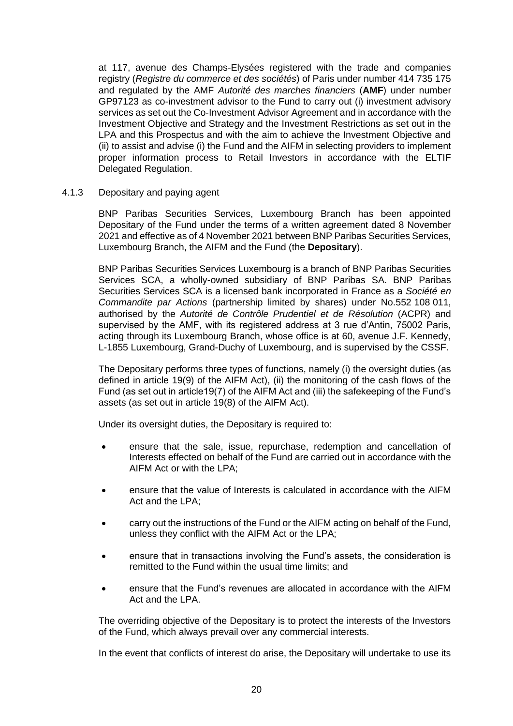at 117, avenue des Champs-Elysées registered with the trade and companies registry (*Registre du commerce et des sociétés*) of Paris under number 414 735 175 and regulated by the AMF *Autorité des marches financiers* (**AMF**) under number GP97123 as co-investment advisor to the Fund to carry out (i) investment advisory services as set out the Co-Investment Advisor Agreement and in accordance with the Investment Objective and Strategy and the Investment Restrictions as set out in the LPA and this Prospectus and with the aim to achieve the Investment Objective and (ii) to assist and advise (i) the Fund and the AIFM in selecting providers to implement proper information process to Retail Investors in accordance with the ELTIF Delegated Regulation.

#### 4.1.3 Depositary and paying agent

BNP Paribas Securities Services, Luxembourg Branch has been appointed Depositary of the Fund under the terms of a written agreement dated 8 November 2021 and effective as of 4 November 2021 between BNP Paribas Securities Services, Luxembourg Branch, the AIFM and the Fund (the **Depositary**).

BNP Paribas Securities Services Luxembourg is a branch of BNP Paribas Securities Services SCA, a wholly-owned subsidiary of BNP Paribas SA. BNP Paribas Securities Services SCA is a licensed bank incorporated in France as a *Société en Commandite par Actions* (partnership limited by shares) under No.552 108 011, authorised by the *Autorité de Contrôle Prudentiel et de Résolution* (ACPR) and supervised by the AMF, with its registered address at 3 rue d'Antin, 75002 Paris, acting through its Luxembourg Branch, whose office is at 60, avenue J.F. Kennedy, L-1855 Luxembourg, Grand-Duchy of Luxembourg, and is supervised by the CSSF.

The Depositary performs three types of functions, namely (i) the oversight duties (as defined in article 19(9) of the AIFM Act), (ii) the monitoring of the cash flows of the Fund (as set out in article19(7) of the AIFM Act and (iii) the safekeeping of the Fund's assets (as set out in article 19(8) of the AIFM Act).

Under its oversight duties, the Depositary is required to:

- ensure that the sale, issue, repurchase, redemption and cancellation of Interests effected on behalf of the Fund are carried out in accordance with the AIFM Act or with the LPA;
- ensure that the value of Interests is calculated in accordance with the AIFM Act and the LPA;
- carry out the instructions of the Fund or the AIFM acting on behalf of the Fund, unless they conflict with the AIFM Act or the LPA;
- ensure that in transactions involving the Fund's assets, the consideration is remitted to the Fund within the usual time limits; and
- ensure that the Fund's revenues are allocated in accordance with the AIFM Act and the LPA.

The overriding objective of the Depositary is to protect the interests of the Investors of the Fund, which always prevail over any commercial interests.

In the event that conflicts of interest do arise, the Depositary will undertake to use its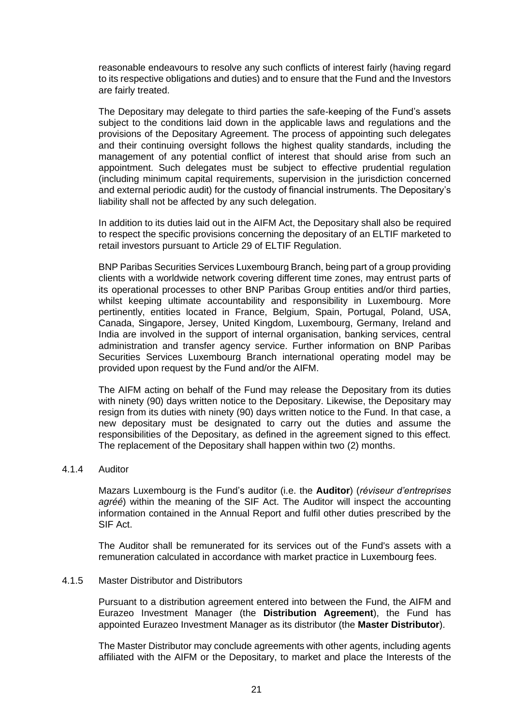reasonable endeavours to resolve any such conflicts of interest fairly (having regard to its respective obligations and duties) and to ensure that the Fund and the Investors are fairly treated.

The Depositary may delegate to third parties the safe-keeping of the Fund's assets subject to the conditions laid down in the applicable laws and regulations and the provisions of the Depositary Agreement. The process of appointing such delegates and their continuing oversight follows the highest quality standards, including the management of any potential conflict of interest that should arise from such an appointment. Such delegates must be subject to effective prudential regulation (including minimum capital requirements, supervision in the jurisdiction concerned and external periodic audit) for the custody of financial instruments. The Depositary's liability shall not be affected by any such delegation.

In addition to its duties laid out in the AIFM Act, the Depositary shall also be required to respect the specific provisions concerning the depositary of an ELTIF marketed to retail investors pursuant to Article 29 of ELTIF Regulation.

BNP Paribas Securities Services Luxembourg Branch, being part of a group providing clients with a worldwide network covering different time zones, may entrust parts of its operational processes to other BNP Paribas Group entities and/or third parties, whilst keeping ultimate accountability and responsibility in Luxembourg. More pertinently, entities located in France, Belgium, Spain, Portugal, Poland, USA, Canada, Singapore, Jersey, United Kingdom, Luxembourg, Germany, Ireland and India are involved in the support of internal organisation, banking services, central administration and transfer agency service. Further information on BNP Paribas Securities Services Luxembourg Branch international operating model may be provided upon request by the Fund and/or the AIFM.

The AIFM acting on behalf of the Fund may release the Depositary from its duties with ninety (90) days written notice to the Depositary. Likewise, the Depositary may resign from its duties with ninety (90) days written notice to the Fund. In that case, a new depositary must be designated to carry out the duties and assume the responsibilities of the Depositary, as defined in the agreement signed to this effect. The replacement of the Depositary shall happen within two (2) months.

#### 4.1.4 Auditor

Mazars Luxembourg is the Fund's auditor (i.e. the **Auditor**) (*réviseur d'entreprises agréé*) within the meaning of the SIF Act. The Auditor will inspect the accounting information contained in the Annual Report and fulfil other duties prescribed by the SIF Act.

The Auditor shall be remunerated for its services out of the Fund's assets with a remuneration calculated in accordance with market practice in Luxembourg fees.

#### <span id="page-20-0"></span>4.1.5 Master Distributor and Distributors

Pursuant to a distribution agreement entered into between the Fund, the AIFM and Eurazeo Investment Manager (the **Distribution Agreement**), the Fund has appointed Eurazeo Investment Manager as its distributor (the **Master Distributor**).

The Master Distributor may conclude agreements with other agents, including agents affiliated with the AIFM or the Depositary, to market and place the Interests of the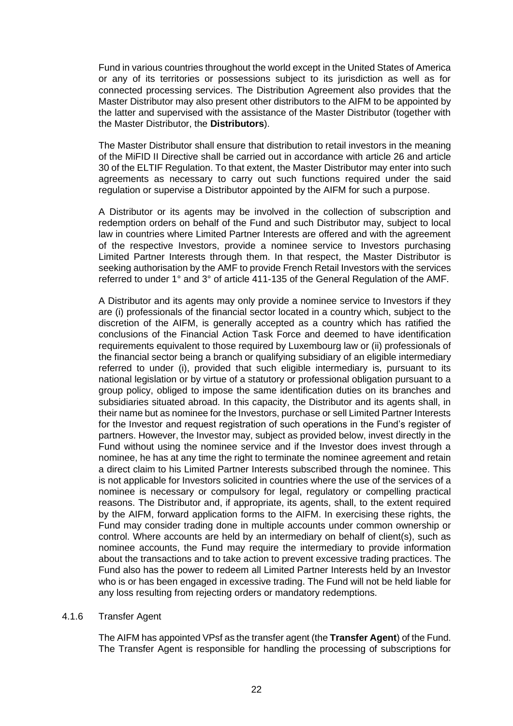Fund in various countries throughout the world except in the United States of America or any of its territories or possessions subject to its jurisdiction as well as for connected processing services. The Distribution Agreement also provides that the Master Distributor may also present other distributors to the AIFM to be appointed by the latter and supervised with the assistance of the Master Distributor (together with the Master Distributor, the **Distributors**).

The Master Distributor shall ensure that distribution to retail investors in the meaning of the MiFID II Directive shall be carried out in accordance with article 26 and article 30 of the ELTIF Regulation. To that extent, the Master Distributor may enter into such agreements as necessary to carry out such functions required under the said regulation or supervise a Distributor appointed by the AIFM for such a purpose.

A Distributor or its agents may be involved in the collection of subscription and redemption orders on behalf of the Fund and such Distributor may, subject to local law in countries where Limited Partner Interests are offered and with the agreement of the respective Investors, provide a nominee service to Investors purchasing Limited Partner Interests through them. In that respect, the Master Distributor is seeking authorisation by the AMF to provide French Retail Investors with the services referred to under 1° and 3° of article 411-135 of the General Regulation of the AMF.

A Distributor and its agents may only provide a nominee service to Investors if they are (i) professionals of the financial sector located in a country which, subject to the discretion of the AIFM, is generally accepted as a country which has ratified the conclusions of the Financial Action Task Force and deemed to have identification requirements equivalent to those required by Luxembourg law or (ii) professionals of the financial sector being a branch or qualifying subsidiary of an eligible intermediary referred to under (i), provided that such eligible intermediary is, pursuant to its national legislation or by virtue of a statutory or professional obligation pursuant to a group policy, obliged to impose the same identification duties on its branches and subsidiaries situated abroad. In this capacity, the Distributor and its agents shall, in their name but as nominee for the Investors, purchase or sell Limited Partner Interests for the Investor and request registration of such operations in the Fund's register of partners. However, the Investor may, subject as provided below, invest directly in the Fund without using the nominee service and if the Investor does invest through a nominee, he has at any time the right to terminate the nominee agreement and retain a direct claim to his Limited Partner Interests subscribed through the nominee. This is not applicable for Investors solicited in countries where the use of the services of a nominee is necessary or compulsory for legal, regulatory or compelling practical reasons. The Distributor and, if appropriate, its agents, shall, to the extent required by the AIFM, forward application forms to the AIFM. In exercising these rights, the Fund may consider trading done in multiple accounts under common ownership or control. Where accounts are held by an intermediary on behalf of client(s), such as nominee accounts, the Fund may require the intermediary to provide information about the transactions and to take action to prevent excessive trading practices. The Fund also has the power to redeem all Limited Partner Interests held by an Investor who is or has been engaged in excessive trading. The Fund will not be held liable for any loss resulting from rejecting orders or mandatory redemptions.

#### 4.1.6 Transfer Agent

The AIFM has appointed VPsf as the transfer agent (the **Transfer Agent**) of the Fund. The Transfer Agent is responsible for handling the processing of subscriptions for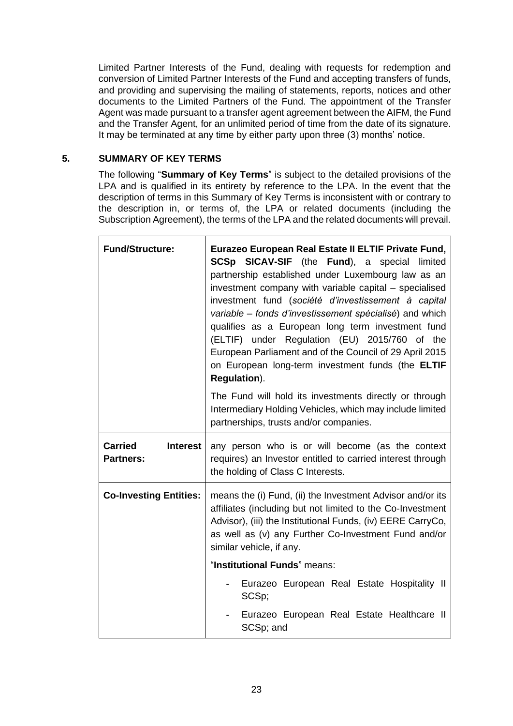Limited Partner Interests of the Fund, dealing with requests for redemption and conversion of Limited Partner Interests of the Fund and accepting transfers of funds, and providing and supervising the mailing of statements, reports, notices and other documents to the Limited Partners of the Fund. The appointment of the Transfer Agent was made pursuant to a transfer agent agreement between the AIFM, the Fund and the Transfer Agent, for an unlimited period of time from the date of its signature. It may be terminated at any time by either party upon three (3) months' notice.

# <span id="page-22-0"></span>**5. SUMMARY OF KEY TERMS**

The following "**Summary of Key Terms**" is subject to the detailed provisions of the LPA and is qualified in its entirety by reference to the LPA. In the event that the description of terms in this Summary of Key Terms is inconsistent with or contrary to the description in, or terms of, the LPA or related documents (including the Subscription Agreement), the terms of the LPA and the related documents will prevail.

| <b>Fund/Structure:</b>                                | Eurazeo European Real Estate II ELTIF Private Fund,<br><b>SCSp SICAV-SIF</b> (the <b>Fund</b> ), a special<br>limited<br>partnership established under Luxembourg law as an<br>investment company with variable capital – specialised<br>investment fund (société d'investissement à capital<br>variable – fonds d'investissement spécialisé) and which<br>qualifies as a European long term investment fund<br>(ELTIF) under Regulation (EU) 2015/760 of the<br>European Parliament and of the Council of 29 April 2015<br>on European long-term investment funds (the ELTIF<br>Regulation). |
|-------------------------------------------------------|-----------------------------------------------------------------------------------------------------------------------------------------------------------------------------------------------------------------------------------------------------------------------------------------------------------------------------------------------------------------------------------------------------------------------------------------------------------------------------------------------------------------------------------------------------------------------------------------------|
|                                                       | The Fund will hold its investments directly or through<br>Intermediary Holding Vehicles, which may include limited<br>partnerships, trusts and/or companies.                                                                                                                                                                                                                                                                                                                                                                                                                                  |
| <b>Carried</b><br><b>Interest</b><br><b>Partners:</b> | any person who is or will become (as the context<br>requires) an Investor entitled to carried interest through<br>the holding of Class C Interests.                                                                                                                                                                                                                                                                                                                                                                                                                                           |
| <b>Co-Investing Entities:</b>                         | means the (i) Fund, (ii) the Investment Advisor and/or its<br>affiliates (including but not limited to the Co-Investment<br>Advisor), (iii) the Institutional Funds, (iv) EERE CarryCo,<br>as well as (v) any Further Co-Investment Fund and/or<br>similar vehicle, if any.                                                                                                                                                                                                                                                                                                                   |
|                                                       | "Institutional Funds" means:                                                                                                                                                                                                                                                                                                                                                                                                                                                                                                                                                                  |
|                                                       | Eurazeo European Real Estate Hospitality II<br>SCSp;                                                                                                                                                                                                                                                                                                                                                                                                                                                                                                                                          |
|                                                       | Eurazeo European Real Estate Healthcare II<br>SCSp; and                                                                                                                                                                                                                                                                                                                                                                                                                                                                                                                                       |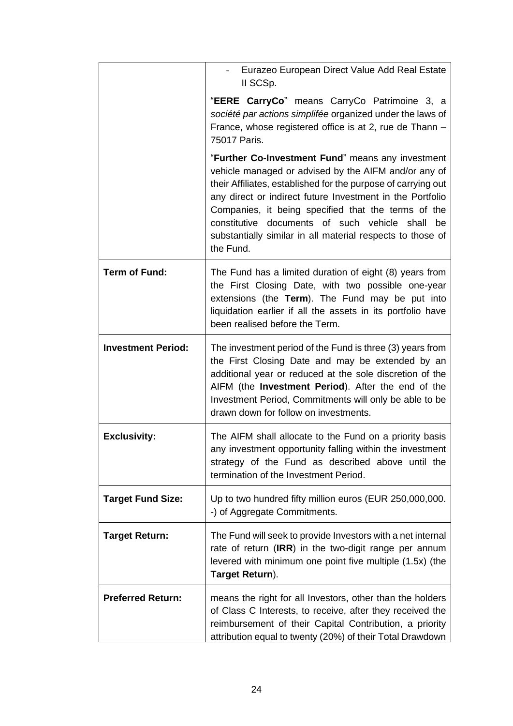|                           | Eurazeo European Direct Value Add Real Estate<br>II SCSp.                                                                                                                                                                                                                                                                                                                                                                       |
|---------------------------|---------------------------------------------------------------------------------------------------------------------------------------------------------------------------------------------------------------------------------------------------------------------------------------------------------------------------------------------------------------------------------------------------------------------------------|
|                           | "EERE CarryCo" means CarryCo Patrimoine 3, a<br>société par actions simplifée organized under the laws of<br>France, whose registered office is at 2, rue de Thann -<br>75017 Paris.                                                                                                                                                                                                                                            |
|                           | "Further Co-Investment Fund" means any investment<br>vehicle managed or advised by the AIFM and/or any of<br>their Affiliates, established for the purpose of carrying out<br>any direct or indirect future Investment in the Portfolio<br>Companies, it being specified that the terms of the<br>constitutive documents of such vehicle shall<br>be<br>substantially similar in all material respects to those of<br>the Fund. |
| <b>Term of Fund:</b>      | The Fund has a limited duration of eight (8) years from<br>the First Closing Date, with two possible one-year<br>extensions (the Term). The Fund may be put into<br>liquidation earlier if all the assets in its portfolio have<br>been realised before the Term.                                                                                                                                                               |
| <b>Investment Period:</b> | The investment period of the Fund is three (3) years from<br>the First Closing Date and may be extended by an<br>additional year or reduced at the sole discretion of the<br>AIFM (the <b>Investment Period</b> ). After the end of the<br>Investment Period, Commitments will only be able to be<br>drawn down for follow on investments.                                                                                      |
| <b>Exclusivity:</b>       | The AIFM shall allocate to the Fund on a priority basis<br>any investment opportunity falling within the investment<br>strategy of the Fund as described above until the<br>termination of the Investment Period.                                                                                                                                                                                                               |
| <b>Target Fund Size:</b>  | Up to two hundred fifty million euros (EUR 250,000,000.<br>-) of Aggregate Commitments.                                                                                                                                                                                                                                                                                                                                         |
| <b>Target Return:</b>     | The Fund will seek to provide Investors with a net internal<br>rate of return (IRR) in the two-digit range per annum<br>levered with minimum one point five multiple (1.5x) (the<br>Target Return).                                                                                                                                                                                                                             |
| <b>Preferred Return:</b>  | means the right for all Investors, other than the holders<br>of Class C Interests, to receive, after they received the<br>reimbursement of their Capital Contribution, a priority<br>attribution equal to twenty (20%) of their Total Drawdown                                                                                                                                                                                  |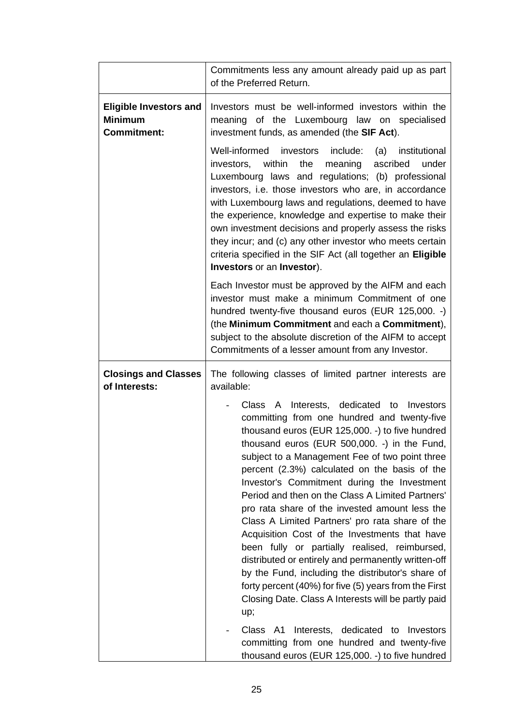|                                                                       | Commitments less any amount already paid up as part<br>of the Preferred Return.                                                                                                                                                                                                                                                                                                                                                                                                                                                                                                                                                                                                                                                                                                                                                                                                                                                          |
|-----------------------------------------------------------------------|------------------------------------------------------------------------------------------------------------------------------------------------------------------------------------------------------------------------------------------------------------------------------------------------------------------------------------------------------------------------------------------------------------------------------------------------------------------------------------------------------------------------------------------------------------------------------------------------------------------------------------------------------------------------------------------------------------------------------------------------------------------------------------------------------------------------------------------------------------------------------------------------------------------------------------------|
| <b>Eligible Investors and</b><br><b>Minimum</b><br><b>Commitment:</b> | Investors must be well-informed investors within the<br>meaning of the Luxembourg law on specialised<br>investment funds, as amended (the SIF Act).                                                                                                                                                                                                                                                                                                                                                                                                                                                                                                                                                                                                                                                                                                                                                                                      |
|                                                                       | Well-informed investors include:<br>(a) institutional<br>within<br>investors,<br>the<br>meaning<br>ascribed<br>under<br>Luxembourg laws and regulations; (b) professional<br>investors, i.e. those investors who are, in accordance<br>with Luxembourg laws and regulations, deemed to have<br>the experience, knowledge and expertise to make their<br>own investment decisions and properly assess the risks<br>they incur; and (c) any other investor who meets certain<br>criteria specified in the SIF Act (all together an Eligible<br>Investors or an Investor).                                                                                                                                                                                                                                                                                                                                                                  |
|                                                                       | Each Investor must be approved by the AIFM and each<br>investor must make a minimum Commitment of one<br>hundred twenty-five thousand euros (EUR 125,000. -)<br>(the Minimum Commitment and each a Commitment),<br>subject to the absolute discretion of the AIFM to accept<br>Commitments of a lesser amount from any Investor.                                                                                                                                                                                                                                                                                                                                                                                                                                                                                                                                                                                                         |
| <b>Closings and Classes</b><br>of Interests:                          | The following classes of limited partner interests are<br>available:                                                                                                                                                                                                                                                                                                                                                                                                                                                                                                                                                                                                                                                                                                                                                                                                                                                                     |
|                                                                       | Class A Interests, dedicated to Investors<br>committing from one hundred and twenty-five<br>thousand euros (EUR 125,000. -) to five hundred<br>thousand euros (EUR 500,000. -) in the Fund,<br>subject to a Management Fee of two point three<br>percent (2.3%) calculated on the basis of the<br>Investor's Commitment during the Investment<br>Period and then on the Class A Limited Partners'<br>pro rata share of the invested amount less the<br>Class A Limited Partners' pro rata share of the<br>Acquisition Cost of the Investments that have<br>been fully or partially realised, reimbursed,<br>distributed or entirely and permanently written-off<br>by the Fund, including the distributor's share of<br>forty percent (40%) for five (5) years from the First<br>Closing Date. Class A Interests will be partly paid<br>up;<br>Class A1 Interests, dedicated to Investors<br>committing from one hundred and twenty-five |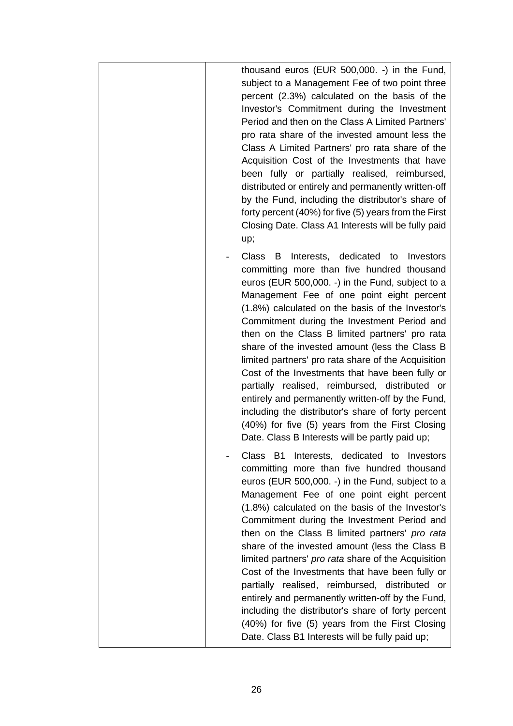| thousand euros (EUR 500,000. -) in the Fund,<br>subject to a Management Fee of two point three<br>percent (2.3%) calculated on the basis of the<br>Investor's Commitment during the Investment<br>Period and then on the Class A Limited Partners'<br>pro rata share of the invested amount less the<br>Class A Limited Partners' pro rata share of the<br>Acquisition Cost of the Investments that have<br>been fully or partially realised, reimbursed,<br>distributed or entirely and permanently written-off<br>by the Fund, including the distributor's share of<br>forty percent (40%) for five (5) years from the First<br>Closing Date. Class A1 Interests will be fully paid<br>up;                                                                                          |
|---------------------------------------------------------------------------------------------------------------------------------------------------------------------------------------------------------------------------------------------------------------------------------------------------------------------------------------------------------------------------------------------------------------------------------------------------------------------------------------------------------------------------------------------------------------------------------------------------------------------------------------------------------------------------------------------------------------------------------------------------------------------------------------|
| Interests, dedicated<br>Class B<br>Investors<br>to<br>committing more than five hundred thousand<br>euros (EUR 500,000. -) in the Fund, subject to a<br>Management Fee of one point eight percent<br>(1.8%) calculated on the basis of the Investor's<br>Commitment during the Investment Period and<br>then on the Class B limited partners' pro rata<br>share of the invested amount (less the Class B<br>limited partners' pro rata share of the Acquisition<br>Cost of the Investments that have been fully or<br>partially realised, reimbursed, distributed or<br>entirely and permanently written-off by the Fund,<br>including the distributor's share of forty percent<br>(40%) for five (5) years from the First Closing<br>Date. Class B Interests will be partly paid up; |
| Interests, dedicated to Investors<br>Class B1<br>committing more than five hundred thousand<br>euros (EUR 500,000. -) in the Fund, subject to a<br>Management Fee of one point eight percent<br>(1.8%) calculated on the basis of the Investor's<br>Commitment during the Investment Period and<br>then on the Class B limited partners' pro rata<br>share of the invested amount (less the Class B<br>limited partners' pro rata share of the Acquisition<br>Cost of the Investments that have been fully or<br>partially realised, reimbursed, distributed or<br>entirely and permanently written-off by the Fund,<br>including the distributor's share of forty percent<br>(40%) for five (5) years from the First Closing<br>Date. Class B1 Interests will be fully paid up;      |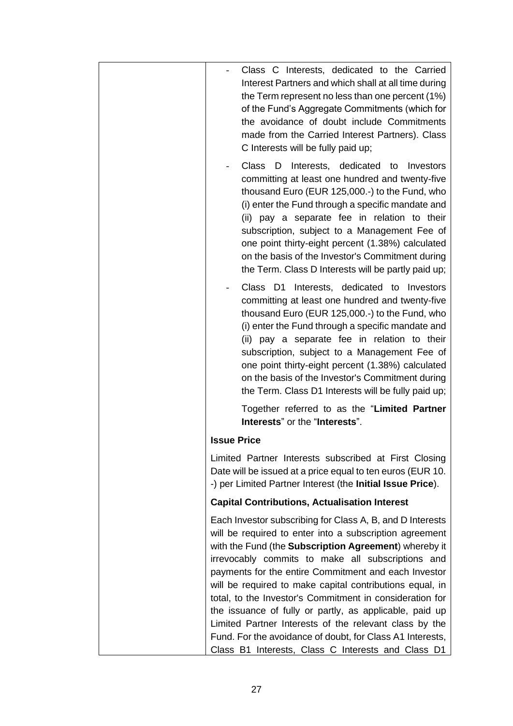| Class C Interests, dedicated to the Carried<br>Interest Partners and which shall at all time during<br>the Term represent no less than one percent (1%)<br>of the Fund's Aggregate Commitments (which for<br>the avoidance of doubt include Commitments<br>made from the Carried Interest Partners). Class<br>C Interests will be fully paid up;                                                                                                                       |
|------------------------------------------------------------------------------------------------------------------------------------------------------------------------------------------------------------------------------------------------------------------------------------------------------------------------------------------------------------------------------------------------------------------------------------------------------------------------|
| Class D<br>Interests, dedicated to Investors<br>committing at least one hundred and twenty-five<br>thousand Euro (EUR 125,000.-) to the Fund, who<br>(i) enter the Fund through a specific mandate and<br>(ii) pay a separate fee in relation to their<br>subscription, subject to a Management Fee of<br>one point thirty-eight percent (1.38%) calculated<br>on the basis of the Investor's Commitment during<br>the Term. Class D Interests will be partly paid up; |
| Class D1 Interests, dedicated to Investors<br>committing at least one hundred and twenty-five<br>thousand Euro (EUR 125,000.-) to the Fund, who<br>(i) enter the Fund through a specific mandate and<br>(ii) pay a separate fee in relation to their<br>subscription, subject to a Management Fee of<br>one point thirty-eight percent (1.38%) calculated<br>on the basis of the Investor's Commitment during<br>the Term. Class D1 Interests will be fully paid up;   |
| Together referred to as the "Limited Partner<br>Interests" or the "Interests".                                                                                                                                                                                                                                                                                                                                                                                         |
| <b>Issue Price</b>                                                                                                                                                                                                                                                                                                                                                                                                                                                     |
| Limited Partner Interests subscribed at First Closing<br>Date will be issued at a price equal to ten euros (EUR 10.<br>-) per Limited Partner Interest (the Initial Issue Price).                                                                                                                                                                                                                                                                                      |
| <b>Capital Contributions, Actualisation Interest</b>                                                                                                                                                                                                                                                                                                                                                                                                                   |
| Each Investor subscribing for Class A, B, and D Interests<br>will be required to enter into a subscription agreement<br>with the Fund (the Subscription Agreement) whereby it<br>irrevocably commits to make all subscriptions and<br>payments for the entire Commitment and each Investor<br>will be required to make capital contributions equal, in<br>total, to the Investor's Commitment in consideration for                                                     |
| the issuance of fully or partly, as applicable, paid up<br>Limited Partner Interests of the relevant class by the<br>Fund. For the avoidance of doubt, for Class A1 Interests,<br>Class B1 Interests, Class C Interests and Class D1                                                                                                                                                                                                                                   |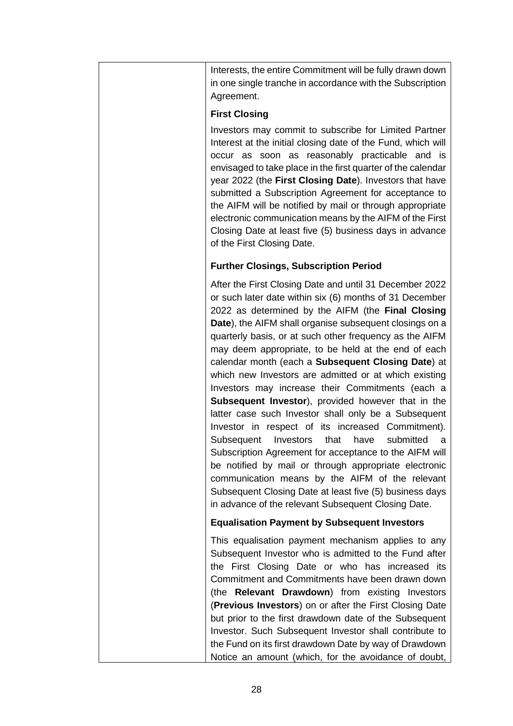| Interests, the entire Commitment will be fully drawn down<br>in one single tranche in accordance with the Subscription<br>Agreement.                                                                                                                                                                                                                                                                                                                                                                                                                                                                                                                                                                                                                                                                                                                                                                                                                                                                                                                 |
|------------------------------------------------------------------------------------------------------------------------------------------------------------------------------------------------------------------------------------------------------------------------------------------------------------------------------------------------------------------------------------------------------------------------------------------------------------------------------------------------------------------------------------------------------------------------------------------------------------------------------------------------------------------------------------------------------------------------------------------------------------------------------------------------------------------------------------------------------------------------------------------------------------------------------------------------------------------------------------------------------------------------------------------------------|
| <b>First Closing</b>                                                                                                                                                                                                                                                                                                                                                                                                                                                                                                                                                                                                                                                                                                                                                                                                                                                                                                                                                                                                                                 |
| Investors may commit to subscribe for Limited Partner<br>Interest at the initial closing date of the Fund, which will<br>occur as soon as reasonably practicable and is<br>envisaged to take place in the first quarter of the calendar<br>year 2022 (the First Closing Date). Investors that have<br>submitted a Subscription Agreement for acceptance to<br>the AIFM will be notified by mail or through appropriate<br>electronic communication means by the AIFM of the First<br>Closing Date at least five (5) business days in advance<br>of the First Closing Date.                                                                                                                                                                                                                                                                                                                                                                                                                                                                           |
| <b>Further Closings, Subscription Period</b>                                                                                                                                                                                                                                                                                                                                                                                                                                                                                                                                                                                                                                                                                                                                                                                                                                                                                                                                                                                                         |
| After the First Closing Date and until 31 December 2022<br>or such later date within six (6) months of 31 December<br>2022 as determined by the AIFM (the Final Closing<br>Date), the AIFM shall organise subsequent closings on a<br>quarterly basis, or at such other frequency as the AIFM<br>may deem appropriate, to be held at the end of each<br>calendar month (each a Subsequent Closing Date) at<br>which new Investors are admitted or at which existing<br>Investors may increase their Commitments (each a<br><b>Subsequent Investor</b> ), provided however that in the<br>latter case such Investor shall only be a Subsequent<br>Investor in respect of its increased Commitment).<br>submitted<br>Subsequent Investors<br>that<br>have<br>a<br>Subscription Agreement for acceptance to the AIFM will<br>be notified by mail or through appropriate electronic<br>communication means by the AIFM of the relevant<br>Subsequent Closing Date at least five (5) business days<br>in advance of the relevant Subsequent Closing Date. |
| <b>Equalisation Payment by Subsequent Investors</b>                                                                                                                                                                                                                                                                                                                                                                                                                                                                                                                                                                                                                                                                                                                                                                                                                                                                                                                                                                                                  |
| This equalisation payment mechanism applies to any<br>Subsequent Investor who is admitted to the Fund after<br>the First Closing Date or who has increased its<br>Commitment and Commitments have been drawn down<br>(the Relevant Drawdown) from existing Investors<br>(Previous Investors) on or after the First Closing Date<br>but prior to the first drawdown date of the Subsequent<br>Investor. Such Subsequent Investor shall contribute to<br>the Fund on its first drawdown Date by way of Drawdown<br>Notice an amount (which, for the avoidance of doubt,                                                                                                                                                                                                                                                                                                                                                                                                                                                                                |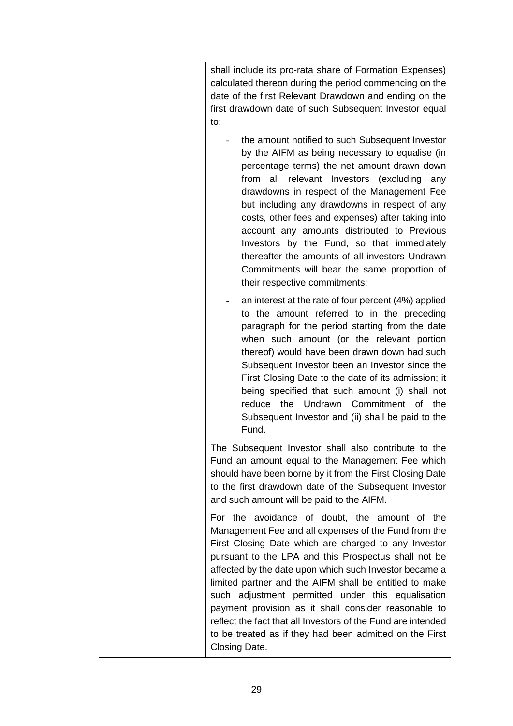| shall include its pro-rata share of Formation Expenses)                                                                                                                                                                                                                                                                                                                                                                                                                                                                                                                                            |
|----------------------------------------------------------------------------------------------------------------------------------------------------------------------------------------------------------------------------------------------------------------------------------------------------------------------------------------------------------------------------------------------------------------------------------------------------------------------------------------------------------------------------------------------------------------------------------------------------|
| calculated thereon during the period commencing on the                                                                                                                                                                                                                                                                                                                                                                                                                                                                                                                                             |
| date of the first Relevant Drawdown and ending on the                                                                                                                                                                                                                                                                                                                                                                                                                                                                                                                                              |
| first drawdown date of such Subsequent Investor equal                                                                                                                                                                                                                                                                                                                                                                                                                                                                                                                                              |
| to:                                                                                                                                                                                                                                                                                                                                                                                                                                                                                                                                                                                                |
| the amount notified to such Subsequent Investor<br>by the AIFM as being necessary to equalise (in<br>percentage terms) the net amount drawn down<br>from all relevant Investors (excluding<br>any<br>drawdowns in respect of the Management Fee<br>but including any drawdowns in respect of any<br>costs, other fees and expenses) after taking into<br>account any amounts distributed to Previous<br>Investors by the Fund, so that immediately<br>thereafter the amounts of all investors Undrawn<br>Commitments will bear the same proportion of<br>their respective commitments;             |
| an interest at the rate of four percent (4%) applied<br>to the amount referred to in the preceding<br>paragraph for the period starting from the date<br>when such amount (or the relevant portion<br>thereof) would have been drawn down had such<br>Subsequent Investor been an Investor since the<br>First Closing Date to the date of its admission; it<br>being specified that such amount (i) shall not<br>Undrawn Commitment of<br>the<br>reduce<br>the<br>Subsequent Investor and (ii) shall be paid to the<br>Fund.                                                                       |
| The Subsequent Investor shall also contribute to the<br>Fund an amount equal to the Management Fee which<br>should have been borne by it from the First Closing Date<br>to the first drawdown date of the Subsequent Investor<br>and such amount will be paid to the AIFM.                                                                                                                                                                                                                                                                                                                         |
| For the avoidance of doubt, the amount of the<br>Management Fee and all expenses of the Fund from the<br>First Closing Date which are charged to any Investor<br>pursuant to the LPA and this Prospectus shall not be<br>affected by the date upon which such Investor became a<br>limited partner and the AIFM shall be entitled to make<br>such adjustment permitted under this equalisation<br>payment provision as it shall consider reasonable to<br>reflect the fact that all Investors of the Fund are intended<br>to be treated as if they had been admitted on the First<br>Closing Date. |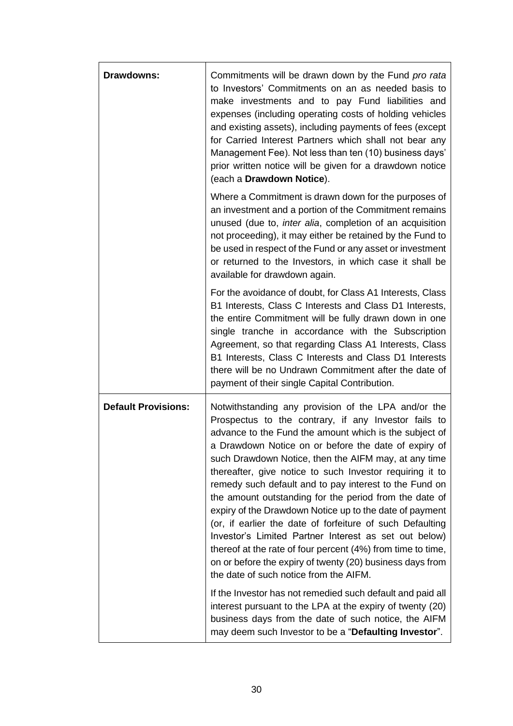| <b>Drawdowns:</b>          | Commitments will be drawn down by the Fund pro rata<br>to Investors' Commitments on an as needed basis to<br>make investments and to pay Fund liabilities and<br>expenses (including operating costs of holding vehicles<br>and existing assets), including payments of fees (except<br>for Carried Interest Partners which shall not bear any<br>Management Fee). Not less than ten (10) business days'<br>prior written notice will be given for a drawdown notice<br>(each a Drawdown Notice).                                                                                                                                                                                                                                                                                                                                                                                          |
|----------------------------|--------------------------------------------------------------------------------------------------------------------------------------------------------------------------------------------------------------------------------------------------------------------------------------------------------------------------------------------------------------------------------------------------------------------------------------------------------------------------------------------------------------------------------------------------------------------------------------------------------------------------------------------------------------------------------------------------------------------------------------------------------------------------------------------------------------------------------------------------------------------------------------------|
|                            | Where a Commitment is drawn down for the purposes of<br>an investment and a portion of the Commitment remains<br>unused (due to, <i>inter alia</i> , completion of an acquisition<br>not proceeding), it may either be retained by the Fund to<br>be used in respect of the Fund or any asset or investment<br>or returned to the Investors, in which case it shall be<br>available for drawdown again.                                                                                                                                                                                                                                                                                                                                                                                                                                                                                    |
|                            | For the avoidance of doubt, for Class A1 Interests, Class<br>B1 Interests, Class C Interests and Class D1 Interests,<br>the entire Commitment will be fully drawn down in one<br>single tranche in accordance with the Subscription<br>Agreement, so that regarding Class A1 Interests, Class<br>B1 Interests, Class C Interests and Class D1 Interests<br>there will be no Undrawn Commitment after the date of<br>payment of their single Capital Contribution.                                                                                                                                                                                                                                                                                                                                                                                                                          |
| <b>Default Provisions:</b> | Notwithstanding any provision of the LPA and/or the<br>Prospectus to the contrary, if any Investor fails to<br>advance to the Fund the amount which is the subject of<br>a Drawdown Notice on or before the date of expiry of<br>such Drawdown Notice, then the AIFM may, at any time<br>thereafter, give notice to such Investor requiring it to<br>remedy such default and to pay interest to the Fund on<br>the amount outstanding for the period from the date of<br>expiry of the Drawdown Notice up to the date of payment<br>(or, if earlier the date of forfeiture of such Defaulting<br>Investor's Limited Partner Interest as set out below)<br>thereof at the rate of four percent (4%) from time to time,<br>on or before the expiry of twenty (20) business days from<br>the date of such notice from the AIFM.<br>If the Investor has not remedied such default and paid all |
|                            | interest pursuant to the LPA at the expiry of twenty (20)<br>business days from the date of such notice, the AIFM<br>may deem such Investor to be a "Defaulting Investor".                                                                                                                                                                                                                                                                                                                                                                                                                                                                                                                                                                                                                                                                                                                 |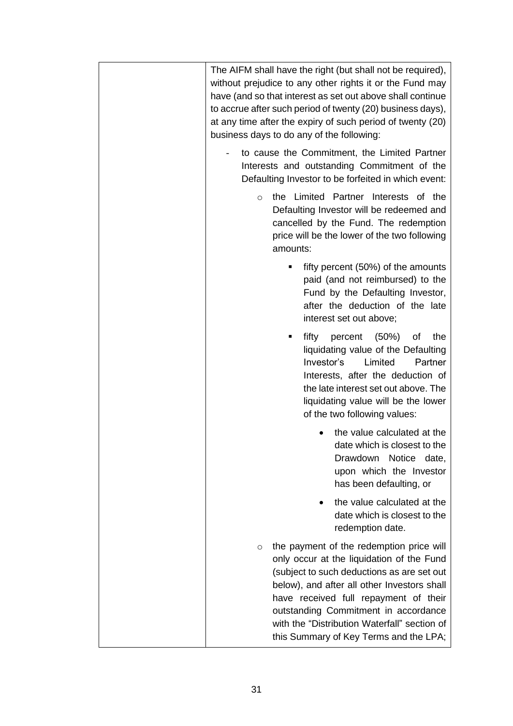| The AIFM shall have the right (but shall not be required),<br>without prejudice to any other rights it or the Fund may<br>have (and so that interest as set out above shall continue<br>to accrue after such period of twenty (20) business days),<br>at any time after the expiry of such period of twenty (20)<br>business days to do any of the following:            |
|--------------------------------------------------------------------------------------------------------------------------------------------------------------------------------------------------------------------------------------------------------------------------------------------------------------------------------------------------------------------------|
| to cause the Commitment, the Limited Partner<br>Interests and outstanding Commitment of the<br>Defaulting Investor to be forfeited in which event:                                                                                                                                                                                                                       |
| the Limited Partner Interests of the<br>$\circ$<br>Defaulting Investor will be redeemed and<br>cancelled by the Fund. The redemption<br>price will be the lower of the two following<br>amounts:                                                                                                                                                                         |
| fifty percent (50%) of the amounts<br>п<br>paid (and not reimbursed) to the<br>Fund by the Defaulting Investor,<br>after the deduction of the late<br>interest set out above;                                                                                                                                                                                            |
| fifty<br>percent<br>(50%)<br>the<br>οf<br>liquidating value of the Defaulting<br>Investor's<br>Limited<br>Partner<br>Interests, after the deduction of<br>the late interest set out above. The<br>liquidating value will be the lower<br>of the two following values:                                                                                                    |
| the value calculated at the<br>date which is closest to the<br>Drawdown<br>Notice date,<br>upon which the Investor<br>has been defaulting, or                                                                                                                                                                                                                            |
| the value calculated at the<br>date which is closest to the<br>redemption date.                                                                                                                                                                                                                                                                                          |
| the payment of the redemption price will<br>$\circ$<br>only occur at the liquidation of the Fund<br>(subject to such deductions as are set out<br>below), and after all other Investors shall<br>have received full repayment of their<br>outstanding Commitment in accordance<br>with the "Distribution Waterfall" section of<br>this Summary of Key Terms and the LPA; |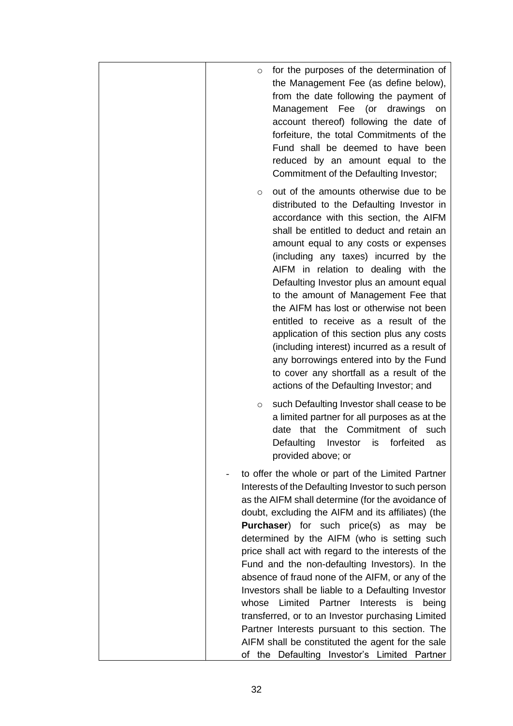| for the purposes of the determination of<br>$\circ$<br>the Management Fee (as define below),<br>from the date following the payment of<br>Management Fee (or drawings<br>on<br>account thereof) following the date of<br>forfeiture, the total Commitments of the<br>Fund shall be deemed to have been<br>reduced by an amount equal to the<br>Commitment of the Defaulting Investor;                                                                                                                                                                                                                                                                                                                                                                                                                 |
|-------------------------------------------------------------------------------------------------------------------------------------------------------------------------------------------------------------------------------------------------------------------------------------------------------------------------------------------------------------------------------------------------------------------------------------------------------------------------------------------------------------------------------------------------------------------------------------------------------------------------------------------------------------------------------------------------------------------------------------------------------------------------------------------------------|
| out of the amounts otherwise due to be<br>O<br>distributed to the Defaulting Investor in<br>accordance with this section, the AIFM<br>shall be entitled to deduct and retain an<br>amount equal to any costs or expenses<br>(including any taxes) incurred by the<br>AIFM in relation to dealing with the<br>Defaulting Investor plus an amount equal<br>to the amount of Management Fee that<br>the AIFM has lost or otherwise not been<br>entitled to receive as a result of the<br>application of this section plus any costs<br>(including interest) incurred as a result of<br>any borrowings entered into by the Fund<br>to cover any shortfall as a result of the<br>actions of the Defaulting Investor; and                                                                                   |
| such Defaulting Investor shall cease to be<br>O<br>a limited partner for all purposes as at the<br>date that the Commitment of such<br>Defaulting<br>forfeited<br>Investor<br>is<br>as<br>provided above; or                                                                                                                                                                                                                                                                                                                                                                                                                                                                                                                                                                                          |
| to offer the whole or part of the Limited Partner<br>Interests of the Defaulting Investor to such person<br>as the AIFM shall determine (for the avoidance of<br>doubt, excluding the AIFM and its affiliates) (the<br><b>Purchaser</b> ) for such price(s) as may be<br>determined by the AIFM (who is setting such<br>price shall act with regard to the interests of the<br>Fund and the non-defaulting Investors). In the<br>absence of fraud none of the AIFM, or any of the<br>Investors shall be liable to a Defaulting Investor<br>whose Limited Partner Interests is<br>being<br>transferred, or to an Investor purchasing Limited<br>Partner Interests pursuant to this section. The<br>AIFM shall be constituted the agent for the sale<br>the Defaulting Investor's Limited Partner<br>of |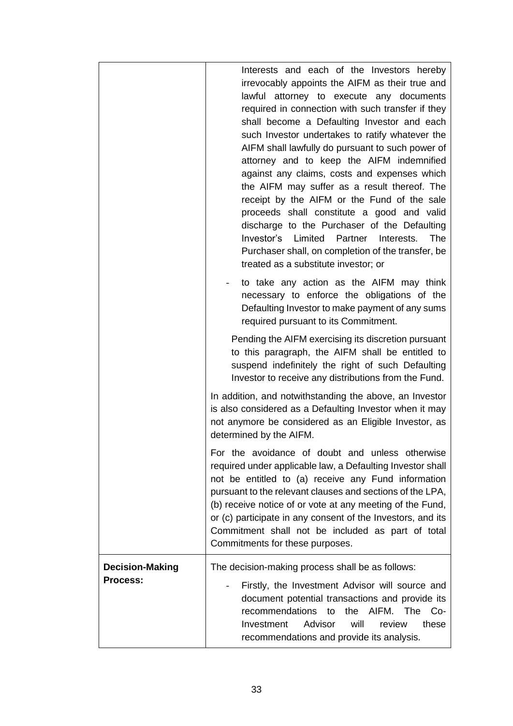|                                    | Interests and each of the Investors hereby<br>irrevocably appoints the AIFM as their true and<br>lawful attorney to execute any documents<br>required in connection with such transfer if they<br>shall become a Defaulting Investor and each<br>such Investor undertakes to ratify whatever the<br>AIFM shall lawfully do pursuant to such power of<br>attorney and to keep the AIFM indemnified<br>against any claims, costs and expenses which<br>the AIFM may suffer as a result thereof. The<br>receipt by the AIFM or the Fund of the sale<br>proceeds shall constitute a good and valid<br>discharge to the Purchaser of the Defaulting<br><b>The</b><br>Investor's<br>Limited<br>Partner<br>Interests.<br>Purchaser shall, on completion of the transfer, be<br>treated as a substitute investor; or |
|------------------------------------|--------------------------------------------------------------------------------------------------------------------------------------------------------------------------------------------------------------------------------------------------------------------------------------------------------------------------------------------------------------------------------------------------------------------------------------------------------------------------------------------------------------------------------------------------------------------------------------------------------------------------------------------------------------------------------------------------------------------------------------------------------------------------------------------------------------|
|                                    | to take any action as the AIFM may think<br>necessary to enforce the obligations of the<br>Defaulting Investor to make payment of any sums<br>required pursuant to its Commitment.                                                                                                                                                                                                                                                                                                                                                                                                                                                                                                                                                                                                                           |
|                                    | Pending the AIFM exercising its discretion pursuant<br>to this paragraph, the AIFM shall be entitled to<br>suspend indefinitely the right of such Defaulting<br>Investor to receive any distributions from the Fund.                                                                                                                                                                                                                                                                                                                                                                                                                                                                                                                                                                                         |
|                                    | In addition, and notwithstanding the above, an Investor<br>is also considered as a Defaulting Investor when it may<br>not anymore be considered as an Eligible Investor, as<br>determined by the AIFM.                                                                                                                                                                                                                                                                                                                                                                                                                                                                                                                                                                                                       |
|                                    | For the avoidance of doubt and unless otherwise<br>required under applicable law, a Defaulting Investor shall<br>not be entitled to (a) receive any Fund information<br>pursuant to the relevant clauses and sections of the LPA,<br>(b) receive notice of or vote at any meeting of the Fund,<br>or (c) participate in any consent of the Investors, and its<br>Commitment shall not be included as part of total<br>Commitments for these purposes.                                                                                                                                                                                                                                                                                                                                                        |
| <b>Decision-Making</b><br>Process: | The decision-making process shall be as follows:<br>Firstly, the Investment Advisor will source and<br>document potential transactions and provide its<br>recommendations<br>the AIFM. The<br>to<br>$Co-$<br>will<br>Investment<br>Advisor<br>these<br>review<br>recommendations and provide its analysis.                                                                                                                                                                                                                                                                                                                                                                                                                                                                                                   |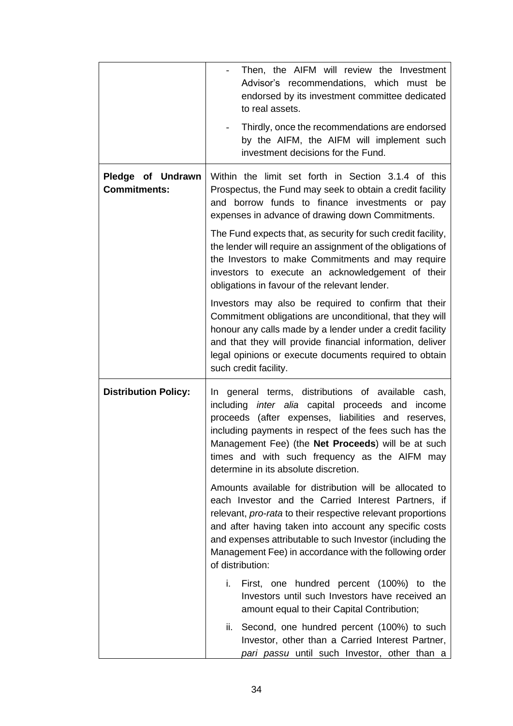|                                          | Then, the AIFM will review the Investment<br>Advisor's recommendations, which must be<br>endorsed by its investment committee dedicated<br>to real assets.                                                                                                                                                                                                                                |
|------------------------------------------|-------------------------------------------------------------------------------------------------------------------------------------------------------------------------------------------------------------------------------------------------------------------------------------------------------------------------------------------------------------------------------------------|
|                                          | Thirdly, once the recommendations are endorsed<br>by the AIFM, the AIFM will implement such<br>investment decisions for the Fund.                                                                                                                                                                                                                                                         |
| Pledge of Undrawn<br><b>Commitments:</b> | Within the limit set forth in Section 3.1.4 of this<br>Prospectus, the Fund may seek to obtain a credit facility<br>and borrow funds to finance investments or pay<br>expenses in advance of drawing down Commitments.                                                                                                                                                                    |
|                                          | The Fund expects that, as security for such credit facility,<br>the lender will require an assignment of the obligations of<br>the Investors to make Commitments and may require<br>investors to execute an acknowledgement of their<br>obligations in favour of the relevant lender.                                                                                                     |
|                                          | Investors may also be required to confirm that their<br>Commitment obligations are unconditional, that they will<br>honour any calls made by a lender under a credit facility<br>and that they will provide financial information, deliver<br>legal opinions or execute documents required to obtain<br>such credit facility.                                                             |
| <b>Distribution Policy:</b>              | In general terms, distributions of available cash,<br>inter alia capital proceeds and income<br>including<br>proceeds (after expenses, liabilities and reserves,<br>including payments in respect of the fees such has the<br>Management Fee) (the Net Proceeds) will be at such<br>times and with such frequency as the AIFM may<br>determine in its absolute discretion.                |
|                                          | Amounts available for distribution will be allocated to<br>each Investor and the Carried Interest Partners, if<br>relevant, <i>pro-rata</i> to their respective relevant proportions<br>and after having taken into account any specific costs<br>and expenses attributable to such Investor (including the<br>Management Fee) in accordance with the following order<br>of distribution: |
|                                          | First, one hundred percent (100%) to the<br>i.<br>Investors until such Investors have received an<br>amount equal to their Capital Contribution;                                                                                                                                                                                                                                          |
|                                          | ii.<br>Second, one hundred percent (100%) to such<br>Investor, other than a Carried Interest Partner,<br>pari passu until such Investor, other than a                                                                                                                                                                                                                                     |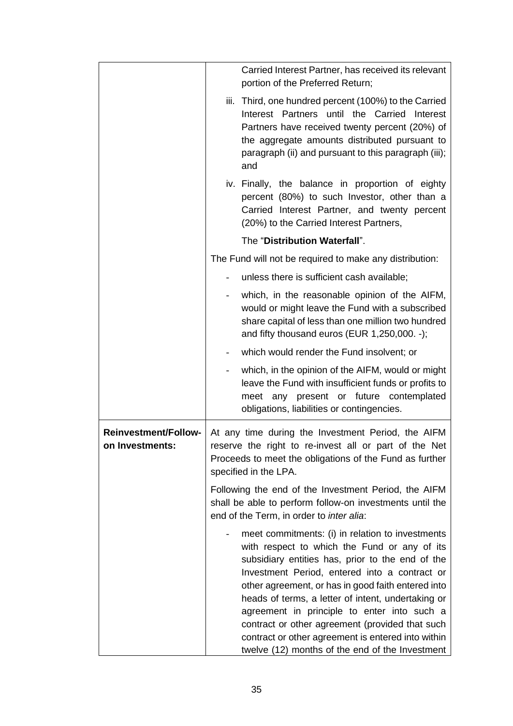|                                                | Carried Interest Partner, has received its relevant<br>portion of the Preferred Return;                                                                                                                                                                                                                                                                                                                                                                                                                                      |
|------------------------------------------------|------------------------------------------------------------------------------------------------------------------------------------------------------------------------------------------------------------------------------------------------------------------------------------------------------------------------------------------------------------------------------------------------------------------------------------------------------------------------------------------------------------------------------|
|                                                | Third, one hundred percent (100%) to the Carried<br>iii.<br>Partners until the<br>Carried<br>Interest<br>Interest<br>Partners have received twenty percent (20%) of<br>the aggregate amounts distributed pursuant to<br>paragraph (ii) and pursuant to this paragraph (iii);<br>and                                                                                                                                                                                                                                          |
|                                                | iv. Finally, the balance in proportion of eighty<br>percent (80%) to such Investor, other than a<br>Carried Interest Partner, and twenty percent<br>(20%) to the Carried Interest Partners,                                                                                                                                                                                                                                                                                                                                  |
|                                                | The "Distribution Waterfall".                                                                                                                                                                                                                                                                                                                                                                                                                                                                                                |
|                                                | The Fund will not be required to make any distribution:                                                                                                                                                                                                                                                                                                                                                                                                                                                                      |
|                                                | unless there is sufficient cash available;                                                                                                                                                                                                                                                                                                                                                                                                                                                                                   |
|                                                | which, in the reasonable opinion of the AIFM,<br>would or might leave the Fund with a subscribed<br>share capital of less than one million two hundred<br>and fifty thousand euros (EUR 1,250,000. -);                                                                                                                                                                                                                                                                                                                       |
|                                                | which would render the Fund insolvent; or                                                                                                                                                                                                                                                                                                                                                                                                                                                                                    |
|                                                | which, in the opinion of the AIFM, would or might<br>leave the Fund with insufficient funds or profits to<br>meet any present or future contemplated<br>obligations, liabilities or contingencies.                                                                                                                                                                                                                                                                                                                           |
| <b>Reinvestment/Follow-</b><br>on Investments: | At any time during the Investment Period, the AIFM<br>reserve the right to re-invest all or part of the Net<br>Proceeds to meet the obligations of the Fund as further<br>specified in the LPA.                                                                                                                                                                                                                                                                                                                              |
|                                                | Following the end of the Investment Period, the AIFM<br>shall be able to perform follow-on investments until the<br>end of the Term, in order to inter alia:                                                                                                                                                                                                                                                                                                                                                                 |
|                                                | meet commitments: (i) in relation to investments<br>with respect to which the Fund or any of its<br>subsidiary entities has, prior to the end of the<br>Investment Period, entered into a contract or<br>other agreement, or has in good faith entered into<br>heads of terms, a letter of intent, undertaking or<br>agreement in principle to enter into such a<br>contract or other agreement (provided that such<br>contract or other agreement is entered into within<br>twelve (12) months of the end of the Investment |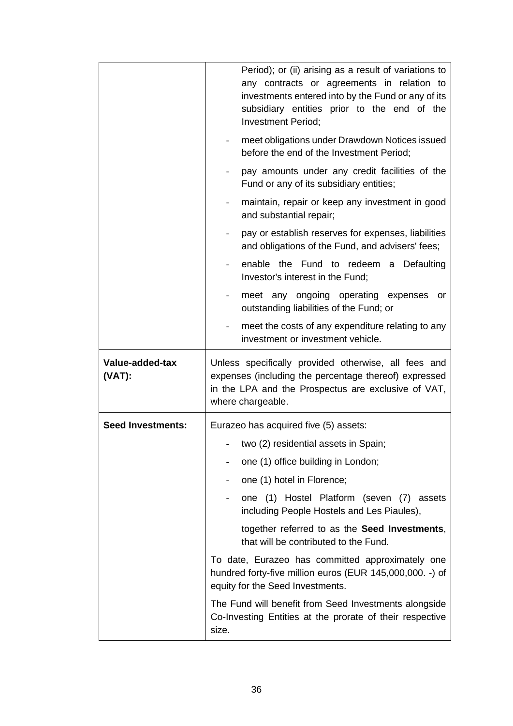|                              | Period); or (ii) arising as a result of variations to<br>any contracts or agreements in relation to<br>investments entered into by the Fund or any of its<br>subsidiary entities prior to the end of the<br>Investment Period; |
|------------------------------|--------------------------------------------------------------------------------------------------------------------------------------------------------------------------------------------------------------------------------|
|                              | meet obligations under Drawdown Notices issued<br>before the end of the Investment Period;                                                                                                                                     |
|                              | pay amounts under any credit facilities of the<br>Fund or any of its subsidiary entities;                                                                                                                                      |
|                              | maintain, repair or keep any investment in good<br>and substantial repair;                                                                                                                                                     |
|                              | pay or establish reserves for expenses, liabilities<br>and obligations of the Fund, and advisers' fees;                                                                                                                        |
|                              | enable the Fund to redeem a Defaulting<br>Investor's interest in the Fund;                                                                                                                                                     |
|                              | meet any ongoing operating expenses<br>or<br>outstanding liabilities of the Fund; or                                                                                                                                           |
|                              | meet the costs of any expenditure relating to any<br>investment or investment vehicle.                                                                                                                                         |
|                              |                                                                                                                                                                                                                                |
| Value-added-tax<br>$(VAT)$ : | Unless specifically provided otherwise, all fees and<br>expenses (including the percentage thereof) expressed<br>in the LPA and the Prospectus are exclusive of VAT,<br>where chargeable.                                      |
| <b>Seed Investments:</b>     | Eurazeo has acquired five (5) assets:                                                                                                                                                                                          |
|                              | two (2) residential assets in Spain;                                                                                                                                                                                           |
|                              | one (1) office building in London;                                                                                                                                                                                             |
|                              | one (1) hotel in Florence;                                                                                                                                                                                                     |
|                              | one (1) Hostel Platform (seven (7) assets<br>including People Hostels and Les Piaules),                                                                                                                                        |
|                              | together referred to as the Seed Investments,<br>that will be contributed to the Fund.                                                                                                                                         |
|                              | To date, Eurazeo has committed approximately one<br>hundred forty-five million euros (EUR 145,000,000. -) of<br>equity for the Seed Investments.                                                                               |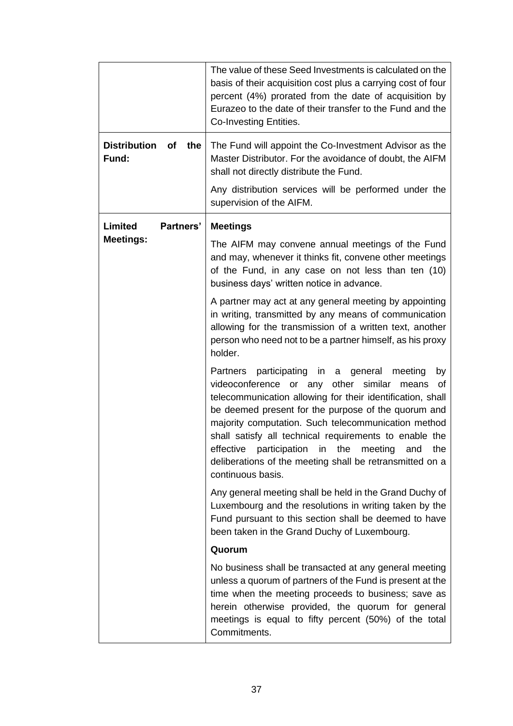|                                 | The value of these Seed Investments is calculated on the<br>basis of their acquisition cost plus a carrying cost of four<br>percent (4%) prorated from the date of acquisition by<br>Eurazeo to the date of their transfer to the Fund and the<br>Co-Investing Entities.                                                                                                                                                                                                             |  |  |
|---------------------------------|--------------------------------------------------------------------------------------------------------------------------------------------------------------------------------------------------------------------------------------------------------------------------------------------------------------------------------------------------------------------------------------------------------------------------------------------------------------------------------------|--|--|
| Distribution of<br>the<br>Fund: | The Fund will appoint the Co-Investment Advisor as the<br>Master Distributor. For the avoidance of doubt, the AIFM<br>shall not directly distribute the Fund.                                                                                                                                                                                                                                                                                                                        |  |  |
|                                 | Any distribution services will be performed under the<br>supervision of the AIFM.                                                                                                                                                                                                                                                                                                                                                                                                    |  |  |
| Limited<br>Partners'            | <b>Meetings</b>                                                                                                                                                                                                                                                                                                                                                                                                                                                                      |  |  |
| <b>Meetings:</b>                | The AIFM may convene annual meetings of the Fund<br>and may, whenever it thinks fit, convene other meetings<br>of the Fund, in any case on not less than ten (10)<br>business days' written notice in advance.                                                                                                                                                                                                                                                                       |  |  |
|                                 | A partner may act at any general meeting by appointing<br>in writing, transmitted by any means of communication<br>allowing for the transmission of a written text, another<br>person who need not to be a partner himself, as his proxy<br>holder.                                                                                                                                                                                                                                  |  |  |
|                                 | Partners participating in a general meeting<br>by<br>videoconference or any<br>other similar<br>of<br>means<br>telecommunication allowing for their identification, shall<br>be deemed present for the purpose of the quorum and<br>majority computation. Such telecommunication method<br>shall satisfy all technical requirements to enable the<br>effective participation in the meeting and the<br>deliberations of the meeting shall be retransmitted on a<br>continuous basis. |  |  |
|                                 | Any general meeting shall be held in the Grand Duchy of<br>Luxembourg and the resolutions in writing taken by the<br>Fund pursuant to this section shall be deemed to have<br>been taken in the Grand Duchy of Luxembourg.                                                                                                                                                                                                                                                           |  |  |
|                                 | Quorum                                                                                                                                                                                                                                                                                                                                                                                                                                                                               |  |  |
|                                 | No business shall be transacted at any general meeting<br>unless a quorum of partners of the Fund is present at the<br>time when the meeting proceeds to business; save as<br>herein otherwise provided, the quorum for general<br>meetings is equal to fifty percent (50%) of the total<br>Commitments.                                                                                                                                                                             |  |  |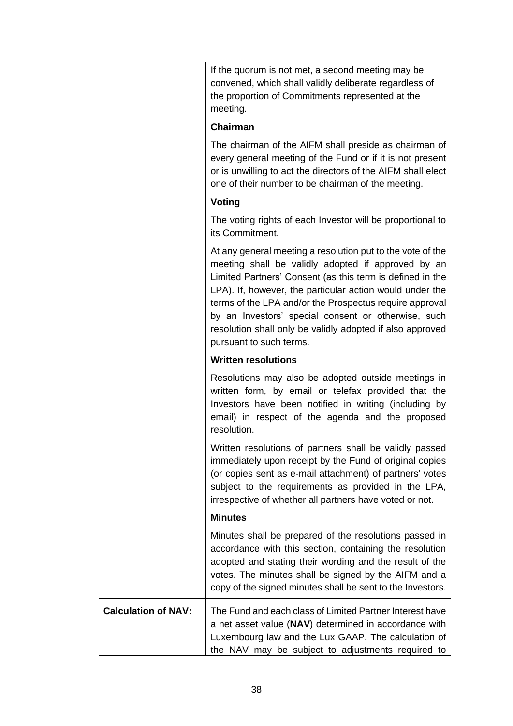|                            | If the quorum is not met, a second meeting may be<br>convened, which shall validly deliberate regardless of<br>the proportion of Commitments represented at the<br>meeting.                                                                                                                                                                                                                                                                         |
|----------------------------|-----------------------------------------------------------------------------------------------------------------------------------------------------------------------------------------------------------------------------------------------------------------------------------------------------------------------------------------------------------------------------------------------------------------------------------------------------|
|                            | <b>Chairman</b>                                                                                                                                                                                                                                                                                                                                                                                                                                     |
|                            | The chairman of the AIFM shall preside as chairman of<br>every general meeting of the Fund or if it is not present<br>or is unwilling to act the directors of the AIFM shall elect<br>one of their number to be chairman of the meeting.                                                                                                                                                                                                            |
|                            | Voting                                                                                                                                                                                                                                                                                                                                                                                                                                              |
|                            | The voting rights of each Investor will be proportional to<br>its Commitment.                                                                                                                                                                                                                                                                                                                                                                       |
|                            | At any general meeting a resolution put to the vote of the<br>meeting shall be validly adopted if approved by an<br>Limited Partners' Consent (as this term is defined in the<br>LPA). If, however, the particular action would under the<br>terms of the LPA and/or the Prospectus require approval<br>by an Investors' special consent or otherwise, such<br>resolution shall only be validly adopted if also approved<br>pursuant to such terms. |
|                            | <b>Written resolutions</b>                                                                                                                                                                                                                                                                                                                                                                                                                          |
|                            | Resolutions may also be adopted outside meetings in<br>written form, by email or telefax provided that the<br>Investors have been notified in writing (including by<br>email) in respect of the agenda and the proposed<br>resolution.                                                                                                                                                                                                              |
|                            | Written resolutions of partners shall be validly passed<br>immediately upon receipt by the Fund of original copies<br>(or copies sent as e-mail attachment) of partners' votes<br>subject to the requirements as provided in the LPA,<br>irrespective of whether all partners have voted or not.                                                                                                                                                    |
|                            | <b>Minutes</b>                                                                                                                                                                                                                                                                                                                                                                                                                                      |
|                            | Minutes shall be prepared of the resolutions passed in<br>accordance with this section, containing the resolution<br>adopted and stating their wording and the result of the<br>votes. The minutes shall be signed by the AIFM and a<br>copy of the signed minutes shall be sent to the Investors.                                                                                                                                                  |
| <b>Calculation of NAV:</b> | The Fund and each class of Limited Partner Interest have<br>a net asset value (NAV) determined in accordance with<br>Luxembourg law and the Lux GAAP. The calculation of<br>the NAV may be subject to adjustments required to                                                                                                                                                                                                                       |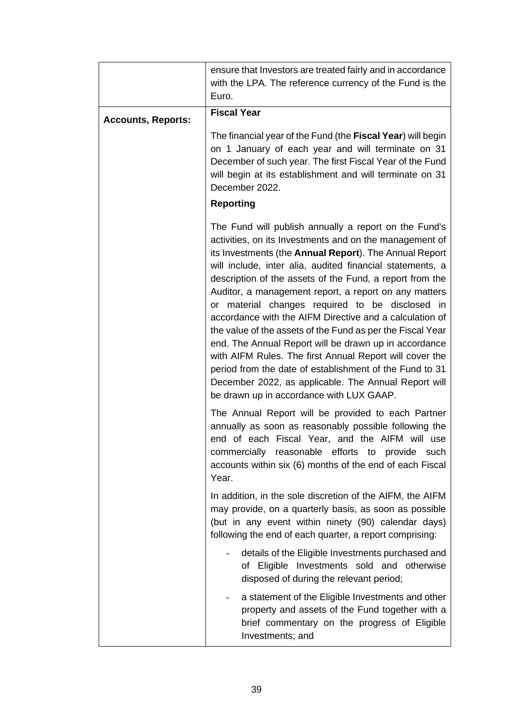|                           | ensure that Investors are treated fairly and in accordance<br>with the LPA. The reference currency of the Fund is the<br>Euro.                                                                                                                                                                                                                                                                                                                                                                                                                                                                                                                                                                                                                                                                                              |  |  |
|---------------------------|-----------------------------------------------------------------------------------------------------------------------------------------------------------------------------------------------------------------------------------------------------------------------------------------------------------------------------------------------------------------------------------------------------------------------------------------------------------------------------------------------------------------------------------------------------------------------------------------------------------------------------------------------------------------------------------------------------------------------------------------------------------------------------------------------------------------------------|--|--|
| <b>Accounts, Reports:</b> | <b>Fiscal Year</b>                                                                                                                                                                                                                                                                                                                                                                                                                                                                                                                                                                                                                                                                                                                                                                                                          |  |  |
|                           | The financial year of the Fund (the Fiscal Year) will begin<br>on 1 January of each year and will terminate on 31<br>December of such year. The first Fiscal Year of the Fund<br>will begin at its establishment and will terminate on 31<br>December 2022.                                                                                                                                                                                                                                                                                                                                                                                                                                                                                                                                                                 |  |  |
|                           | <b>Reporting</b>                                                                                                                                                                                                                                                                                                                                                                                                                                                                                                                                                                                                                                                                                                                                                                                                            |  |  |
|                           | The Fund will publish annually a report on the Fund's<br>activities, on its Investments and on the management of<br>its Investments (the Annual Report). The Annual Report<br>will include, inter alia, audited financial statements, a<br>description of the assets of the Fund, a report from the<br>Auditor, a management report, a report on any matters<br>or material changes required to be disclosed in<br>accordance with the AIFM Directive and a calculation of<br>the value of the assets of the Fund as per the Fiscal Year<br>end. The Annual Report will be drawn up in accordance<br>with AIFM Rules. The first Annual Report will cover the<br>period from the date of establishment of the Fund to 31<br>December 2022, as applicable. The Annual Report will<br>be drawn up in accordance with LUX GAAP. |  |  |
|                           | The Annual Report will be provided to each Partner<br>annually as soon as reasonably possible following the<br>end of each Fiscal Year, and the AIFM will use<br>commercially reasonable efforts to provide<br>such<br>accounts within six (6) months of the end of each Fiscal<br>Year.                                                                                                                                                                                                                                                                                                                                                                                                                                                                                                                                    |  |  |
|                           | In addition, in the sole discretion of the AIFM, the AIFM<br>may provide, on a quarterly basis, as soon as possible<br>(but in any event within ninety (90) calendar days)<br>following the end of each quarter, a report comprising:                                                                                                                                                                                                                                                                                                                                                                                                                                                                                                                                                                                       |  |  |
|                           | details of the Eligible Investments purchased and<br>of Eligible Investments sold and otherwise<br>disposed of during the relevant period;                                                                                                                                                                                                                                                                                                                                                                                                                                                                                                                                                                                                                                                                                  |  |  |
|                           | a statement of the Eligible Investments and other<br>property and assets of the Fund together with a<br>brief commentary on the progress of Eligible<br>Investments; and                                                                                                                                                                                                                                                                                                                                                                                                                                                                                                                                                                                                                                                    |  |  |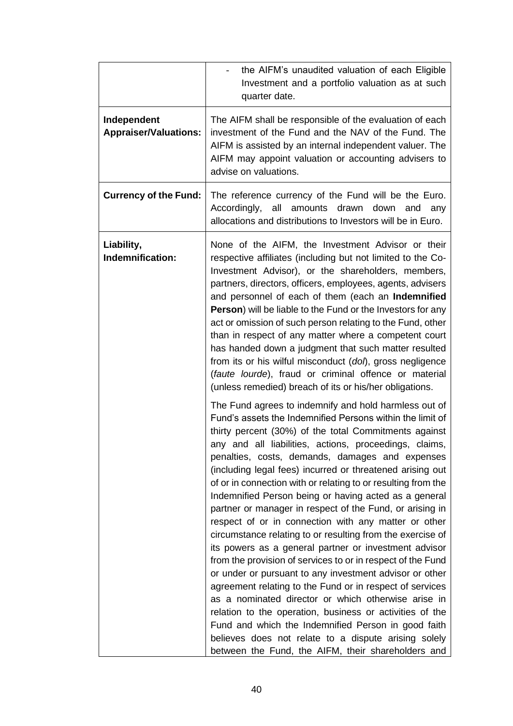|                                             | the AIFM's unaudited valuation of each Eligible<br>Investment and a portfolio valuation as at such<br>quarter date.                                                                                                                                                                                                                                                                                                                                                                                                                                                                                                                                                                                                                                                                                                                                                                                                                                                                                                                                                                                                                                                                                                                                                                                                                                                                                                                                                                                                                                                                                                                                                                                                                                                                                                                                                                                                                   |  |  |
|---------------------------------------------|---------------------------------------------------------------------------------------------------------------------------------------------------------------------------------------------------------------------------------------------------------------------------------------------------------------------------------------------------------------------------------------------------------------------------------------------------------------------------------------------------------------------------------------------------------------------------------------------------------------------------------------------------------------------------------------------------------------------------------------------------------------------------------------------------------------------------------------------------------------------------------------------------------------------------------------------------------------------------------------------------------------------------------------------------------------------------------------------------------------------------------------------------------------------------------------------------------------------------------------------------------------------------------------------------------------------------------------------------------------------------------------------------------------------------------------------------------------------------------------------------------------------------------------------------------------------------------------------------------------------------------------------------------------------------------------------------------------------------------------------------------------------------------------------------------------------------------------------------------------------------------------------------------------------------------------|--|--|
| Independent<br><b>Appraiser/Valuations:</b> | The AIFM shall be responsible of the evaluation of each<br>investment of the Fund and the NAV of the Fund. The<br>AIFM is assisted by an internal independent valuer. The<br>AIFM may appoint valuation or accounting advisers to<br>advise on valuations.                                                                                                                                                                                                                                                                                                                                                                                                                                                                                                                                                                                                                                                                                                                                                                                                                                                                                                                                                                                                                                                                                                                                                                                                                                                                                                                                                                                                                                                                                                                                                                                                                                                                            |  |  |
| <b>Currency of the Fund:</b>                | The reference currency of the Fund will be the Euro.<br>all<br>Accordingly,<br>amounts drawn down<br>and<br>any<br>allocations and distributions to Investors will be in Euro.                                                                                                                                                                                                                                                                                                                                                                                                                                                                                                                                                                                                                                                                                                                                                                                                                                                                                                                                                                                                                                                                                                                                                                                                                                                                                                                                                                                                                                                                                                                                                                                                                                                                                                                                                        |  |  |
| Liability,<br>Indemnification:              | None of the AIFM, the Investment Advisor or their<br>respective affiliates (including but not limited to the Co-<br>Investment Advisor), or the shareholders, members,<br>partners, directors, officers, employees, agents, advisers<br>and personnel of each of them (each an Indemnified<br>Person) will be liable to the Fund or the Investors for any<br>act or omission of such person relating to the Fund, other<br>than in respect of any matter where a competent court<br>has handed down a judgment that such matter resulted<br>from its or his wilful misconduct (dol), gross negligence<br>(faute lourde), fraud or criminal offence or material<br>(unless remedied) breach of its or his/her obligations.<br>The Fund agrees to indemnify and hold harmless out of<br>Fund's assets the Indemnified Persons within the limit of<br>thirty percent (30%) of the total Commitments against<br>any and all liabilities, actions, proceedings, claims,<br>penalties, costs, demands, damages and expenses<br>(including legal fees) incurred or threatened arising out<br>of or in connection with or relating to or resulting from the<br>Indemnified Person being or having acted as a general<br>partner or manager in respect of the Fund, or arising in<br>respect of or in connection with any matter or other<br>circumstance relating to or resulting from the exercise of<br>its powers as a general partner or investment advisor<br>from the provision of services to or in respect of the Fund<br>or under or pursuant to any investment advisor or other<br>agreement relating to the Fund or in respect of services<br>as a nominated director or which otherwise arise in<br>relation to the operation, business or activities of the<br>Fund and which the Indemnified Person in good faith<br>believes does not relate to a dispute arising solely<br>between the Fund, the AIFM, their shareholders and |  |  |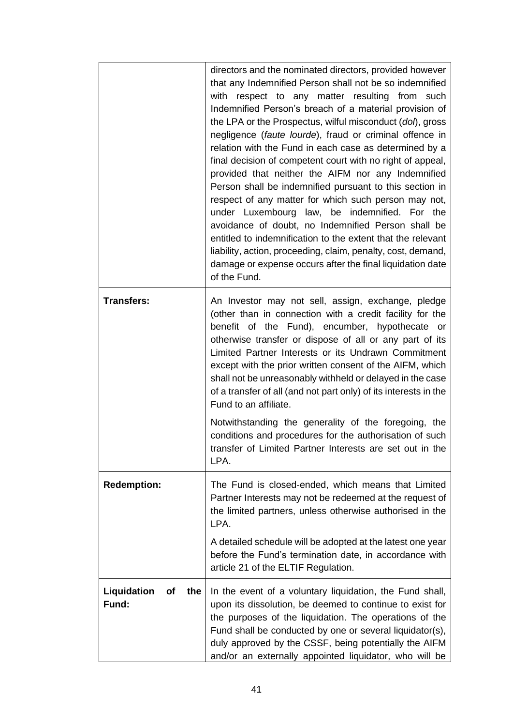|                                   | directors and the nominated directors, provided however<br>that any Indemnified Person shall not be so indemnified<br>with respect to any matter resulting from such<br>Indemnified Person's breach of a material provision of<br>the LPA or the Prospectus, wilful misconduct (dol), gross<br>negligence (faute lourde), fraud or criminal offence in<br>relation with the Fund in each case as determined by a<br>final decision of competent court with no right of appeal,<br>provided that neither the AIFM nor any Indemnified<br>Person shall be indemnified pursuant to this section in<br>respect of any matter for which such person may not,<br>under Luxembourg law, be indemnified. For the<br>avoidance of doubt, no Indemnified Person shall be<br>entitled to indemnification to the extent that the relevant<br>liability, action, proceeding, claim, penalty, cost, demand,<br>damage or expense occurs after the final liquidation date<br>of the Fund. |
|-----------------------------------|----------------------------------------------------------------------------------------------------------------------------------------------------------------------------------------------------------------------------------------------------------------------------------------------------------------------------------------------------------------------------------------------------------------------------------------------------------------------------------------------------------------------------------------------------------------------------------------------------------------------------------------------------------------------------------------------------------------------------------------------------------------------------------------------------------------------------------------------------------------------------------------------------------------------------------------------------------------------------|
| <b>Transfers:</b>                 | An Investor may not sell, assign, exchange, pledge<br>(other than in connection with a credit facility for the<br>benefit of the Fund), encumber, hypothecate or<br>otherwise transfer or dispose of all or any part of its<br>Limited Partner Interests or its Undrawn Commitment<br>except with the prior written consent of the AIFM, which<br>shall not be unreasonably withheld or delayed in the case<br>of a transfer of all (and not part only) of its interests in the<br>Fund to an affiliate.                                                                                                                                                                                                                                                                                                                                                                                                                                                                   |
|                                   | Notwithstanding the generality of the foregoing, the<br>conditions and procedures for the authorisation of such<br>transfer of Limited Partner Interests are set out in the<br>LPA.                                                                                                                                                                                                                                                                                                                                                                                                                                                                                                                                                                                                                                                                                                                                                                                        |
| <b>Redemption:</b>                | The Fund is closed-ended, which means that Limited<br>Partner Interests may not be redeemed at the request of<br>the limited partners, unless otherwise authorised in the<br>LPA.                                                                                                                                                                                                                                                                                                                                                                                                                                                                                                                                                                                                                                                                                                                                                                                          |
|                                   | A detailed schedule will be adopted at the latest one year<br>before the Fund's termination date, in accordance with<br>article 21 of the ELTIF Regulation.                                                                                                                                                                                                                                                                                                                                                                                                                                                                                                                                                                                                                                                                                                                                                                                                                |
| Liquidation<br>οf<br>the<br>Fund: | In the event of a voluntary liquidation, the Fund shall,<br>upon its dissolution, be deemed to continue to exist for<br>the purposes of the liquidation. The operations of the<br>Fund shall be conducted by one or several liquidator(s),<br>duly approved by the CSSF, being potentially the AIFM<br>and/or an externally appointed liquidator, who will be                                                                                                                                                                                                                                                                                                                                                                                                                                                                                                                                                                                                              |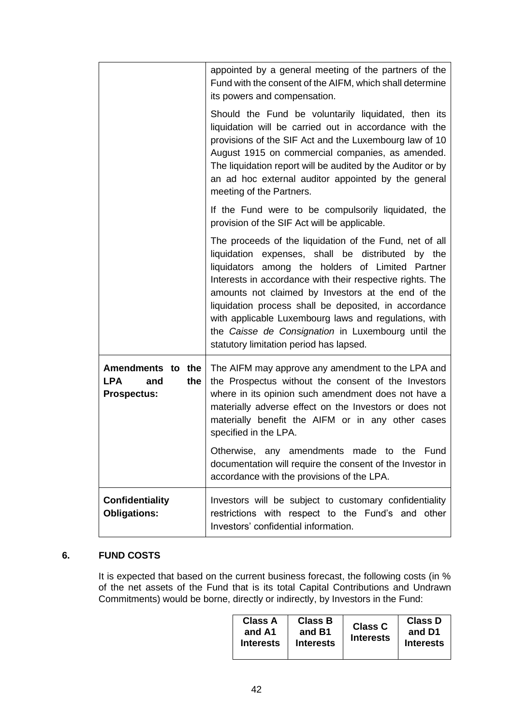|                                                                     | appointed by a general meeting of the partners of the<br>Fund with the consent of the AIFM, which shall determine<br>its powers and compensation.                                                                                                                                                                                                                                                                                                                                                      |
|---------------------------------------------------------------------|--------------------------------------------------------------------------------------------------------------------------------------------------------------------------------------------------------------------------------------------------------------------------------------------------------------------------------------------------------------------------------------------------------------------------------------------------------------------------------------------------------|
|                                                                     | Should the Fund be voluntarily liquidated, then its<br>liquidation will be carried out in accordance with the<br>provisions of the SIF Act and the Luxembourg law of 10<br>August 1915 on commercial companies, as amended.<br>The liquidation report will be audited by the Auditor or by<br>an ad hoc external auditor appointed by the general<br>meeting of the Partners.                                                                                                                          |
|                                                                     | If the Fund were to be compulsorily liquidated, the<br>provision of the SIF Act will be applicable.                                                                                                                                                                                                                                                                                                                                                                                                    |
|                                                                     | The proceeds of the liquidation of the Fund, net of all<br>liquidation expenses, shall be distributed by the<br>liquidators among the holders of Limited Partner<br>Interests in accordance with their respective rights. The<br>amounts not claimed by Investors at the end of the<br>liquidation process shall be deposited, in accordance<br>with applicable Luxembourg laws and regulations, with<br>the Caisse de Consignation in Luxembourg until the<br>statutory limitation period has lapsed. |
| Amendments to the<br>the<br><b>LPA</b><br>and<br><b>Prospectus:</b> | The AIFM may approve any amendment to the LPA and<br>the Prospectus without the consent of the Investors<br>where in its opinion such amendment does not have a<br>materially adverse effect on the Investors or does not<br>materially benefit the AIFM or in any other cases<br>specified in the LPA.<br>Otherwise, any amendments made to the<br>Fund<br>documentation will require the consent of the Investor in                                                                                  |
|                                                                     | accordance with the provisions of the LPA.                                                                                                                                                                                                                                                                                                                                                                                                                                                             |
| <b>Confidentiality</b><br><b>Obligations:</b>                       | Investors will be subject to customary confidentiality<br>restrictions with respect to the Fund's and other<br>Investors' confidential information.                                                                                                                                                                                                                                                                                                                                                    |

# **6. FUND COSTS**

It is expected that based on the current business forecast, the following costs (in % of the net assets of the Fund that is its total Capital Contributions and Undrawn Commitments) would be borne, directly or indirectly, by Investors in the Fund:

| <b>Class A</b><br>and A1<br><b>Interests</b> | Class B<br>and B1<br><b>Interests</b> | <b>Class C</b><br><b>Interests</b> | <b>Class D</b><br>and D1<br><b>Interests</b> |
|----------------------------------------------|---------------------------------------|------------------------------------|----------------------------------------------|
|----------------------------------------------|---------------------------------------|------------------------------------|----------------------------------------------|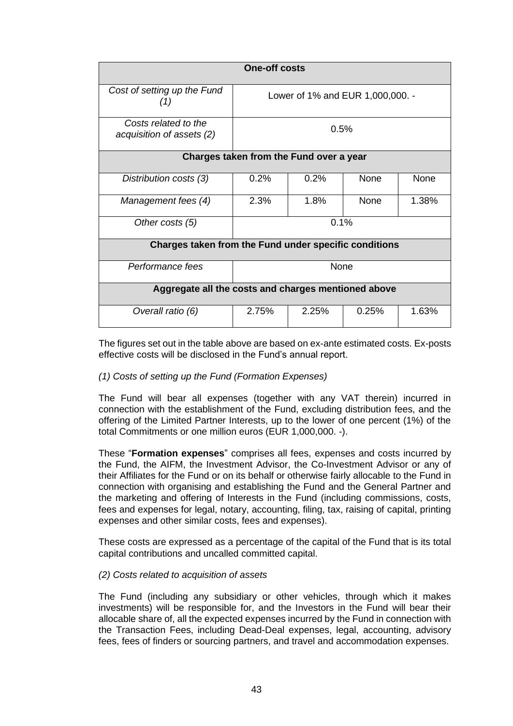| <b>One-off costs</b>                                  |                                  |       |             |       |
|-------------------------------------------------------|----------------------------------|-------|-------------|-------|
| Cost of setting up the Fund<br>(1)                    | Lower of 1% and EUR 1,000,000. - |       |             |       |
| Costs related to the<br>acquisition of assets (2)     | 0.5%                             |       |             |       |
| Charges taken from the Fund over a year               |                                  |       |             |       |
| Distribution costs (3)                                | 0.2%                             | 0.2%  | <b>None</b> | None  |
| Management fees (4)                                   | 2.3%                             | 1.8%  | <b>None</b> | 1.38% |
| Other costs (5)                                       | 0.1%                             |       |             |       |
| Charges taken from the Fund under specific conditions |                                  |       |             |       |
| Performance fees                                      | None                             |       |             |       |
| Aggregate all the costs and charges mentioned above   |                                  |       |             |       |
| Overall ratio (6)                                     | 2.75%                            | 2.25% | 0.25%       | 1.63% |

The figures set out in the table above are based on ex-ante estimated costs. Ex-posts effective costs will be disclosed in the Fund's annual report.

# *(1) Costs of setting up the Fund (Formation Expenses)*

The Fund will bear all expenses (together with any VAT therein) incurred in connection with the establishment of the Fund, excluding distribution fees, and the offering of the Limited Partner Interests, up to the lower of one percent (1%) of the total Commitments or one million euros (EUR 1,000,000. -).

These "**Formation expenses**" comprises all fees, expenses and costs incurred by the Fund, the AIFM, the Investment Advisor, the Co-Investment Advisor or any of their Affiliates for the Fund or on its behalf or otherwise fairly allocable to the Fund in connection with organising and establishing the Fund and the General Partner and the marketing and offering of Interests in the Fund (including commissions, costs, fees and expenses for legal, notary, accounting, filing, tax, raising of capital, printing expenses and other similar costs, fees and expenses).

These costs are expressed as a percentage of the capital of the Fund that is its total capital contributions and uncalled committed capital.

# *(2) Costs related to acquisition of assets*

The Fund (including any subsidiary or other vehicles, through which it makes investments) will be responsible for, and the Investors in the Fund will bear their allocable share of, all the expected expenses incurred by the Fund in connection with the Transaction Fees, including Dead-Deal expenses, legal, accounting, advisory fees, fees of finders or sourcing partners, and travel and accommodation expenses.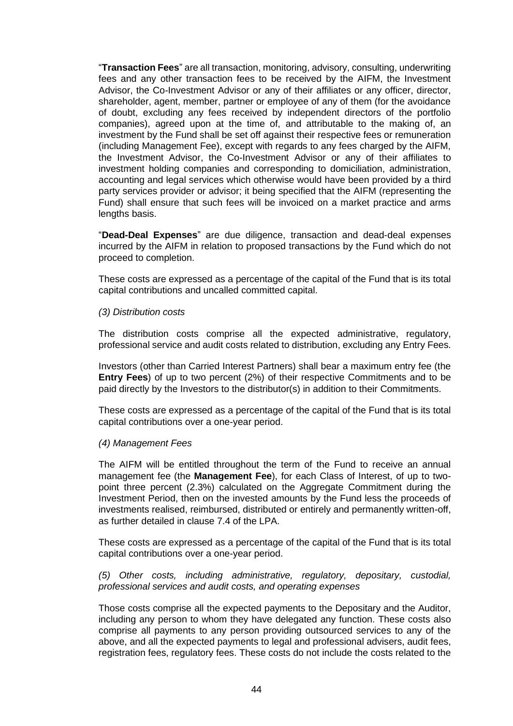"**Transaction Fees**" are all transaction, monitoring, advisory, consulting, underwriting fees and any other transaction fees to be received by the AIFM, the Investment Advisor, the Co-Investment Advisor or any of their affiliates or any officer, director, shareholder, agent, member, partner or employee of any of them (for the avoidance of doubt, excluding any fees received by independent directors of the portfolio companies), agreed upon at the time of, and attributable to the making of, an investment by the Fund shall be set off against their respective fees or remuneration (including Management Fee), except with regards to any fees charged by the AIFM, the Investment Advisor, the Co-Investment Advisor or any of their affiliates to investment holding companies and corresponding to domiciliation, administration, accounting and legal services which otherwise would have been provided by a third party services provider or advisor; it being specified that the AIFM (representing the Fund) shall ensure that such fees will be invoiced on a market practice and arms lengths basis.

"**Dead-Deal Expenses**" are due diligence, transaction and dead-deal expenses incurred by the AIFM in relation to proposed transactions by the Fund which do not proceed to completion.

These costs are expressed as a percentage of the capital of the Fund that is its total capital contributions and uncalled committed capital.

#### *(3) Distribution costs*

The distribution costs comprise all the expected administrative, regulatory, professional service and audit costs related to distribution, excluding any Entry Fees.

Investors (other than Carried Interest Partners) shall bear a maximum entry fee (the **Entry Fees**) of up to two percent (2%) of their respective Commitments and to be paid directly by the Investors to the distributor(s) in addition to their Commitments.

These costs are expressed as a percentage of the capital of the Fund that is its total capital contributions over a one-year period.

#### *(4) Management Fees*

The AIFM will be entitled throughout the term of the Fund to receive an annual management fee (the **Management Fee**), for each Class of Interest, of up to twopoint three percent (2.3%) calculated on the Aggregate Commitment during the Investment Period, then on the invested amounts by the Fund less the proceeds of investments realised, reimbursed, distributed or entirely and permanently written-off, as further detailed in clause 7.4 of the LPA.

These costs are expressed as a percentage of the capital of the Fund that is its total capital contributions over a one-year period.

*(5) Other costs, including administrative, regulatory, depositary, custodial, professional services and audit costs, and operating expenses*

Those costs comprise all the expected payments to the Depositary and the Auditor, including any person to whom they have delegated any function. These costs also comprise all payments to any person providing outsourced services to any of the above, and all the expected payments to legal and professional advisers, audit fees, registration fees, regulatory fees. These costs do not include the costs related to the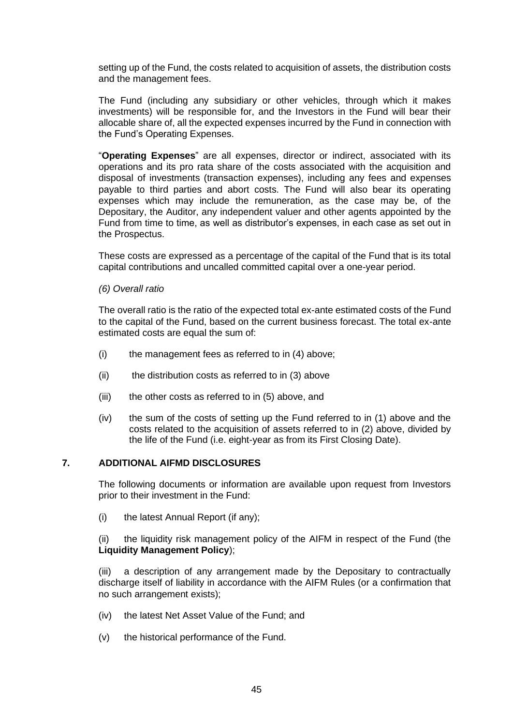setting up of the Fund, the costs related to acquisition of assets, the distribution costs and the management fees.

The Fund (including any subsidiary or other vehicles, through which it makes investments) will be responsible for, and the Investors in the Fund will bear their allocable share of, all the expected expenses incurred by the Fund in connection with the Fund's Operating Expenses.

"**Operating Expenses**" are all expenses, director or indirect, associated with its operations and its pro rata share of the costs associated with the acquisition and disposal of investments (transaction expenses), including any fees and expenses payable to third parties and abort costs. The Fund will also bear its operating expenses which may include the remuneration, as the case may be, of the Depositary, the Auditor, any independent valuer and other agents appointed by the Fund from time to time, as well as distributor's expenses, in each case as set out in the Prospectus.

These costs are expressed as a percentage of the capital of the Fund that is its total capital contributions and uncalled committed capital over a one-year period.

*(6) Overall ratio*

The overall ratio is the ratio of the expected total ex-ante estimated costs of the Fund to the capital of the Fund, based on the current business forecast. The total ex-ante estimated costs are equal the sum of:

- $(i)$  the management fees as referred to in  $(4)$  above;
- (ii) the distribution costs as referred to in (3) above
- (iii) the other costs as referred to in (5) above, and
- (iv) the sum of the costs of setting up the Fund referred to in (1) above and the costs related to the acquisition of assets referred to in (2) above, divided by the life of the Fund (i.e. eight-year as from its First Closing Date).

# **7. ADDITIONAL AIFMD DISCLOSURES**

The following documents or information are available upon request from Investors prior to their investment in the Fund:

(i) the latest Annual Report (if any);

(ii) the liquidity risk management policy of the AIFM in respect of the Fund (the **Liquidity Management Policy**);

(iii) a description of any arrangement made by the Depositary to contractually discharge itself of liability in accordance with the AIFM Rules (or a confirmation that no such arrangement exists);

- (iv) the latest Net Asset Value of the Fund; and
- (v) the historical performance of the Fund.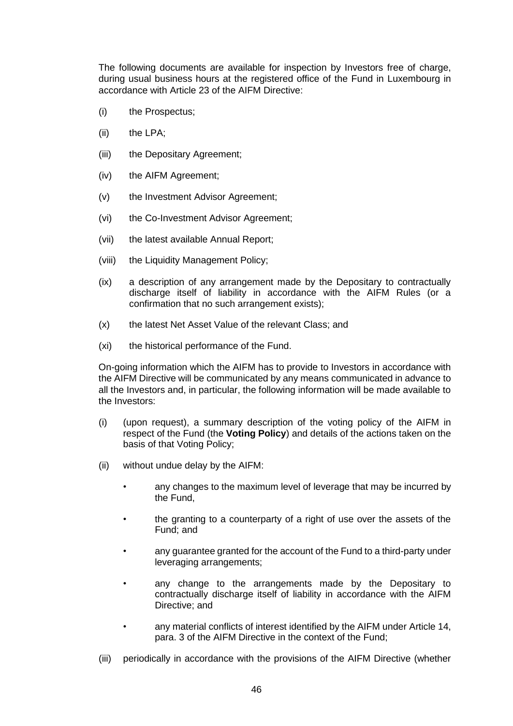The following documents are available for inspection by Investors free of charge, during usual business hours at the registered office of the Fund in Luxembourg in accordance with Article 23 of the AIFM Directive:

- (i) the Prospectus;
- (ii) the LPA;
- (iii) the Depositary Agreement;
- (iv) the AIFM Agreement;
- (v) the Investment Advisor Agreement;
- (vi) the Co-Investment Advisor Agreement;
- (vii) the latest available Annual Report;
- (viii) the Liquidity Management Policy;
- (ix) a description of any arrangement made by the Depositary to contractually discharge itself of liability in accordance with the AIFM Rules (or a confirmation that no such arrangement exists);
- (x) the latest Net Asset Value of the relevant Class; and
- (xi) the historical performance of the Fund.

On-going information which the AIFM has to provide to Investors in accordance with the AIFM Directive will be communicated by any means communicated in advance to all the Investors and, in particular, the following information will be made available to the Investors:

- (i) (upon request), a summary description of the voting policy of the AIFM in respect of the Fund (the **Voting Policy**) and details of the actions taken on the basis of that Voting Policy;
- (ii) without undue delay by the AIFM:
	- any changes to the maximum level of leverage that may be incurred by the Fund,
	- the granting to a counterparty of a right of use over the assets of the Fund; and
	- any guarantee granted for the account of the Fund to a third-party under leveraging arrangements;
	- any change to the arrangements made by the Depositary to contractually discharge itself of liability in accordance with the AIFM Directive; and
	- any material conflicts of interest identified by the AIFM under Article 14, para. 3 of the AIFM Directive in the context of the Fund;
- (iii) periodically in accordance with the provisions of the AIFM Directive (whether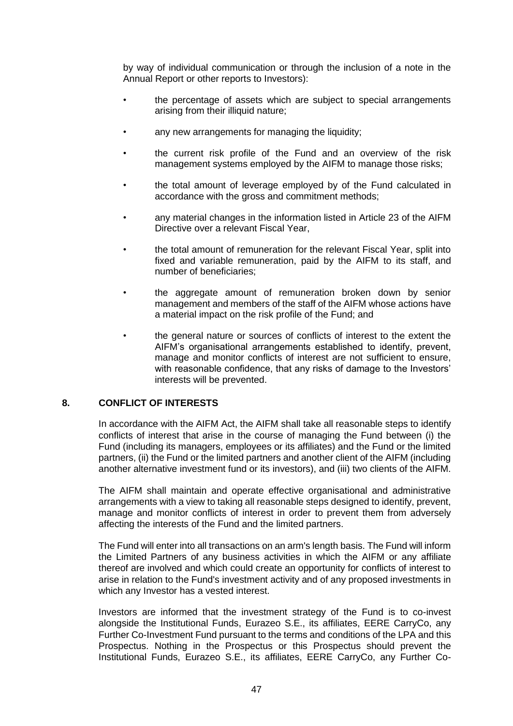by way of individual communication or through the inclusion of a note in the Annual Report or other reports to Investors):

- the percentage of assets which are subject to special arrangements arising from their illiquid nature;
- any new arrangements for managing the liquidity;
- the current risk profile of the Fund and an overview of the risk management systems employed by the AIFM to manage those risks;
- the total amount of leverage employed by of the Fund calculated in accordance with the gross and commitment methods;
- any material changes in the information listed in Article 23 of the AIFM Directive over a relevant Fiscal Year,
- the total amount of remuneration for the relevant Fiscal Year, split into fixed and variable remuneration, paid by the AIFM to its staff, and number of beneficiaries;
- the aggregate amount of remuneration broken down by senior management and members of the staff of the AIFM whose actions have a material impact on the risk profile of the Fund; and
- the general nature or sources of conflicts of interest to the extent the AIFM's organisational arrangements established to identify, prevent, manage and monitor conflicts of interest are not sufficient to ensure, with reasonable confidence, that any risks of damage to the Investors' interests will be prevented.

# **8. CONFLICT OF INTERESTS**

In accordance with the AIFM Act, the AIFM shall take all reasonable steps to identify conflicts of interest that arise in the course of managing the Fund between (i) the Fund (including its managers, employees or its affiliates) and the Fund or the limited partners, (ii) the Fund or the limited partners and another client of the AIFM (including another alternative investment fund or its investors), and (iii) two clients of the AIFM.

The AIFM shall maintain and operate effective organisational and administrative arrangements with a view to taking all reasonable steps designed to identify, prevent, manage and monitor conflicts of interest in order to prevent them from adversely affecting the interests of the Fund and the limited partners.

The Fund will enter into all transactions on an arm's length basis. The Fund will inform the Limited Partners of any business activities in which the AIFM or any affiliate thereof are involved and which could create an opportunity for conflicts of interest to arise in relation to the Fund's investment activity and of any proposed investments in which any Investor has a vested interest.

Investors are informed that the investment strategy of the Fund is to co-invest alongside the Institutional Funds, Eurazeo S.E., its affiliates, EERE CarryCo, any Further Co-Investment Fund pursuant to the terms and conditions of the LPA and this Prospectus. Nothing in the Prospectus or this Prospectus should prevent the Institutional Funds, Eurazeo S.E., its affiliates, EERE CarryCo, any Further Co-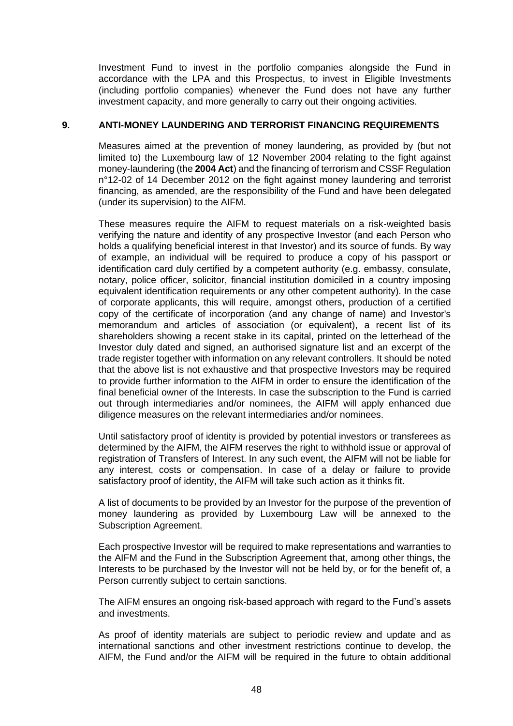Investment Fund to invest in the portfolio companies alongside the Fund in accordance with the LPA and this Prospectus, to invest in Eligible Investments (including portfolio companies) whenever the Fund does not have any further investment capacity, and more generally to carry out their ongoing activities.

# <span id="page-47-0"></span>**9. ANTI-MONEY LAUNDERING AND TERRORIST FINANCING REQUIREMENTS**

Measures aimed at the prevention of money laundering, as provided by (but not limited to) the Luxembourg law of 12 November 2004 relating to the fight against money-laundering (the **2004 Act**) and the financing of terrorism and CSSF Regulation n°12-02 of 14 December 2012 on the fight against money laundering and terrorist financing, as amended, are the responsibility of the Fund and have been delegated (under its supervision) to the AIFM.

These measures require the AIFM to request materials on a risk-weighted basis verifying the nature and identity of any prospective Investor (and each Person who holds a qualifying beneficial interest in that Investor) and its source of funds. By way of example, an individual will be required to produce a copy of his passport or identification card duly certified by a competent authority (e.g. embassy, consulate, notary, police officer, solicitor, financial institution domiciled in a country imposing equivalent identification requirements or any other competent authority). In the case of corporate applicants, this will require, amongst others, production of a certified copy of the certificate of incorporation (and any change of name) and Investor's memorandum and articles of association (or equivalent), a recent list of its shareholders showing a recent stake in its capital, printed on the letterhead of the Investor duly dated and signed, an authorised signature list and an excerpt of the trade register together with information on any relevant controllers. It should be noted that the above list is not exhaustive and that prospective Investors may be required to provide further information to the AIFM in order to ensure the identification of the final beneficial owner of the Interests. In case the subscription to the Fund is carried out through intermediaries and/or nominees, the AIFM will apply enhanced due diligence measures on the relevant intermediaries and/or nominees.

Until satisfactory proof of identity is provided by potential investors or transferees as determined by the AIFM, the AIFM reserves the right to withhold issue or approval of registration of Transfers of Interest. In any such event, the AIFM will not be liable for any interest, costs or compensation. In case of a delay or failure to provide satisfactory proof of identity, the AIFM will take such action as it thinks fit.

A list of documents to be provided by an Investor for the purpose of the prevention of money laundering as provided by Luxembourg Law will be annexed to the Subscription Agreement.

Each prospective Investor will be required to make representations and warranties to the AIFM and the Fund in the Subscription Agreement that, among other things, the Interests to be purchased by the Investor will not be held by, or for the benefit of, a Person currently subject to certain sanctions.

The AIFM ensures an ongoing risk-based approach with regard to the Fund's assets and investments.

As proof of identity materials are subject to periodic review and update and as international sanctions and other investment restrictions continue to develop, the AIFM, the Fund and/or the AIFM will be required in the future to obtain additional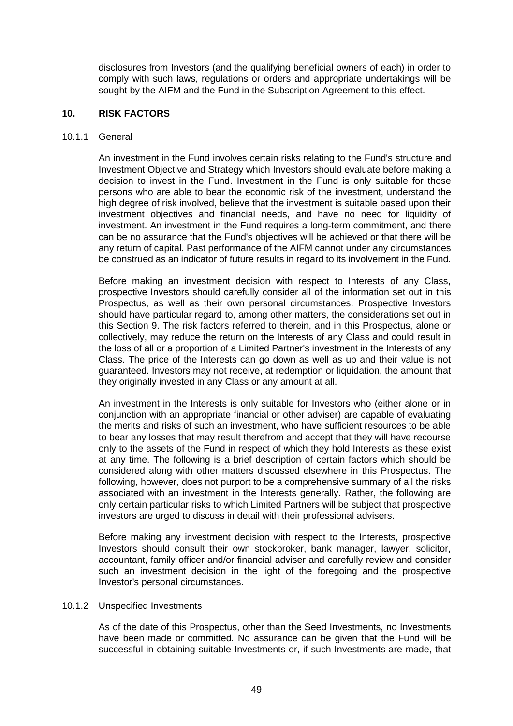disclosures from Investors (and the qualifying beneficial owners of each) in order to comply with such laws, regulations or orders and appropriate undertakings will be sought by the AIFM and the Fund in the Subscription Agreement to this effect.

#### **10. RISK FACTORS**

#### 10.1.1 General

An investment in the Fund involves certain risks relating to the Fund's structure and Investment Objective and Strategy which Investors should evaluate before making a decision to invest in the Fund. Investment in the Fund is only suitable for those persons who are able to bear the economic risk of the investment, understand the high degree of risk involved, believe that the investment is suitable based upon their investment objectives and financial needs, and have no need for liquidity of investment. An investment in the Fund requires a long-term commitment, and there can be no assurance that the Fund's objectives will be achieved or that there will be any return of capital. Past performance of the AIFM cannot under any circumstances be construed as an indicator of future results in regard to its involvement in the Fund.

Before making an investment decision with respect to Interests of any Class, prospective Investors should carefully consider all of the information set out in this Prospectus, as well as their own personal circumstances. Prospective Investors should have particular regard to, among other matters, the considerations set out in this Section [9.](#page-47-0) The risk factors referred to therein, and in this Prospectus, alone or collectively, may reduce the return on the Interests of any Class and could result in the loss of all or a proportion of a Limited Partner's investment in the Interests of any Class. The price of the Interests can go down as well as up and their value is not guaranteed. Investors may not receive, at redemption or liquidation, the amount that they originally invested in any Class or any amount at all.

An investment in the Interests is only suitable for Investors who (either alone or in conjunction with an appropriate financial or other adviser) are capable of evaluating the merits and risks of such an investment, who have sufficient resources to be able to bear any losses that may result therefrom and accept that they will have recourse only to the assets of the Fund in respect of which they hold Interests as these exist at any time. The following is a brief description of certain factors which should be considered along with other matters discussed elsewhere in this Prospectus. The following, however, does not purport to be a comprehensive summary of all the risks associated with an investment in the Interests generally. Rather, the following are only certain particular risks to which Limited Partners will be subject that prospective investors are urged to discuss in detail with their professional advisers.

Before making any investment decision with respect to the Interests, prospective Investors should consult their own stockbroker, bank manager, lawyer, solicitor, accountant, family officer and/or financial adviser and carefully review and consider such an investment decision in the light of the foregoing and the prospective Investor's personal circumstances.

#### 10.1.2 Unspecified Investments

As of the date of this Prospectus, other than the Seed Investments, no Investments have been made or committed. No assurance can be given that the Fund will be successful in obtaining suitable Investments or, if such Investments are made, that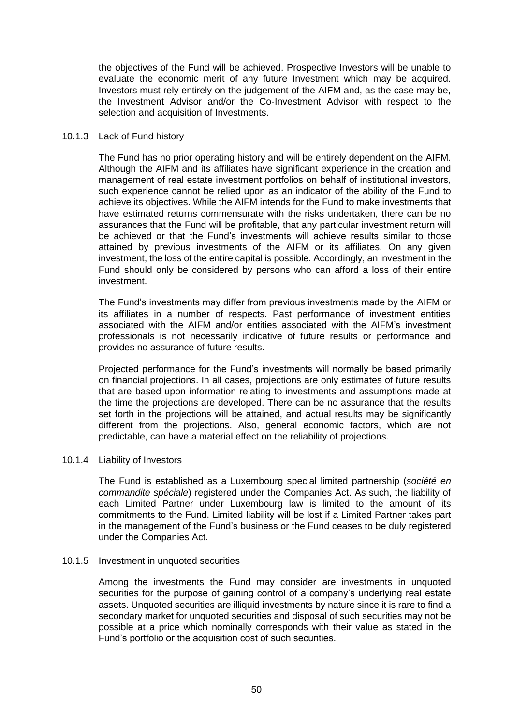the objectives of the Fund will be achieved. Prospective Investors will be unable to evaluate the economic merit of any future Investment which may be acquired. Investors must rely entirely on the judgement of the AIFM and, as the case may be, the Investment Advisor and/or the Co-Investment Advisor with respect to the selection and acquisition of Investments.

#### 10.1.3 Lack of Fund history

The Fund has no prior operating history and will be entirely dependent on the AIFM. Although the AIFM and its affiliates have significant experience in the creation and management of real estate investment portfolios on behalf of institutional investors, such experience cannot be relied upon as an indicator of the ability of the Fund to achieve its objectives. While the AIFM intends for the Fund to make investments that have estimated returns commensurate with the risks undertaken, there can be no assurances that the Fund will be profitable, that any particular investment return will be achieved or that the Fund's investments will achieve results similar to those attained by previous investments of the AIFM or its affiliates. On any given investment, the loss of the entire capital is possible. Accordingly, an investment in the Fund should only be considered by persons who can afford a loss of their entire investment.

The Fund's investments may differ from previous investments made by the AIFM or its affiliates in a number of respects. Past performance of investment entities associated with the AIFM and/or entities associated with the AIFM's investment professionals is not necessarily indicative of future results or performance and provides no assurance of future results.

Projected performance for the Fund's investments will normally be based primarily on financial projections. In all cases, projections are only estimates of future results that are based upon information relating to investments and assumptions made at the time the projections are developed. There can be no assurance that the results set forth in the projections will be attained, and actual results may be significantly different from the projections. Also, general economic factors, which are not predictable, can have a material effect on the reliability of projections.

# 10.1.4 Liability of Investors

The Fund is established as a Luxembourg special limited partnership (*société en commandite spéciale*) registered under the Companies Act. As such, the liability of each Limited Partner under Luxembourg law is limited to the amount of its commitments to the Fund. Limited liability will be lost if a Limited Partner takes part in the management of the Fund's business or the Fund ceases to be duly registered under the Companies Act.

#### 10.1.5 Investment in unquoted securities

Among the investments the Fund may consider are investments in unquoted securities for the purpose of gaining control of a company's underlying real estate assets. Unquoted securities are illiquid investments by nature since it is rare to find a secondary market for unquoted securities and disposal of such securities may not be possible at a price which nominally corresponds with their value as stated in the Fund's portfolio or the acquisition cost of such securities.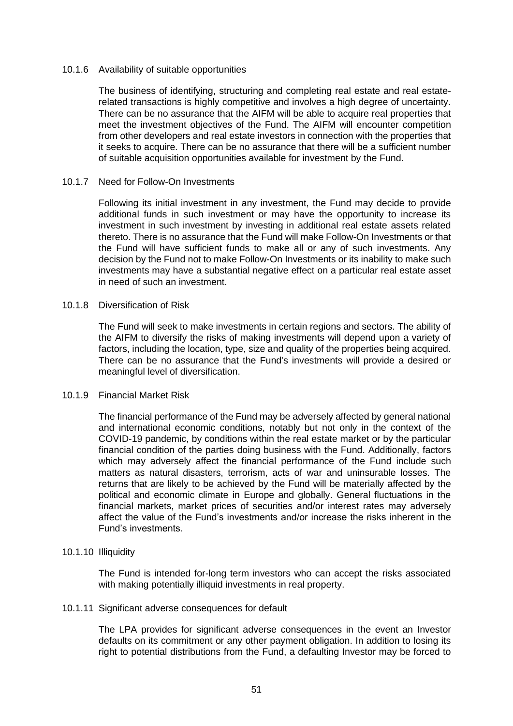#### 10.1.6 Availability of suitable opportunities

The business of identifying, structuring and completing real estate and real estaterelated transactions is highly competitive and involves a high degree of uncertainty. There can be no assurance that the AIFM will be able to acquire real properties that meet the investment objectives of the Fund. The AIFM will encounter competition from other developers and real estate investors in connection with the properties that it seeks to acquire. There can be no assurance that there will be a sufficient number of suitable acquisition opportunities available for investment by the Fund.

#### 10.1.7 Need for Follow-On Investments

Following its initial investment in any investment, the Fund may decide to provide additional funds in such investment or may have the opportunity to increase its investment in such investment by investing in additional real estate assets related thereto. There is no assurance that the Fund will make Follow-On Investments or that the Fund will have sufficient funds to make all or any of such investments. Any decision by the Fund not to make Follow-On Investments or its inability to make such investments may have a substantial negative effect on a particular real estate asset in need of such an investment.

#### 10.1.8 Diversification of Risk

The Fund will seek to make investments in certain regions and sectors. The ability of the AIFM to diversify the risks of making investments will depend upon a variety of factors, including the location, type, size and quality of the properties being acquired. There can be no assurance that the Fund's investments will provide a desired or meaningful level of diversification.

#### 10.1.9 Financial Market Risk

The financial performance of the Fund may be adversely affected by general national and international economic conditions, notably but not only in the context of the COVID-19 pandemic, by conditions within the real estate market or by the particular financial condition of the parties doing business with the Fund. Additionally, factors which may adversely affect the financial performance of the Fund include such matters as natural disasters, terrorism, acts of war and uninsurable losses. The returns that are likely to be achieved by the Fund will be materially affected by the political and economic climate in Europe and globally. General fluctuations in the financial markets, market prices of securities and/or interest rates may adversely affect the value of the Fund's investments and/or increase the risks inherent in the Fund's investments.

#### 10.1.10 Illiquidity

The Fund is intended for-long term investors who can accept the risks associated with making potentially illiquid investments in real property.

#### 10.1.11 Significant adverse consequences for default

The LPA provides for significant adverse consequences in the event an Investor defaults on its commitment or any other payment obligation. In addition to losing its right to potential distributions from the Fund, a defaulting Investor may be forced to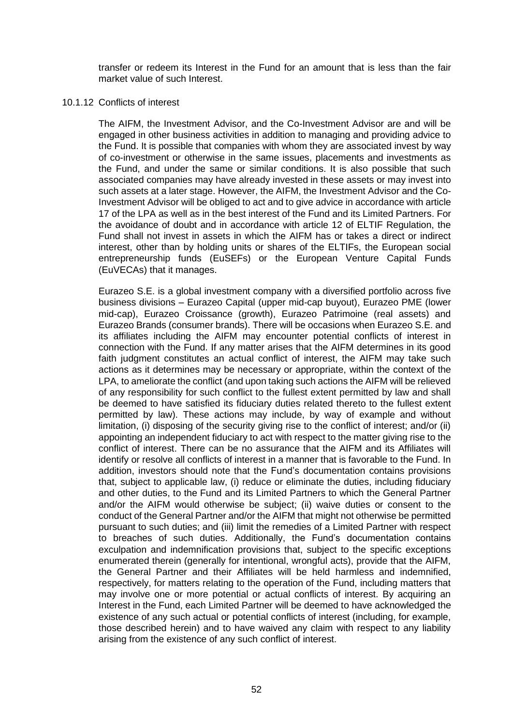transfer or redeem its Interest in the Fund for an amount that is less than the fair market value of such Interest.

# 10.1.12 Conflicts of interest

The AIFM, the Investment Advisor, and the Co-Investment Advisor are and will be engaged in other business activities in addition to managing and providing advice to the Fund. It is possible that companies with whom they are associated invest by way of co-investment or otherwise in the same issues, placements and investments as the Fund, and under the same or similar conditions. It is also possible that such associated companies may have already invested in these assets or may invest into such assets at a later stage. However, the AIFM, the Investment Advisor and the Co-Investment Advisor will be obliged to act and to give advice in accordance with article 17 of the LPA as well as in the best interest of the Fund and its Limited Partners. For the avoidance of doubt and in accordance with article 12 of ELTIF Regulation, the Fund shall not invest in assets in which the AIFM has or takes a direct or indirect interest, other than by holding units or shares of the ELTIFs, the European social entrepreneurship funds (EuSEFs) or the European Venture Capital Funds (EuVECAs) that it manages.

Eurazeo S.E. is a global investment company with a diversified portfolio across five business divisions – Eurazeo Capital (upper mid-cap buyout), Eurazeo PME (lower mid-cap), Eurazeo Croissance (growth), Eurazeo Patrimoine (real assets) and Eurazeo Brands (consumer brands). There will be occasions when Eurazeo S.E. and its affiliates including the AIFM may encounter potential conflicts of interest in connection with the Fund. If any matter arises that the AIFM determines in its good faith judgment constitutes an actual conflict of interest, the AIFM may take such actions as it determines may be necessary or appropriate, within the context of the LPA, to ameliorate the conflict (and upon taking such actions the AIFM will be relieved of any responsibility for such conflict to the fullest extent permitted by law and shall be deemed to have satisfied its fiduciary duties related thereto to the fullest extent permitted by law). These actions may include, by way of example and without limitation, (i) disposing of the security giving rise to the conflict of interest; and/or (ii) appointing an independent fiduciary to act with respect to the matter giving rise to the conflict of interest. There can be no assurance that the AIFM and its Affiliates will identify or resolve all conflicts of interest in a manner that is favorable to the Fund. In addition, investors should note that the Fund's documentation contains provisions that, subject to applicable law, (i) reduce or eliminate the duties, including fiduciary and other duties, to the Fund and its Limited Partners to which the General Partner and/or the AIFM would otherwise be subject; (ii) waive duties or consent to the conduct of the General Partner and/or the AIFM that might not otherwise be permitted pursuant to such duties; and (iii) limit the remedies of a Limited Partner with respect to breaches of such duties. Additionally, the Fund's documentation contains exculpation and indemnification provisions that, subject to the specific exceptions enumerated therein (generally for intentional, wrongful acts), provide that the AIFM, the General Partner and their Affiliates will be held harmless and indemnified, respectively, for matters relating to the operation of the Fund, including matters that may involve one or more potential or actual conflicts of interest. By acquiring an Interest in the Fund, each Limited Partner will be deemed to have acknowledged the existence of any such actual or potential conflicts of interest (including, for example, those described herein) and to have waived any claim with respect to any liability arising from the existence of any such conflict of interest.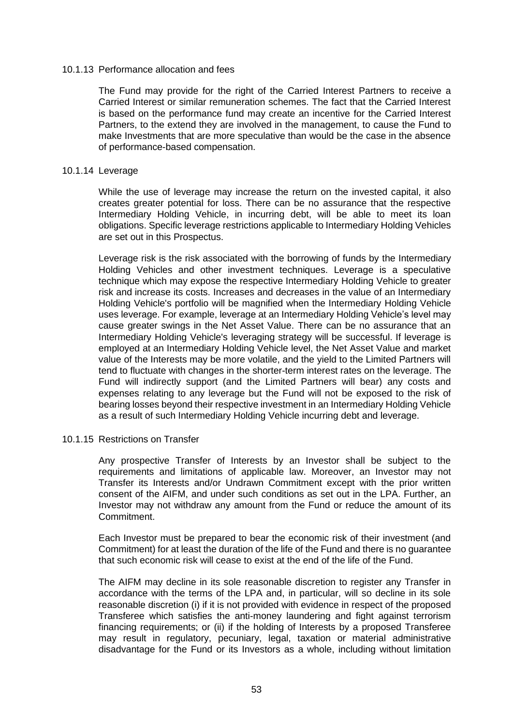#### 10.1.13 Performance allocation and fees

The Fund may provide for the right of the Carried Interest Partners to receive a Carried Interest or similar remuneration schemes. The fact that the Carried Interest is based on the performance fund may create an incentive for the Carried Interest Partners, to the extend they are involved in the management, to cause the Fund to make Investments that are more speculative than would be the case in the absence of performance-based compensation.

#### 10.1.14 Leverage

While the use of leverage may increase the return on the invested capital, it also creates greater potential for loss. There can be no assurance that the respective Intermediary Holding Vehicle, in incurring debt, will be able to meet its loan obligations. Specific leverage restrictions applicable to Intermediary Holding Vehicles are set out in this Prospectus.

Leverage risk is the risk associated with the borrowing of funds by the Intermediary Holding Vehicles and other investment techniques. Leverage is a speculative technique which may expose the respective Intermediary Holding Vehicle to greater risk and increase its costs. Increases and decreases in the value of an Intermediary Holding Vehicle's portfolio will be magnified when the Intermediary Holding Vehicle uses leverage. For example, leverage at an Intermediary Holding Vehicle's level may cause greater swings in the Net Asset Value. There can be no assurance that an Intermediary Holding Vehicle's leveraging strategy will be successful. If leverage is employed at an Intermediary Holding Vehicle level, the Net Asset Value and market value of the Interests may be more volatile, and the yield to the Limited Partners will tend to fluctuate with changes in the shorter-term interest rates on the leverage. The Fund will indirectly support (and the Limited Partners will bear) any costs and expenses relating to any leverage but the Fund will not be exposed to the risk of bearing losses beyond their respective investment in an Intermediary Holding Vehicle as a result of such Intermediary Holding Vehicle incurring debt and leverage.

#### 10.1.15 Restrictions on Transfer

Any prospective Transfer of Interests by an Investor shall be subject to the requirements and limitations of applicable law. Moreover, an Investor may not Transfer its Interests and/or Undrawn Commitment except with the prior written consent of the AIFM, and under such conditions as set out in the LPA. Further, an Investor may not withdraw any amount from the Fund or reduce the amount of its Commitment.

Each Investor must be prepared to bear the economic risk of their investment (and Commitment) for at least the duration of the life of the Fund and there is no guarantee that such economic risk will cease to exist at the end of the life of the Fund.

The AIFM may decline in its sole reasonable discretion to register any Transfer in accordance with the terms of the LPA and, in particular, will so decline in its sole reasonable discretion (i) if it is not provided with evidence in respect of the proposed Transferee which satisfies the anti-money laundering and fight against terrorism financing requirements; or (ii) if the holding of Interests by a proposed Transferee may result in regulatory, pecuniary, legal, taxation or material administrative disadvantage for the Fund or its Investors as a whole, including without limitation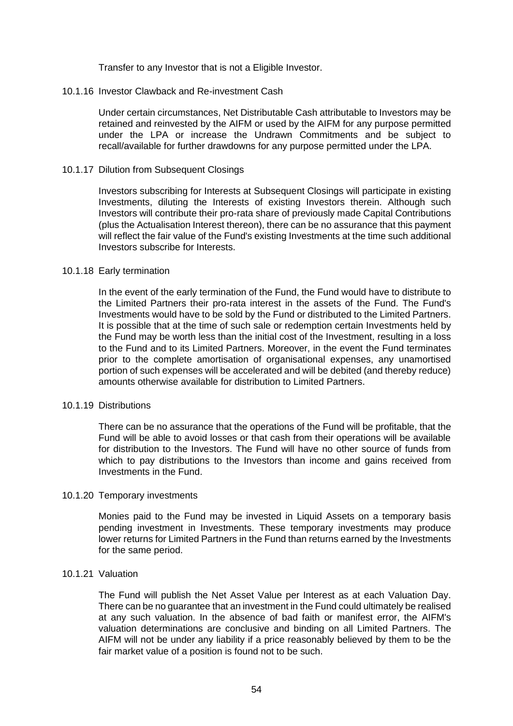Transfer to any Investor that is not a Eligible Investor.

#### 10.1.16 Investor Clawback and Re-investment Cash

Under certain circumstances, Net Distributable Cash attributable to Investors may be retained and reinvested by the AIFM or used by the AIFM for any purpose permitted under the LPA or increase the Undrawn Commitments and be subject to recall/available for further drawdowns for any purpose permitted under the LPA.

#### 10.1.17 Dilution from Subsequent Closings

Investors subscribing for Interests at Subsequent Closings will participate in existing Investments, diluting the Interests of existing Investors therein. Although such Investors will contribute their pro-rata share of previously made Capital Contributions (plus the Actualisation Interest thereon), there can be no assurance that this payment will reflect the fair value of the Fund's existing Investments at the time such additional Investors subscribe for Interests.

#### 10.1.18 Early termination

In the event of the early termination of the Fund, the Fund would have to distribute to the Limited Partners their pro-rata interest in the assets of the Fund. The Fund's Investments would have to be sold by the Fund or distributed to the Limited Partners. It is possible that at the time of such sale or redemption certain Investments held by the Fund may be worth less than the initial cost of the Investment, resulting in a loss to the Fund and to its Limited Partners. Moreover, in the event the Fund terminates prior to the complete amortisation of organisational expenses, any unamortised portion of such expenses will be accelerated and will be debited (and thereby reduce) amounts otherwise available for distribution to Limited Partners.

#### 10.1.19 Distributions

There can be no assurance that the operations of the Fund will be profitable, that the Fund will be able to avoid losses or that cash from their operations will be available for distribution to the Investors. The Fund will have no other source of funds from which to pay distributions to the Investors than income and gains received from Investments in the Fund.

#### 10.1.20 Temporary investments

Monies paid to the Fund may be invested in Liquid Assets on a temporary basis pending investment in Investments. These temporary investments may produce lower returns for Limited Partners in the Fund than returns earned by the Investments for the same period.

# 10.1.21 Valuation

The Fund will publish the Net Asset Value per Interest as at each Valuation Day. There can be no guarantee that an investment in the Fund could ultimately be realised at any such valuation. In the absence of bad faith or manifest error, the AIFM's valuation determinations are conclusive and binding on all Limited Partners. The AIFM will not be under any liability if a price reasonably believed by them to be the fair market value of a position is found not to be such.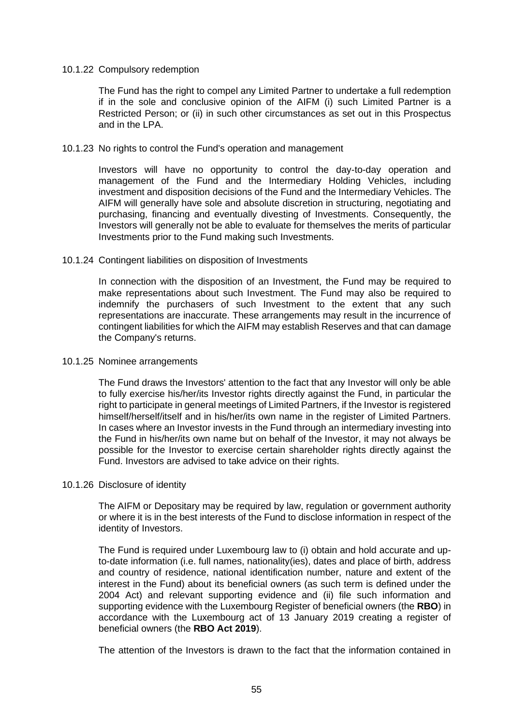#### 10.1.22 Compulsory redemption

The Fund has the right to compel any Limited Partner to undertake a full redemption if in the sole and conclusive opinion of the AIFM (i) such Limited Partner is a Restricted Person; or (ii) in such other circumstances as set out in this Prospectus and in the LPA.

#### 10.1.23 No rights to control the Fund's operation and management

Investors will have no opportunity to control the day-to-day operation and management of the Fund and the Intermediary Holding Vehicles, including investment and disposition decisions of the Fund and the Intermediary Vehicles. The AIFM will generally have sole and absolute discretion in structuring, negotiating and purchasing, financing and eventually divesting of Investments. Consequently, the Investors will generally not be able to evaluate for themselves the merits of particular Investments prior to the Fund making such Investments.

#### 10.1.24 Contingent liabilities on disposition of Investments

In connection with the disposition of an Investment, the Fund may be required to make representations about such Investment. The Fund may also be required to indemnify the purchasers of such Investment to the extent that any such representations are inaccurate. These arrangements may result in the incurrence of contingent liabilities for which the AIFM may establish Reserves and that can damage the Company's returns.

#### 10.1.25 Nominee arrangements

The Fund draws the Investors' attention to the fact that any Investor will only be able to fully exercise his/her/its Investor rights directly against the Fund, in particular the right to participate in general meetings of Limited Partners, if the Investor is registered himself/herself/itself and in his/her/its own name in the register of Limited Partners. In cases where an Investor invests in the Fund through an intermediary investing into the Fund in his/her/its own name but on behalf of the Investor, it may not always be possible for the Investor to exercise certain shareholder rights directly against the Fund. Investors are advised to take advice on their rights.

#### 10.1.26 Disclosure of identity

The AIFM or Depositary may be required by law, regulation or government authority or where it is in the best interests of the Fund to disclose information in respect of the identity of Investors.

The Fund is required under Luxembourg law to (i) obtain and hold accurate and upto-date information (i.e. full names, nationality(ies), dates and place of birth, address and country of residence, national identification number, nature and extent of the interest in the Fund) about its beneficial owners (as such term is defined under the 2004 Act) and relevant supporting evidence and (ii) file such information and supporting evidence with the Luxembourg Register of beneficial owners (the **RBO**) in accordance with the Luxembourg act of 13 January 2019 creating a register of beneficial owners (the **RBO Act 2019**).

The attention of the Investors is drawn to the fact that the information contained in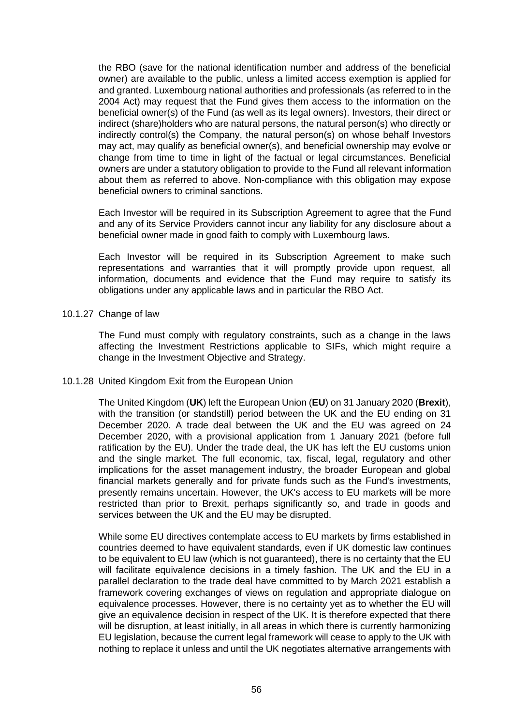the RBO (save for the national identification number and address of the beneficial owner) are available to the public, unless a limited access exemption is applied for and granted. Luxembourg national authorities and professionals (as referred to in the 2004 Act) may request that the Fund gives them access to the information on the beneficial owner(s) of the Fund (as well as its legal owners). Investors, their direct or indirect (share)holders who are natural persons, the natural person(s) who directly or indirectly control(s) the Company, the natural person(s) on whose behalf Investors may act, may qualify as beneficial owner(s), and beneficial ownership may evolve or change from time to time in light of the factual or legal circumstances. Beneficial owners are under a statutory obligation to provide to the Fund all relevant information about them as referred to above. Non-compliance with this obligation may expose beneficial owners to criminal sanctions.

Each Investor will be required in its Subscription Agreement to agree that the Fund and any of its Service Providers cannot incur any liability for any disclosure about a beneficial owner made in good faith to comply with Luxembourg laws.

Each Investor will be required in its Subscription Agreement to make such representations and warranties that it will promptly provide upon request, all information, documents and evidence that the Fund may require to satisfy its obligations under any applicable laws and in particular the RBO Act.

10.1.27 Change of law

The Fund must comply with regulatory constraints, such as a change in the laws affecting the Investment Restrictions applicable to SIFs, which might require a change in the Investment Objective and Strategy.

# <span id="page-55-0"></span>10.1.28 United Kingdom Exit from the European Union

The United Kingdom (**UK**) left the European Union (**EU**) on 31 January 2020 (**Brexit**), with the transition (or standstill) period between the UK and the EU ending on 31 December 2020. A trade deal between the UK and the EU was agreed on 24 December 2020, with a provisional application from 1 January 2021 (before full ratification by the EU). Under the trade deal, the UK has left the EU customs union and the single market. The full economic, tax, fiscal, legal, regulatory and other implications for the asset management industry, the broader European and global financial markets generally and for private funds such as the Fund's investments, presently remains uncertain. However, the UK's access to EU markets will be more restricted than prior to Brexit, perhaps significantly so, and trade in goods and services between the UK and the EU may be disrupted.

While some EU directives contemplate access to EU markets by firms established in countries deemed to have equivalent standards, even if UK domestic law continues to be equivalent to EU law (which is not guaranteed), there is no certainty that the EU will facilitate equivalence decisions in a timely fashion. The UK and the EU in a parallel declaration to the trade deal have committed to by March 2021 establish a framework covering exchanges of views on regulation and appropriate dialogue on equivalence processes. However, there is no certainty yet as to whether the EU will give an equivalence decision in respect of the UK. It is therefore expected that there will be disruption, at least initially, in all areas in which there is currently harmonizing EU legislation, because the current legal framework will cease to apply to the UK with nothing to replace it unless and until the UK negotiates alternative arrangements with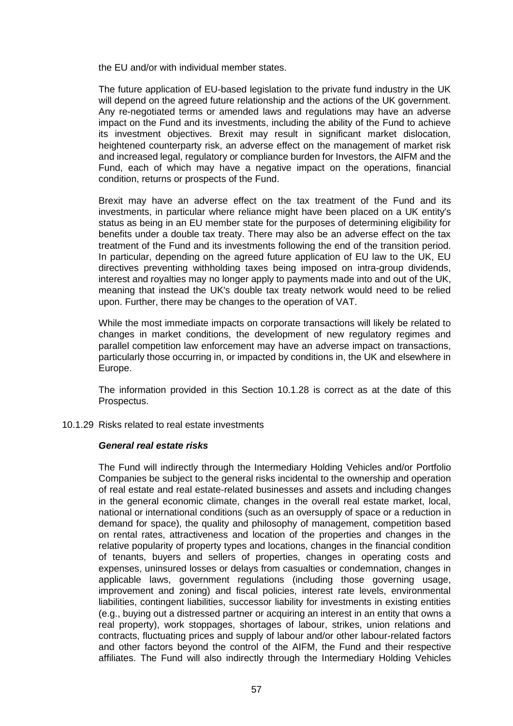the EU and/or with individual member states.

The future application of EU-based legislation to the private fund industry in the UK will depend on the agreed future relationship and the actions of the UK government. Any re-negotiated terms or amended laws and regulations may have an adverse impact on the Fund and its investments, including the ability of the Fund to achieve its investment objectives. Brexit may result in significant market dislocation, heightened counterparty risk, an adverse effect on the management of market risk and increased legal, regulatory or compliance burden for Investors, the AIFM and the Fund, each of which may have a negative impact on the operations, financial condition, returns or prospects of the Fund.

Brexit may have an adverse effect on the tax treatment of the Fund and its investments, in particular where reliance might have been placed on a UK entity's status as being in an EU member state for the purposes of determining eligibility for benefits under a double tax treaty. There may also be an adverse effect on the tax treatment of the Fund and its investments following the end of the transition period. In particular, depending on the agreed future application of EU law to the UK, EU directives preventing withholding taxes being imposed on intra-group dividends, interest and royalties may no longer apply to payments made into and out of the UK, meaning that instead the UK's double tax treaty network would need to be relied upon. Further, there may be changes to the operation of VAT.

While the most immediate impacts on corporate transactions will likely be related to changes in market conditions, the development of new regulatory regimes and parallel competition law enforcement may have an adverse impact on transactions, particularly those occurring in, or impacted by conditions in, the UK and elsewhere in Europe.

The information provided in this Section [10.1.28](#page-55-0) is correct as at the date of this Prospectus.

#### 10.1.29 Risks related to real estate investments

#### *General real estate risks*

The Fund will indirectly through the Intermediary Holding Vehicles and/or Portfolio Companies be subject to the general risks incidental to the ownership and operation of real estate and real estate-related businesses and assets and including changes in the general economic climate, changes in the overall real estate market, local, national or international conditions (such as an oversupply of space or a reduction in demand for space), the quality and philosophy of management, competition based on rental rates, attractiveness and location of the properties and changes in the relative popularity of property types and locations, changes in the financial condition of tenants, buyers and sellers of properties, changes in operating costs and expenses, uninsured losses or delays from casualties or condemnation, changes in applicable laws, government regulations (including those governing usage, improvement and zoning) and fiscal policies, interest rate levels, environmental liabilities, contingent liabilities, successor liability for investments in existing entities (e.g., buying out a distressed partner or acquiring an interest in an entity that owns a real property), work stoppages, shortages of labour, strikes, union relations and contracts, fluctuating prices and supply of labour and/or other labour-related factors and other factors beyond the control of the AIFM, the Fund and their respective affiliates. The Fund will also indirectly through the Intermediary Holding Vehicles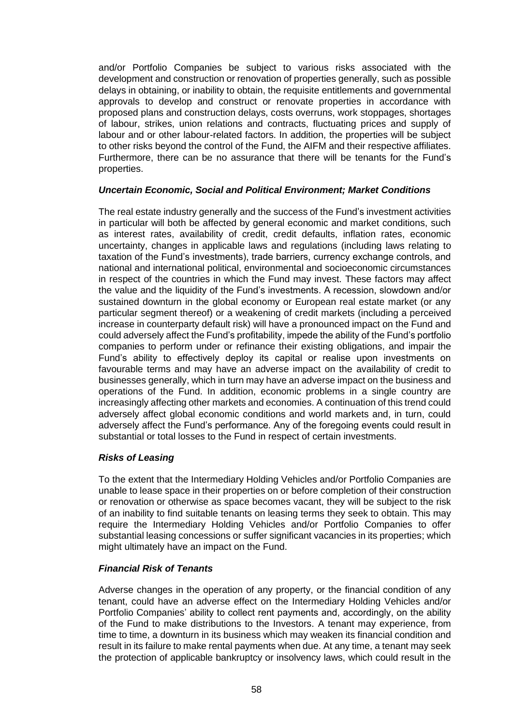and/or Portfolio Companies be subject to various risks associated with the development and construction or renovation of properties generally, such as possible delays in obtaining, or inability to obtain, the requisite entitlements and governmental approvals to develop and construct or renovate properties in accordance with proposed plans and construction delays, costs overruns, work stoppages, shortages of labour, strikes, union relations and contracts, fluctuating prices and supply of labour and or other labour-related factors. In addition, the properties will be subject to other risks beyond the control of the Fund, the AIFM and their respective affiliates. Furthermore, there can be no assurance that there will be tenants for the Fund's properties.

# *Uncertain Economic, Social and Political Environment; Market Conditions*

The real estate industry generally and the success of the Fund's investment activities in particular will both be affected by general economic and market conditions, such as interest rates, availability of credit, credit defaults, inflation rates, economic uncertainty, changes in applicable laws and regulations (including laws relating to taxation of the Fund's investments), trade barriers, currency exchange controls, and national and international political, environmental and socioeconomic circumstances in respect of the countries in which the Fund may invest. These factors may affect the value and the liquidity of the Fund's investments. A recession, slowdown and/or sustained downturn in the global economy or European real estate market (or any particular segment thereof) or a weakening of credit markets (including a perceived increase in counterparty default risk) will have a pronounced impact on the Fund and could adversely affect the Fund's profitability, impede the ability of the Fund's portfolio companies to perform under or refinance their existing obligations, and impair the Fund's ability to effectively deploy its capital or realise upon investments on favourable terms and may have an adverse impact on the availability of credit to businesses generally, which in turn may have an adverse impact on the business and operations of the Fund. In addition, economic problems in a single country are increasingly affecting other markets and economies. A continuation of this trend could adversely affect global economic conditions and world markets and, in turn, could adversely affect the Fund's performance. Any of the foregoing events could result in substantial or total losses to the Fund in respect of certain investments.

# *Risks of Leasing*

To the extent that the Intermediary Holding Vehicles and/or Portfolio Companies are unable to lease space in their properties on or before completion of their construction or renovation or otherwise as space becomes vacant, they will be subject to the risk of an inability to find suitable tenants on leasing terms they seek to obtain. This may require the Intermediary Holding Vehicles and/or Portfolio Companies to offer substantial leasing concessions or suffer significant vacancies in its properties; which might ultimately have an impact on the Fund.

# *Financial Risk of Tenants*

Adverse changes in the operation of any property, or the financial condition of any tenant, could have an adverse effect on the Intermediary Holding Vehicles and/or Portfolio Companies' ability to collect rent payments and, accordingly, on the ability of the Fund to make distributions to the Investors. A tenant may experience, from time to time, a downturn in its business which may weaken its financial condition and result in its failure to make rental payments when due. At any time, a tenant may seek the protection of applicable bankruptcy or insolvency laws, which could result in the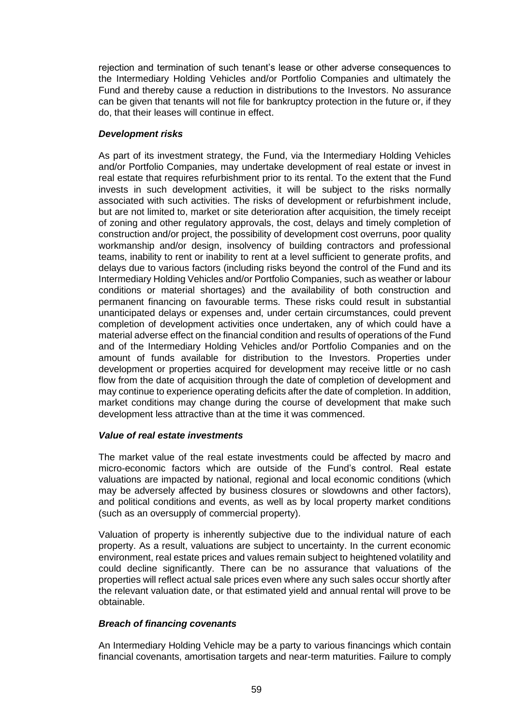rejection and termination of such tenant's lease or other adverse consequences to the Intermediary Holding Vehicles and/or Portfolio Companies and ultimately the Fund and thereby cause a reduction in distributions to the Investors. No assurance can be given that tenants will not file for bankruptcy protection in the future or, if they do, that their leases will continue in effect.

# *Development risks*

As part of its investment strategy, the Fund, via the Intermediary Holding Vehicles and/or Portfolio Companies, may undertake development of real estate or invest in real estate that requires refurbishment prior to its rental. To the extent that the Fund invests in such development activities, it will be subject to the risks normally associated with such activities. The risks of development or refurbishment include, but are not limited to, market or site deterioration after acquisition, the timely receipt of zoning and other regulatory approvals, the cost, delays and timely completion of construction and/or project, the possibility of development cost overruns, poor quality workmanship and/or design, insolvency of building contractors and professional teams, inability to rent or inability to rent at a level sufficient to generate profits, and delays due to various factors (including risks beyond the control of the Fund and its Intermediary Holding Vehicles and/or Portfolio Companies, such as weather or labour conditions or material shortages) and the availability of both construction and permanent financing on favourable terms. These risks could result in substantial unanticipated delays or expenses and, under certain circumstances, could prevent completion of development activities once undertaken, any of which could have a material adverse effect on the financial condition and results of operations of the Fund and of the Intermediary Holding Vehicles and/or Portfolio Companies and on the amount of funds available for distribution to the Investors. Properties under development or properties acquired for development may receive little or no cash flow from the date of acquisition through the date of completion of development and may continue to experience operating deficits after the date of completion. In addition, market conditions may change during the course of development that make such development less attractive than at the time it was commenced.

# *Value of real estate investments*

The market value of the real estate investments could be affected by macro and micro-economic factors which are outside of the Fund's control. Real estate valuations are impacted by national, regional and local economic conditions (which may be adversely affected by business closures or slowdowns and other factors), and political conditions and events, as well as by local property market conditions (such as an oversupply of commercial property).

Valuation of property is inherently subjective due to the individual nature of each property. As a result, valuations are subject to uncertainty. In the current economic environment, real estate prices and values remain subject to heightened volatility and could decline significantly. There can be no assurance that valuations of the properties will reflect actual sale prices even where any such sales occur shortly after the relevant valuation date, or that estimated yield and annual rental will prove to be obtainable.

# *Breach of financing covenants*

An Intermediary Holding Vehicle may be a party to various financings which contain financial covenants, amortisation targets and near-term maturities. Failure to comply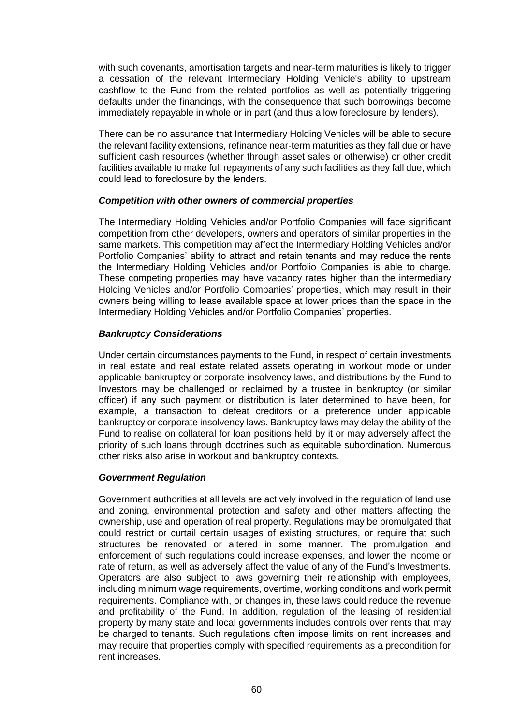with such covenants, amortisation targets and near-term maturities is likely to trigger a cessation of the relevant Intermediary Holding Vehicle's ability to upstream cashflow to the Fund from the related portfolios as well as potentially triggering defaults under the financings, with the consequence that such borrowings become immediately repayable in whole or in part (and thus allow foreclosure by lenders).

There can be no assurance that Intermediary Holding Vehicles will be able to secure the relevant facility extensions, refinance near-term maturities as they fall due or have sufficient cash resources (whether through asset sales or otherwise) or other credit facilities available to make full repayments of any such facilities as they fall due, which could lead to foreclosure by the lenders.

#### *Competition with other owners of commercial properties*

The Intermediary Holding Vehicles and/or Portfolio Companies will face significant competition from other developers, owners and operators of similar properties in the same markets. This competition may affect the Intermediary Holding Vehicles and/or Portfolio Companies' ability to attract and retain tenants and may reduce the rents the Intermediary Holding Vehicles and/or Portfolio Companies is able to charge. These competing properties may have vacancy rates higher than the intermediary Holding Vehicles and/or Portfolio Companies' properties, which may result in their owners being willing to lease available space at lower prices than the space in the Intermediary Holding Vehicles and/or Portfolio Companies' properties.

# *Bankruptcy Considerations*

Under certain circumstances payments to the Fund, in respect of certain investments in real estate and real estate related assets operating in workout mode or under applicable bankruptcy or corporate insolvency laws, and distributions by the Fund to Investors may be challenged or reclaimed by a trustee in bankruptcy (or similar officer) if any such payment or distribution is later determined to have been, for example, a transaction to defeat creditors or a preference under applicable bankruptcy or corporate insolvency laws. Bankruptcy laws may delay the ability of the Fund to realise on collateral for loan positions held by it or may adversely affect the priority of such loans through doctrines such as equitable subordination. Numerous other risks also arise in workout and bankruptcy contexts.

# *Government Regulation*

Government authorities at all levels are actively involved in the regulation of land use and zoning, environmental protection and safety and other matters affecting the ownership, use and operation of real property. Regulations may be promulgated that could restrict or curtail certain usages of existing structures, or require that such structures be renovated or altered in some manner. The promulgation and enforcement of such regulations could increase expenses, and lower the income or rate of return, as well as adversely affect the value of any of the Fund's Investments. Operators are also subject to laws governing their relationship with employees, including minimum wage requirements, overtime, working conditions and work permit requirements. Compliance with, or changes in, these laws could reduce the revenue and profitability of the Fund. In addition, regulation of the leasing of residential property by many state and local governments includes controls over rents that may be charged to tenants. Such regulations often impose limits on rent increases and may require that properties comply with specified requirements as a precondition for rent increases.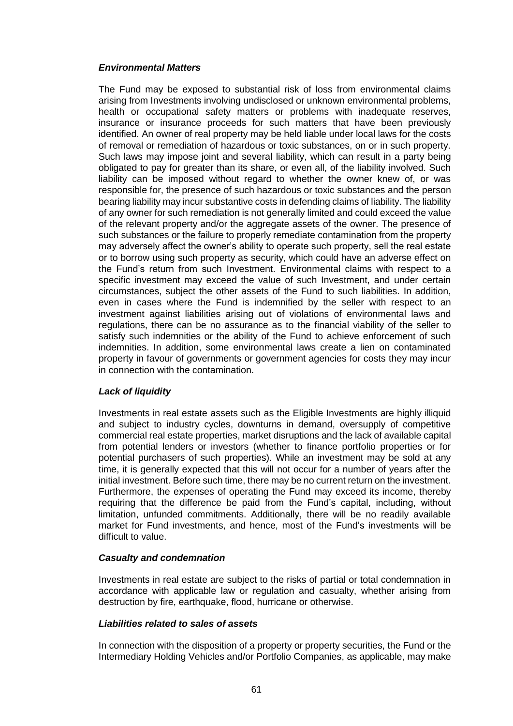# *Environmental Matters*

The Fund may be exposed to substantial risk of loss from environmental claims arising from Investments involving undisclosed or unknown environmental problems, health or occupational safety matters or problems with inadequate reserves, insurance or insurance proceeds for such matters that have been previously identified. An owner of real property may be held liable under local laws for the costs of removal or remediation of hazardous or toxic substances, on or in such property. Such laws may impose joint and several liability, which can result in a party being obligated to pay for greater than its share, or even all, of the liability involved. Such liability can be imposed without regard to whether the owner knew of, or was responsible for, the presence of such hazardous or toxic substances and the person bearing liability may incur substantive costs in defending claims of liability. The liability of any owner for such remediation is not generally limited and could exceed the value of the relevant property and/or the aggregate assets of the owner. The presence of such substances or the failure to properly remediate contamination from the property may adversely affect the owner's ability to operate such property, sell the real estate or to borrow using such property as security, which could have an adverse effect on the Fund's return from such Investment. Environmental claims with respect to a specific investment may exceed the value of such Investment, and under certain circumstances, subject the other assets of the Fund to such liabilities. In addition, even in cases where the Fund is indemnified by the seller with respect to an investment against liabilities arising out of violations of environmental laws and regulations, there can be no assurance as to the financial viability of the seller to satisfy such indemnities or the ability of the Fund to achieve enforcement of such indemnities. In addition, some environmental laws create a lien on contaminated property in favour of governments or government agencies for costs they may incur in connection with the contamination.

# *Lack of liquidity*

Investments in real estate assets such as the Eligible Investments are highly illiquid and subject to industry cycles, downturns in demand, oversupply of competitive commercial real estate properties, market disruptions and the lack of available capital from potential lenders or investors (whether to finance portfolio properties or for potential purchasers of such properties). While an investment may be sold at any time, it is generally expected that this will not occur for a number of years after the initial investment. Before such time, there may be no current return on the investment. Furthermore, the expenses of operating the Fund may exceed its income, thereby requiring that the difference be paid from the Fund's capital, including, without limitation, unfunded commitments. Additionally, there will be no readily available market for Fund investments, and hence, most of the Fund's investments will be difficult to value.

# *Casualty and condemnation*

Investments in real estate are subject to the risks of partial or total condemnation in accordance with applicable law or regulation and casualty, whether arising from destruction by fire, earthquake, flood, hurricane or otherwise.

# *Liabilities related to sales of assets*

In connection with the disposition of a property or property securities, the Fund or the Intermediary Holding Vehicles and/or Portfolio Companies, as applicable, may make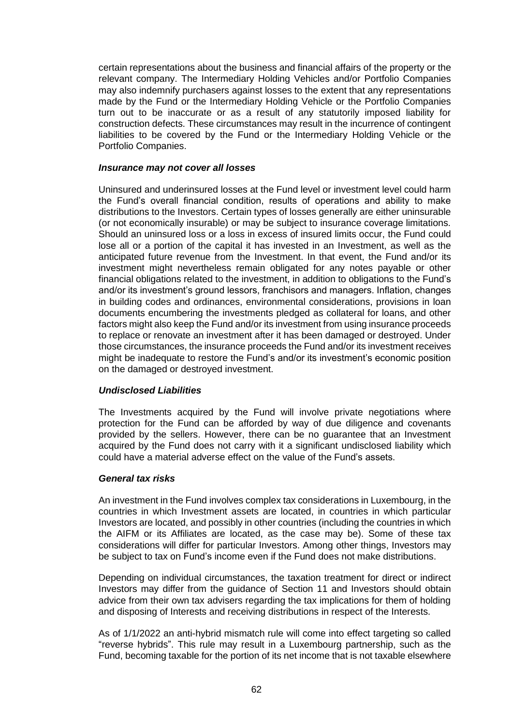certain representations about the business and financial affairs of the property or the relevant company. The Intermediary Holding Vehicles and/or Portfolio Companies may also indemnify purchasers against losses to the extent that any representations made by the Fund or the Intermediary Holding Vehicle or the Portfolio Companies turn out to be inaccurate or as a result of any statutorily imposed liability for construction defects. These circumstances may result in the incurrence of contingent liabilities to be covered by the Fund or the Intermediary Holding Vehicle or the Portfolio Companies.

#### *Insurance may not cover all losses*

Uninsured and underinsured losses at the Fund level or investment level could harm the Fund's overall financial condition, results of operations and ability to make distributions to the Investors. Certain types of losses generally are either uninsurable (or not economically insurable) or may be subject to insurance coverage limitations. Should an uninsured loss or a loss in excess of insured limits occur, the Fund could lose all or a portion of the capital it has invested in an Investment, as well as the anticipated future revenue from the Investment. In that event, the Fund and/or its investment might nevertheless remain obligated for any notes payable or other financial obligations related to the investment, in addition to obligations to the Fund's and/or its investment's ground lessors, franchisors and managers. Inflation, changes in building codes and ordinances, environmental considerations, provisions in loan documents encumbering the investments pledged as collateral for loans, and other factors might also keep the Fund and/or its investment from using insurance proceeds to replace or renovate an investment after it has been damaged or destroyed. Under those circumstances, the insurance proceeds the Fund and/or its investment receives might be inadequate to restore the Fund's and/or its investment's economic position on the damaged or destroyed investment.

# *Undisclosed Liabilities*

The Investments acquired by the Fund will involve private negotiations where protection for the Fund can be afforded by way of due diligence and covenants provided by the sellers. However, there can be no guarantee that an Investment acquired by the Fund does not carry with it a significant undisclosed liability which could have a material adverse effect on the value of the Fund's assets.

# *General tax risks*

An investment in the Fund involves complex tax considerations in Luxembourg, in the countries in which Investment assets are located, in countries in which particular Investors are located, and possibly in other countries (including the countries in which the AIFM or its Affiliates are located, as the case may be). Some of these tax considerations will differ for particular Investors. Among other things, Investors may be subject to tax on Fund's income even if the Fund does not make distributions.

Depending on individual circumstances, the taxation treatment for direct or indirect Investors may differ from the guidance of Section [11](#page-62-0) and Investors should obtain advice from their own tax advisers regarding the tax implications for them of holding and disposing of Interests and receiving distributions in respect of the Interests.

As of 1/1/2022 an anti-hybrid mismatch rule will come into effect targeting so called "reverse hybrids". This rule may result in a Luxembourg partnership, such as the Fund, becoming taxable for the portion of its net income that is not taxable elsewhere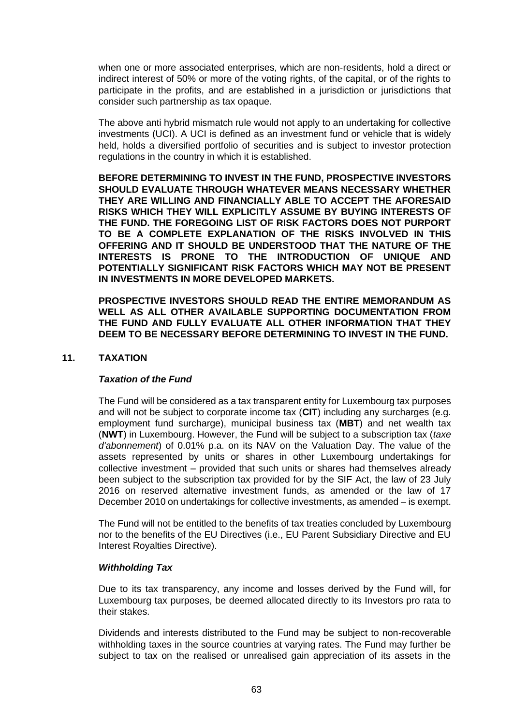when one or more associated enterprises, which are non-residents, hold a direct or indirect interest of 50% or more of the voting rights, of the capital, or of the rights to participate in the profits, and are established in a jurisdiction or jurisdictions that consider such partnership as tax opaque.

The above anti hybrid mismatch rule would not apply to an undertaking for collective investments (UCI). A UCI is defined as an investment fund or vehicle that is widely held, holds a diversified portfolio of securities and is subject to investor protection regulations in the country in which it is established.

**BEFORE DETERMINING TO INVEST IN THE FUND, PROSPECTIVE INVESTORS SHOULD EVALUATE THROUGH WHATEVER MEANS NECESSARY WHETHER THEY ARE WILLING AND FINANCIALLY ABLE TO ACCEPT THE AFORESAID RISKS WHICH THEY WILL EXPLICITLY ASSUME BY BUYING INTERESTS OF THE FUND. THE FOREGOING LIST OF RISK FACTORS DOES NOT PURPORT TO BE A COMPLETE EXPLANATION OF THE RISKS INVOLVED IN THIS OFFERING AND IT SHOULD BE UNDERSTOOD THAT THE NATURE OF THE INTERESTS IS PRONE TO THE INTRODUCTION OF UNIQUE AND POTENTIALLY SIGNIFICANT RISK FACTORS WHICH MAY NOT BE PRESENT IN INVESTMENTS IN MORE DEVELOPED MARKETS.**

**PROSPECTIVE INVESTORS SHOULD READ THE ENTIRE MEMORANDUM AS WELL AS ALL OTHER AVAILABLE SUPPORTING DOCUMENTATION FROM THE FUND AND FULLY EVALUATE ALL OTHER INFORMATION THAT THEY DEEM TO BE NECESSARY BEFORE DETERMINING TO INVEST IN THE FUND.**

# <span id="page-62-0"></span>**11. TAXATION**

# *Taxation of the Fund*

The Fund will be considered as a tax transparent entity for Luxembourg tax purposes and will not be subject to corporate income tax (**CIT**) including any surcharges (e.g. employment fund surcharge), municipal business tax (**MBT**) and net wealth tax (**NWT**) in Luxembourg. However, the Fund will be subject to a subscription tax (*taxe d'abonnement*) of 0.01% p.a. on its NAV on the Valuation Day. The value of the assets represented by units or shares in other Luxembourg undertakings for collective investment – provided that such units or shares had themselves already been subject to the subscription tax provided for by the SIF Act, the law of 23 July 2016 on reserved alternative investment funds, as amended or the law of 17 December 2010 on undertakings for collective investments, as amended – is exempt.

The Fund will not be entitled to the benefits of tax treaties concluded by Luxembourg nor to the benefits of the EU Directives (i.e., EU Parent Subsidiary Directive and EU Interest Royalties Directive).

# *Withholding Tax*

Due to its tax transparency, any income and losses derived by the Fund will, for Luxembourg tax purposes, be deemed allocated directly to its Investors pro rata to their stakes.

Dividends and interests distributed to the Fund may be subject to non-recoverable withholding taxes in the source countries at varying rates. The Fund may further be subject to tax on the realised or unrealised gain appreciation of its assets in the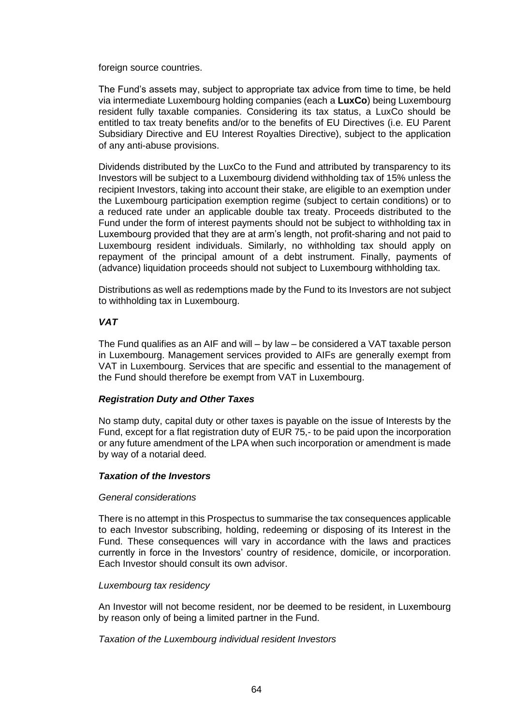foreign source countries.

The Fund's assets may, subject to appropriate tax advice from time to time, be held via intermediate Luxembourg holding companies (each a **LuxCo**) being Luxembourg resident fully taxable companies. Considering its tax status, a LuxCo should be entitled to tax treaty benefits and/or to the benefits of EU Directives (i.e. EU Parent Subsidiary Directive and EU Interest Royalties Directive), subject to the application of any anti-abuse provisions.

Dividends distributed by the LuxCo to the Fund and attributed by transparency to its Investors will be subject to a Luxembourg dividend withholding tax of 15% unless the recipient Investors, taking into account their stake, are eligible to an exemption under the Luxembourg participation exemption regime (subject to certain conditions) or to a reduced rate under an applicable double tax treaty. Proceeds distributed to the Fund under the form of interest payments should not be subject to withholding tax in Luxembourg provided that they are at arm's length, not profit-sharing and not paid to Luxembourg resident individuals. Similarly, no withholding tax should apply on repayment of the principal amount of a debt instrument. Finally, payments of (advance) liquidation proceeds should not subject to Luxembourg withholding tax.

Distributions as well as redemptions made by the Fund to its Investors are not subject to withholding tax in Luxembourg.

# *VAT*

The Fund qualifies as an AIF and will – by law – be considered a VAT taxable person in Luxembourg. Management services provided to AIFs are generally exempt from VAT in Luxembourg. Services that are specific and essential to the management of the Fund should therefore be exempt from VAT in Luxembourg.

# *Registration Duty and Other Taxes*

No stamp duty, capital duty or other taxes is payable on the issue of Interests by the Fund, except for a flat registration duty of EUR 75,- to be paid upon the incorporation or any future amendment of the LPA when such incorporation or amendment is made by way of a notarial deed.

# *Taxation of the Investors*

# *General considerations*

There is no attempt in this Prospectus to summarise the tax consequences applicable to each Investor subscribing, holding, redeeming or disposing of its Interest in the Fund. These consequences will vary in accordance with the laws and practices currently in force in the Investors' country of residence, domicile, or incorporation. Each Investor should consult its own advisor.

#### *Luxembourg tax residency*

An Investor will not become resident, nor be deemed to be resident, in Luxembourg by reason only of being a limited partner in the Fund.

*Taxation of the Luxembourg individual resident Investors*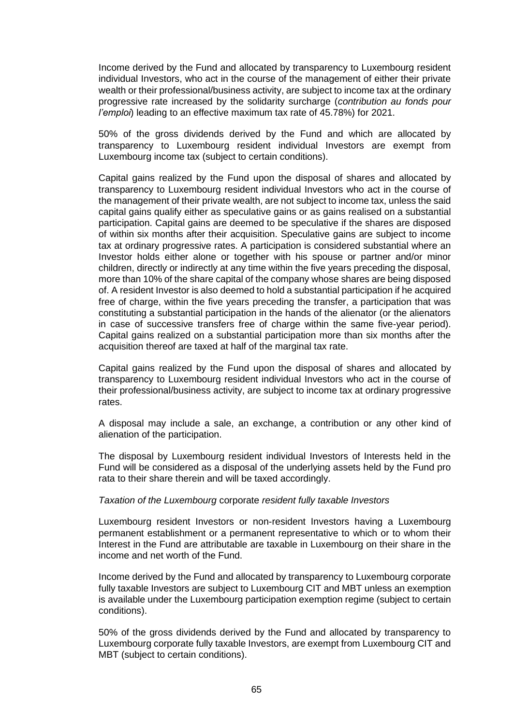Income derived by the Fund and allocated by transparency to Luxembourg resident individual Investors, who act in the course of the management of either their private wealth or their professional/business activity, are subject to income tax at the ordinary progressive rate increased by the solidarity surcharge (*contribution au fonds pour l'emploi*) leading to an effective maximum tax rate of 45.78%) for 2021.

50% of the gross dividends derived by the Fund and which are allocated by transparency to Luxembourg resident individual Investors are exempt from Luxembourg income tax (subject to certain conditions).

Capital gains realized by the Fund upon the disposal of shares and allocated by transparency to Luxembourg resident individual Investors who act in the course of the management of their private wealth, are not subject to income tax, unless the said capital gains qualify either as speculative gains or as gains realised on a substantial participation. Capital gains are deemed to be speculative if the shares are disposed of within six months after their acquisition. Speculative gains are subject to income tax at ordinary progressive rates. A participation is considered substantial where an Investor holds either alone or together with his spouse or partner and/or minor children, directly or indirectly at any time within the five years preceding the disposal, more than 10% of the share capital of the company whose shares are being disposed of. A resident Investor is also deemed to hold a substantial participation if he acquired free of charge, within the five years preceding the transfer, a participation that was constituting a substantial participation in the hands of the alienator (or the alienators in case of successive transfers free of charge within the same five-year period). Capital gains realized on a substantial participation more than six months after the acquisition thereof are taxed at half of the marginal tax rate.

Capital gains realized by the Fund upon the disposal of shares and allocated by transparency to Luxembourg resident individual Investors who act in the course of their professional/business activity, are subject to income tax at ordinary progressive rates.

A disposal may include a sale, an exchange, a contribution or any other kind of alienation of the participation.

The disposal by Luxembourg resident individual Investors of Interests held in the Fund will be considered as a disposal of the underlying assets held by the Fund pro rata to their share therein and will be taxed accordingly.

#### *Taxation of the Luxembourg* corporate *resident fully taxable Investors*

Luxembourg resident Investors or non-resident Investors having a Luxembourg permanent establishment or a permanent representative to which or to whom their Interest in the Fund are attributable are taxable in Luxembourg on their share in the income and net worth of the Fund.

Income derived by the Fund and allocated by transparency to Luxembourg corporate fully taxable Investors are subject to Luxembourg CIT and MBT unless an exemption is available under the Luxembourg participation exemption regime (subject to certain conditions).

50% of the gross dividends derived by the Fund and allocated by transparency to Luxembourg corporate fully taxable Investors, are exempt from Luxembourg CIT and MBT (subject to certain conditions).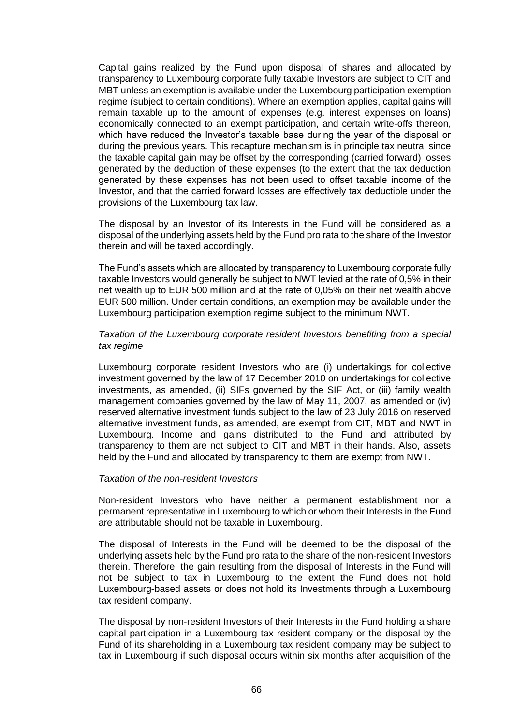Capital gains realized by the Fund upon disposal of shares and allocated by transparency to Luxembourg corporate fully taxable Investors are subject to CIT and MBT unless an exemption is available under the Luxembourg participation exemption regime (subject to certain conditions). Where an exemption applies, capital gains will remain taxable up to the amount of expenses (e.g. interest expenses on loans) economically connected to an exempt participation, and certain write-offs thereon, which have reduced the Investor's taxable base during the year of the disposal or during the previous years. This recapture mechanism is in principle tax neutral since the taxable capital gain may be offset by the corresponding (carried forward) losses generated by the deduction of these expenses (to the extent that the tax deduction generated by these expenses has not been used to offset taxable income of the Investor, and that the carried forward losses are effectively tax deductible under the provisions of the Luxembourg tax law.

The disposal by an Investor of its Interests in the Fund will be considered as a disposal of the underlying assets held by the Fund pro rata to the share of the Investor therein and will be taxed accordingly.

The Fund's assets which are allocated by transparency to Luxembourg corporate fully taxable Investors would generally be subject to NWT levied at the rate of 0,5% in their net wealth up to EUR 500 million and at the rate of 0,05% on their net wealth above EUR 500 million. Under certain conditions, an exemption may be available under the Luxembourg participation exemption regime subject to the minimum NWT.

# *Taxation of the Luxembourg corporate resident Investors benefiting from a special tax regime*

Luxembourg corporate resident Investors who are (i) undertakings for collective investment governed by the law of 17 December 2010 on undertakings for collective investments, as amended, (ii) SIFs governed by the SIF Act, or (iii) family wealth management companies governed by the law of May 11, 2007, as amended or (iv) reserved alternative investment funds subject to the law of 23 July 2016 on reserved alternative investment funds, as amended, are exempt from CIT, MBT and NWT in Luxembourg. Income and gains distributed to the Fund and attributed by transparency to them are not subject to CIT and MBT in their hands. Also, assets held by the Fund and allocated by transparency to them are exempt from NWT.

#### *Taxation of the non-resident Investors*

Non-resident Investors who have neither a permanent establishment nor a permanent representative in Luxembourg to which or whom their Interests in the Fund are attributable should not be taxable in Luxembourg.

The disposal of Interests in the Fund will be deemed to be the disposal of the underlying assets held by the Fund pro rata to the share of the non-resident Investors therein. Therefore, the gain resulting from the disposal of Interests in the Fund will not be subject to tax in Luxembourg to the extent the Fund does not hold Luxembourg-based assets or does not hold its Investments through a Luxembourg tax resident company.

The disposal by non-resident Investors of their Interests in the Fund holding a share capital participation in a Luxembourg tax resident company or the disposal by the Fund of its shareholding in a Luxembourg tax resident company may be subject to tax in Luxembourg if such disposal occurs within six months after acquisition of the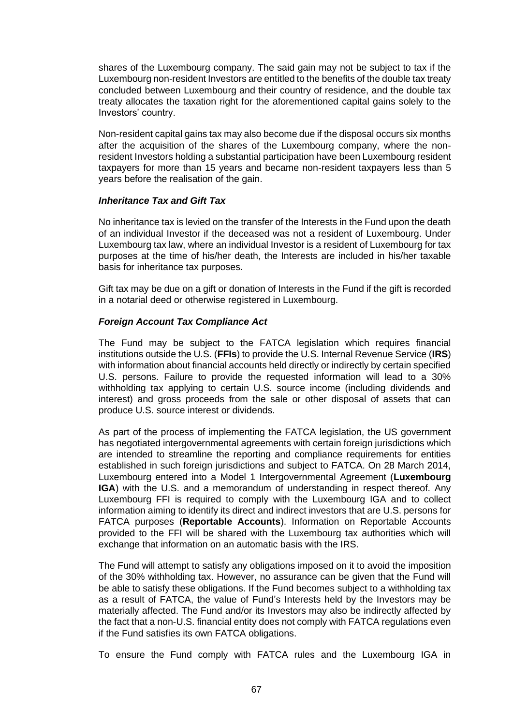shares of the Luxembourg company. The said gain may not be subject to tax if the Luxembourg non-resident Investors are entitled to the benefits of the double tax treaty concluded between Luxembourg and their country of residence, and the double tax treaty allocates the taxation right for the aforementioned capital gains solely to the Investors' country.

Non-resident capital gains tax may also become due if the disposal occurs six months after the acquisition of the shares of the Luxembourg company, where the nonresident Investors holding a substantial participation have been Luxembourg resident taxpayers for more than 15 years and became non-resident taxpayers less than 5 years before the realisation of the gain.

#### *Inheritance Tax and Gift Tax*

No inheritance tax is levied on the transfer of the Interests in the Fund upon the death of an individual Investor if the deceased was not a resident of Luxembourg. Under Luxembourg tax law, where an individual Investor is a resident of Luxembourg for tax purposes at the time of his/her death, the Interests are included in his/her taxable basis for inheritance tax purposes.

Gift tax may be due on a gift or donation of Interests in the Fund if the gift is recorded in a notarial deed or otherwise registered in Luxembourg.

# *Foreign Account Tax Compliance Act*

The Fund may be subject to the FATCA legislation which requires financial institutions outside the U.S. (**FFIs**) to provide the U.S. Internal Revenue Service (**IRS**) with information about financial accounts held directly or indirectly by certain specified U.S. persons. Failure to provide the requested information will lead to a 30% withholding tax applying to certain U.S. source income (including dividends and interest) and gross proceeds from the sale or other disposal of assets that can produce U.S. source interest or dividends.

As part of the process of implementing the FATCA legislation, the US government has negotiated intergovernmental agreements with certain foreign jurisdictions which are intended to streamline the reporting and compliance requirements for entities established in such foreign jurisdictions and subject to FATCA. On 28 March 2014, Luxembourg entered into a Model 1 Intergovernmental Agreement (**Luxembourg IGA**) with the U.S. and a memorandum of understanding in respect thereof. Any Luxembourg FFI is required to comply with the Luxembourg IGA and to collect information aiming to identify its direct and indirect investors that are U.S. persons for FATCA purposes (**Reportable Accounts**). Information on Reportable Accounts provided to the FFI will be shared with the Luxembourg tax authorities which will exchange that information on an automatic basis with the IRS.

The Fund will attempt to satisfy any obligations imposed on it to avoid the imposition of the 30% withholding tax. However, no assurance can be given that the Fund will be able to satisfy these obligations. If the Fund becomes subject to a withholding tax as a result of FATCA, the value of Fund's Interests held by the Investors may be materially affected. The Fund and/or its Investors may also be indirectly affected by the fact that a non-U.S. financial entity does not comply with FATCA regulations even if the Fund satisfies its own FATCA obligations.

To ensure the Fund comply with FATCA rules and the Luxembourg IGA in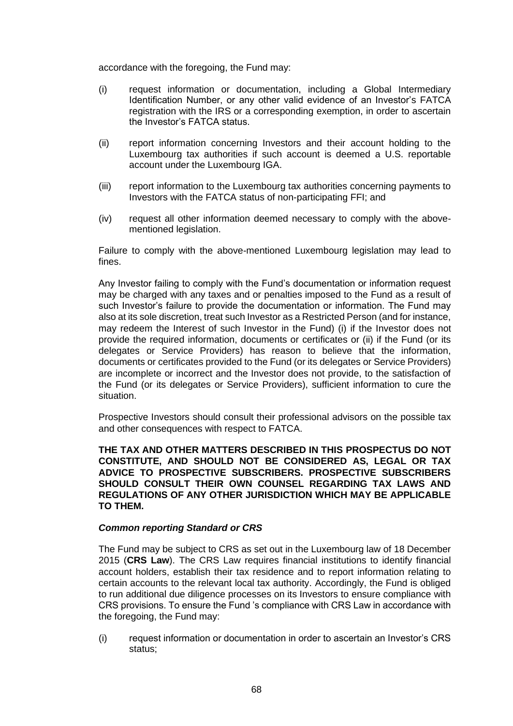accordance with the foregoing, the Fund may:

- (i) request information or documentation, including a Global Intermediary Identification Number, or any other valid evidence of an Investor's FATCA registration with the IRS or a corresponding exemption, in order to ascertain the Investor's FATCA status.
- (ii) report information concerning Investors and their account holding to the Luxembourg tax authorities if such account is deemed a U.S. reportable account under the Luxembourg IGA.
- (iii) report information to the Luxembourg tax authorities concerning payments to Investors with the FATCA status of non-participating FFI; and
- (iv) request all other information deemed necessary to comply with the abovementioned legislation.

Failure to comply with the above-mentioned Luxembourg legislation may lead to fines.

Any Investor failing to comply with the Fund's documentation or information request may be charged with any taxes and or penalties imposed to the Fund as a result of such Investor's failure to provide the documentation or information. The Fund may also at its sole discretion, treat such Investor as a Restricted Person (and for instance, may redeem the Interest of such Investor in the Fund) (i) if the Investor does not provide the required information, documents or certificates or (ii) if the Fund (or its delegates or Service Providers) has reason to believe that the information, documents or certificates provided to the Fund (or its delegates or Service Providers) are incomplete or incorrect and the Investor does not provide, to the satisfaction of the Fund (or its delegates or Service Providers), sufficient information to cure the situation.

Prospective Investors should consult their professional advisors on the possible tax and other consequences with respect to FATCA.

**THE TAX AND OTHER MATTERS DESCRIBED IN THIS PROSPECTUS DO NOT CONSTITUTE, AND SHOULD NOT BE CONSIDERED AS, LEGAL OR TAX ADVICE TO PROSPECTIVE SUBSCRIBERS. PROSPECTIVE SUBSCRIBERS SHOULD CONSULT THEIR OWN COUNSEL REGARDING TAX LAWS AND REGULATIONS OF ANY OTHER JURISDICTION WHICH MAY BE APPLICABLE TO THEM.**

# *Common reporting Standard or CRS*

The Fund may be subject to CRS as set out in the Luxembourg law of 18 December 2015 (**CRS Law**). The CRS Law requires financial institutions to identify financial account holders, establish their tax residence and to report information relating to certain accounts to the relevant local tax authority. Accordingly, the Fund is obliged to run additional due diligence processes on its Investors to ensure compliance with CRS provisions. To ensure the Fund 's compliance with CRS Law in accordance with the foregoing, the Fund may:

(i) request information or documentation in order to ascertain an Investor's CRS status;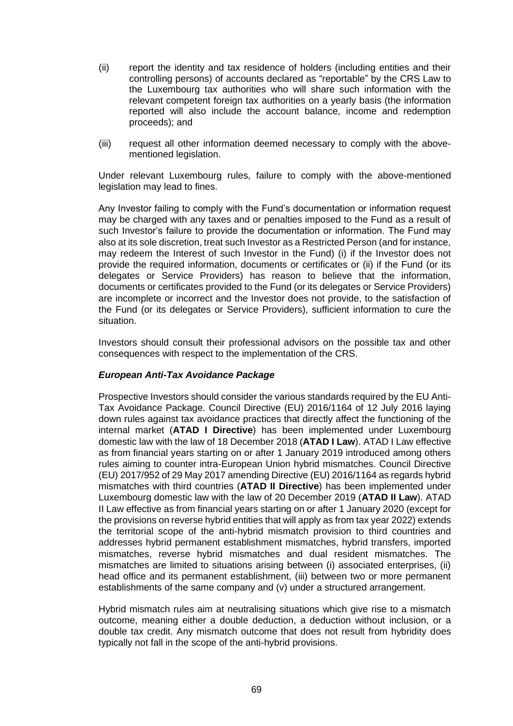- (ii) report the identity and tax residence of holders (including entities and their controlling persons) of accounts declared as "reportable" by the CRS Law to the Luxembourg tax authorities who will share such information with the relevant competent foreign tax authorities on a yearly basis (the information reported will also include the account balance, income and redemption proceeds); and
- (iii) request all other information deemed necessary to comply with the abovementioned legislation.

Under relevant Luxembourg rules, failure to comply with the above-mentioned legislation may lead to fines.

Any Investor failing to comply with the Fund's documentation or information request may be charged with any taxes and or penalties imposed to the Fund as a result of such Investor's failure to provide the documentation or information. The Fund may also at its sole discretion, treat such Investor as a Restricted Person (and for instance, may redeem the Interest of such Investor in the Fund) (i) if the Investor does not provide the required information, documents or certificates or (ii) if the Fund (or its delegates or Service Providers) has reason to believe that the information, documents or certificates provided to the Fund (or its delegates or Service Providers) are incomplete or incorrect and the Investor does not provide, to the satisfaction of the Fund (or its delegates or Service Providers), sufficient information to cure the situation.

Investors should consult their professional advisors on the possible tax and other consequences with respect to the implementation of the CRS.

# *European Anti-Tax Avoidance Package*

Prospective Investors should consider the various standards required by the EU Anti-Tax Avoidance Package. Council Directive (EU) 2016/1164 of 12 July 2016 laying down rules against tax avoidance practices that directly affect the functioning of the internal market (**ATAD I Directive**) has been implemented under Luxembourg domestic law with the law of 18 December 2018 (**ATAD I Law**). ATAD I Law effective as from financial years starting on or after 1 January 2019 introduced among others rules aiming to counter intra-European Union hybrid mismatches. Council Directive (EU) 2017/952 of 29 May 2017 amending Directive (EU) 2016/1164 as regards hybrid mismatches with third countries (**ATAD II Directive**) has been implemented under Luxembourg domestic law with the law of 20 December 2019 (**ATAD II Law**). ATAD II Law effective as from financial years starting on or after 1 January 2020 (except for the provisions on reverse hybrid entities that will apply as from tax year 2022) extends the territorial scope of the anti-hybrid mismatch provision to third countries and addresses hybrid permanent establishment mismatches, hybrid transfers, imported mismatches, reverse hybrid mismatches and dual resident mismatches. The mismatches are limited to situations arising between (i) associated enterprises, (ii) head office and its permanent establishment, (iii) between two or more permanent establishments of the same company and (v) under a structured arrangement.

Hybrid mismatch rules aim at neutralising situations which give rise to a mismatch outcome, meaning either a double deduction, a deduction without inclusion, or a double tax credit. Any mismatch outcome that does not result from hybridity does typically not fall in the scope of the anti-hybrid provisions.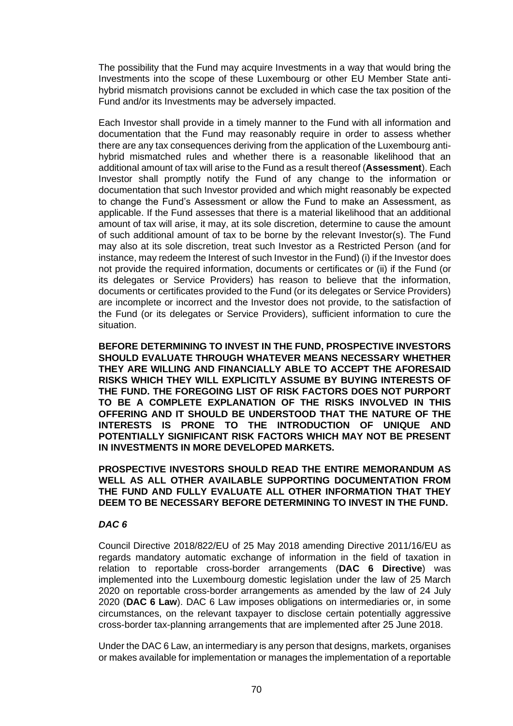The possibility that the Fund may acquire Investments in a way that would bring the Investments into the scope of these Luxembourg or other EU Member State antihybrid mismatch provisions cannot be excluded in which case the tax position of the Fund and/or its Investments may be adversely impacted.

Each Investor shall provide in a timely manner to the Fund with all information and documentation that the Fund may reasonably require in order to assess whether there are any tax consequences deriving from the application of the Luxembourg antihybrid mismatched rules and whether there is a reasonable likelihood that an additional amount of tax will arise to the Fund as a result thereof (**Assessment**). Each Investor shall promptly notify the Fund of any change to the information or documentation that such Investor provided and which might reasonably be expected to change the Fund's Assessment or allow the Fund to make an Assessment, as applicable. If the Fund assesses that there is a material likelihood that an additional amount of tax will arise, it may, at its sole discretion, determine to cause the amount of such additional amount of tax to be borne by the relevant Investor(s). The Fund may also at its sole discretion, treat such Investor as a Restricted Person (and for instance, may redeem the Interest of such Investor in the Fund) (i) if the Investor does not provide the required information, documents or certificates or (ii) if the Fund (or its delegates or Service Providers) has reason to believe that the information, documents or certificates provided to the Fund (or its delegates or Service Providers) are incomplete or incorrect and the Investor does not provide, to the satisfaction of the Fund (or its delegates or Service Providers), sufficient information to cure the situation.

**BEFORE DETERMINING TO INVEST IN THE FUND, PROSPECTIVE INVESTORS SHOULD EVALUATE THROUGH WHATEVER MEANS NECESSARY WHETHER THEY ARE WILLING AND FINANCIALLY ABLE TO ACCEPT THE AFORESAID RISKS WHICH THEY WILL EXPLICITLY ASSUME BY BUYING INTERESTS OF THE FUND. THE FOREGOING LIST OF RISK FACTORS DOES NOT PURPORT TO BE A COMPLETE EXPLANATION OF THE RISKS INVOLVED IN THIS OFFERING AND IT SHOULD BE UNDERSTOOD THAT THE NATURE OF THE INTERESTS IS PRONE TO THE INTRODUCTION OF UNIQUE AND POTENTIALLY SIGNIFICANT RISK FACTORS WHICH MAY NOT BE PRESENT IN INVESTMENTS IN MORE DEVELOPED MARKETS.**

**PROSPECTIVE INVESTORS SHOULD READ THE ENTIRE MEMORANDUM AS WELL AS ALL OTHER AVAILABLE SUPPORTING DOCUMENTATION FROM THE FUND AND FULLY EVALUATE ALL OTHER INFORMATION THAT THEY DEEM TO BE NECESSARY BEFORE DETERMINING TO INVEST IN THE FUND.**

#### *DAC 6*

Council Directive 2018/822/EU of 25 May 2018 amending Directive 2011/16/EU as regards mandatory automatic exchange of information in the field of taxation in relation to reportable cross-border arrangements (**DAC 6 Directive**) was implemented into the Luxembourg domestic legislation under the law of 25 March 2020 on reportable cross-border arrangements as amended by the law of 24 July 2020 (**DAC 6 Law**). DAC 6 Law imposes obligations on intermediaries or, in some circumstances, on the relevant taxpayer to disclose certain potentially aggressive cross-border tax-planning arrangements that are implemented after 25 June 2018.

Under the DAC 6 Law, an intermediary is any person that designs, markets, organises or makes available for implementation or manages the implementation of a reportable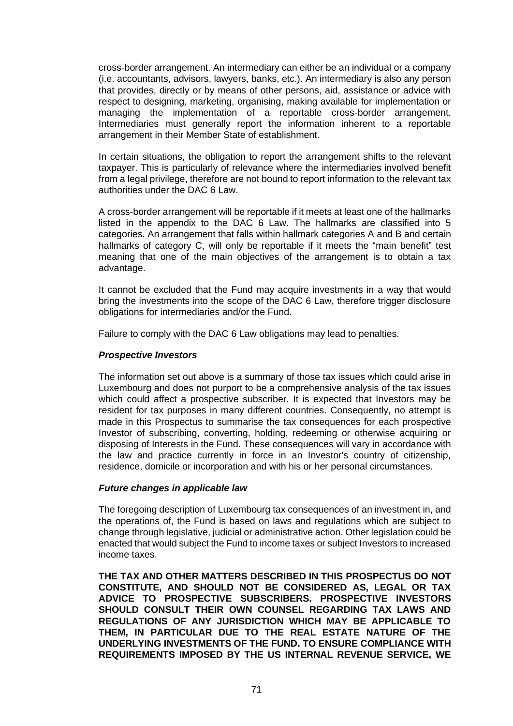cross-border arrangement. An intermediary can either be an individual or a company (i.e. accountants, advisors, lawyers, banks, etc.). An intermediary is also any person that provides, directly or by means of other persons, aid, assistance or advice with respect to designing, marketing, organising, making available for implementation or managing the implementation of a reportable cross-border arrangement. Intermediaries must generally report the information inherent to a reportable arrangement in their Member State of establishment.

In certain situations, the obligation to report the arrangement shifts to the relevant taxpayer. This is particularly of relevance where the intermediaries involved benefit from a legal privilege, therefore are not bound to report information to the relevant tax authorities under the DAC 6 Law.

A cross-border arrangement will be reportable if it meets at least one of the hallmarks listed in the appendix to the DAC 6 Law. The hallmarks are classified into 5 categories. An arrangement that falls within hallmark categories A and B and certain hallmarks of category C, will only be reportable if it meets the "main benefit" test meaning that one of the main objectives of the arrangement is to obtain a tax advantage.

It cannot be excluded that the Fund may acquire investments in a way that would bring the investments into the scope of the DAC 6 Law, therefore trigger disclosure obligations for intermediaries and/or the Fund.

Failure to comply with the DAC 6 Law obligations may lead to penalties.

# *Prospective Investors*

The information set out above is a summary of those tax issues which could arise in Luxembourg and does not purport to be a comprehensive analysis of the tax issues which could affect a prospective subscriber. It is expected that Investors may be resident for tax purposes in many different countries. Consequently, no attempt is made in this Prospectus to summarise the tax consequences for each prospective Investor of subscribing, converting, holding, redeeming or otherwise acquiring or disposing of Interests in the Fund. These consequences will vary in accordance with the law and practice currently in force in an Investor's country of citizenship, residence, domicile or incorporation and with his or her personal circumstances.

# *Future changes in applicable law*

The foregoing description of Luxembourg tax consequences of an investment in, and the operations of, the Fund is based on laws and regulations which are subject to change through legislative, judicial or administrative action. Other legislation could be enacted that would subject the Fund to income taxes or subject Investors to increased income taxes.

**THE TAX AND OTHER MATTERS DESCRIBED IN THIS PROSPECTUS DO NOT CONSTITUTE, AND SHOULD NOT BE CONSIDERED AS, LEGAL OR TAX ADVICE TO PROSPECTIVE SUBSCRIBERS. PROSPECTIVE INVESTORS SHOULD CONSULT THEIR OWN COUNSEL REGARDING TAX LAWS AND REGULATIONS OF ANY JURISDICTION WHICH MAY BE APPLICABLE TO THEM, IN PARTICULAR DUE TO THE REAL ESTATE NATURE OF THE UNDERLYING INVESTMENTS OF THE FUND. TO ENSURE COMPLIANCE WITH REQUIREMENTS IMPOSED BY THE US INTERNAL REVENUE SERVICE, WE**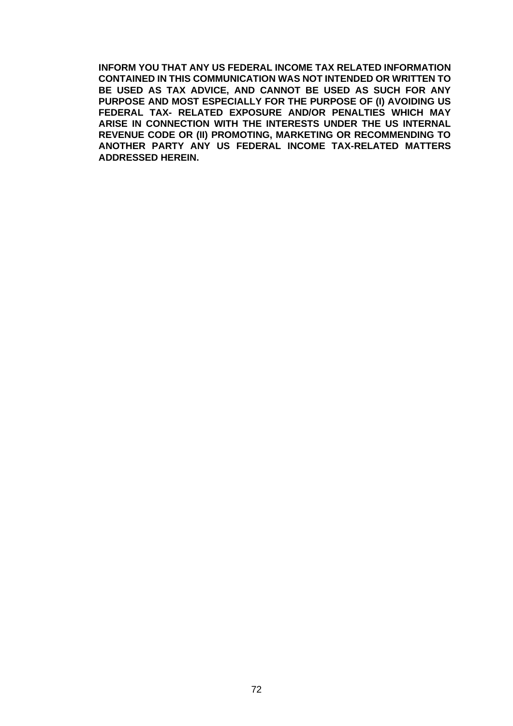**INFORM YOU THAT ANY US FEDERAL INCOME TAX RELATED INFORMATION CONTAINED IN THIS COMMUNICATION WAS NOT INTENDED OR WRITTEN TO BE USED AS TAX ADVICE, AND CANNOT BE USED AS SUCH FOR ANY PURPOSE AND MOST ESPECIALLY FOR THE PURPOSE OF (I) AVOIDING US FEDERAL TAX- RELATED EXPOSURE AND/OR PENALTIES WHICH MAY ARISE IN CONNECTION WITH THE INTERESTS UNDER THE US INTERNAL REVENUE CODE OR (II) PROMOTING, MARKETING OR RECOMMENDING TO ANOTHER PARTY ANY US FEDERAL INCOME TAX-RELATED MATTERS ADDRESSED HEREIN.**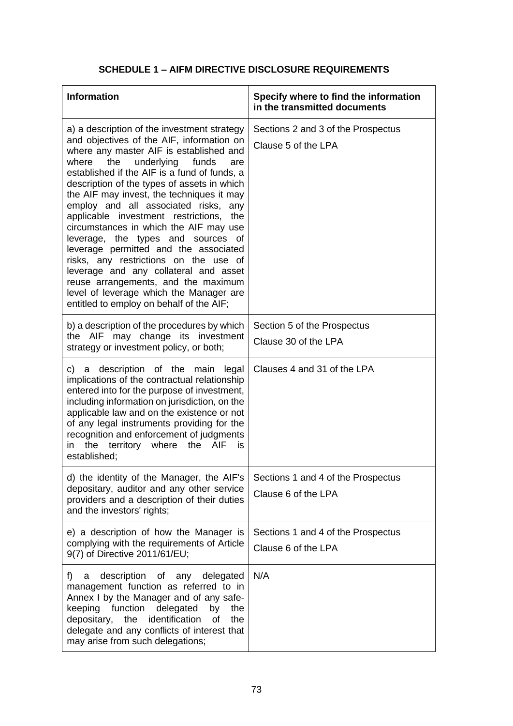# **SCHEDULE 1 – AIFM DIRECTIVE DISCLOSURE REQUIREMENTS**

| <b>Information</b>                                                                                                                                                                                                                                                                                                                                                                                                                                                                                                                                                                                                                                                                                                                                           | Specify where to find the information<br>in the transmitted documents |
|--------------------------------------------------------------------------------------------------------------------------------------------------------------------------------------------------------------------------------------------------------------------------------------------------------------------------------------------------------------------------------------------------------------------------------------------------------------------------------------------------------------------------------------------------------------------------------------------------------------------------------------------------------------------------------------------------------------------------------------------------------------|-----------------------------------------------------------------------|
| a) a description of the investment strategy<br>and objectives of the AIF, information on<br>where any master AIF is established and<br>the<br>underlying<br>funds<br>where<br>are<br>established if the AIF is a fund of funds, a<br>description of the types of assets in which<br>the AIF may invest, the techniques it may<br>employ and all associated risks, any<br>applicable investment restrictions,<br>the<br>circumstances in which the AIF may use<br>leverage, the types and sources of<br>leverage permitted and the associated<br>risks, any restrictions on the use of<br>leverage and any collateral and asset<br>reuse arrangements, and the maximum<br>level of leverage which the Manager are<br>entitled to employ on behalf of the AIF; | Sections 2 and 3 of the Prospectus<br>Clause 5 of the LPA             |
| b) a description of the procedures by which<br>the AIF may change its investment<br>strategy or investment policy, or both;                                                                                                                                                                                                                                                                                                                                                                                                                                                                                                                                                                                                                                  | Section 5 of the Prospectus<br>Clause 30 of the LPA                   |
| a description of the main<br>c) —<br>legal<br>implications of the contractual relationship<br>entered into for the purpose of investment,<br>including information on jurisdiction, on the<br>applicable law and on the existence or not<br>of any legal instruments providing for the<br>recognition and enforcement of judgments<br>the<br>territory<br>where<br>the AIF<br>in<br>is<br>established;                                                                                                                                                                                                                                                                                                                                                       | Clauses 4 and 31 of the LPA                                           |
| d) the identity of the Manager, the AIF's<br>depositary, auditor and any other service<br>providers and a description of their duties<br>and the investors' rights;                                                                                                                                                                                                                                                                                                                                                                                                                                                                                                                                                                                          | Sections 1 and 4 of the Prospectus<br>Clause 6 of the LPA             |
| e) a description of how the Manager is<br>complying with the requirements of Article<br>9(7) of Directive 2011/61/EU;                                                                                                                                                                                                                                                                                                                                                                                                                                                                                                                                                                                                                                        | Sections 1 and 4 of the Prospectus<br>Clause 6 of the LPA             |
| f)<br>description<br>delegated<br>of any<br>a<br>management function as referred to in<br>Annex I by the Manager and of any safe-<br>keeping function<br>delegated<br>by<br>the<br>depositary, the identification<br>of<br>the<br>delegate and any conflicts of interest that<br>may arise from such delegations;                                                                                                                                                                                                                                                                                                                                                                                                                                            | N/A                                                                   |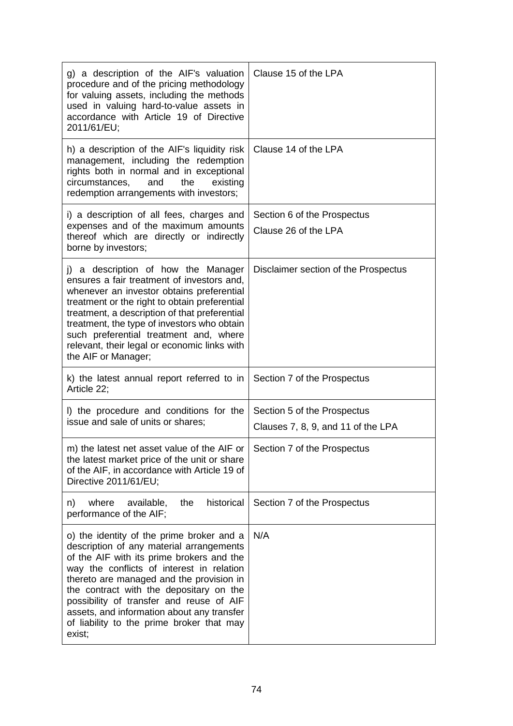| g) a description of the AIF's valuation<br>procedure and of the pricing methodology<br>for valuing assets, including the methods<br>used in valuing hard-to-value assets in<br>accordance with Article 19 of Directive<br>2011/61/EU;                                                                                                                                                                                   | Clause 15 of the LPA                                              |
|-------------------------------------------------------------------------------------------------------------------------------------------------------------------------------------------------------------------------------------------------------------------------------------------------------------------------------------------------------------------------------------------------------------------------|-------------------------------------------------------------------|
| h) a description of the AIF's liquidity risk<br>management, including the redemption<br>rights both in normal and in exceptional<br>circumstances,<br>the<br>existing<br>and<br>redemption arrangements with investors;                                                                                                                                                                                                 | Clause 14 of the LPA                                              |
| i) a description of all fees, charges and<br>expenses and of the maximum amounts<br>thereof which are directly or indirectly<br>borne by investors;                                                                                                                                                                                                                                                                     | Section 6 of the Prospectus<br>Clause 26 of the LPA               |
| j) a description of how the Manager<br>ensures a fair treatment of investors and,<br>whenever an investor obtains preferential<br>treatment or the right to obtain preferential<br>treatment, a description of that preferential<br>treatment, the type of investors who obtain<br>such preferential treatment and, where<br>relevant, their legal or economic links with<br>the AIF or Manager;                        | Disclaimer section of the Prospectus                              |
| k) the latest annual report referred to in<br>Article 22;                                                                                                                                                                                                                                                                                                                                                               | Section 7 of the Prospectus                                       |
| I) the procedure and conditions for the<br>issue and sale of units or shares;                                                                                                                                                                                                                                                                                                                                           | Section 5 of the Prospectus<br>Clauses 7, 8, 9, and 11 of the LPA |
| m) the latest net asset value of the AIF or   Section 7 of the Prospectus<br>the latest market price of the unit or share<br>of the AIF, in accordance with Article 19 of<br>Directive 2011/61/EU;                                                                                                                                                                                                                      |                                                                   |
| historical<br>where<br>available,<br>the<br>n)<br>performance of the AIF;                                                                                                                                                                                                                                                                                                                                               | Section 7 of the Prospectus                                       |
| o) the identity of the prime broker and a<br>description of any material arrangements<br>of the AIF with its prime brokers and the<br>way the conflicts of interest in relation<br>thereto are managed and the provision in<br>the contract with the depositary on the<br>possibility of transfer and reuse of AIF<br>assets, and information about any transfer<br>of liability to the prime broker that may<br>exist; | N/A                                                               |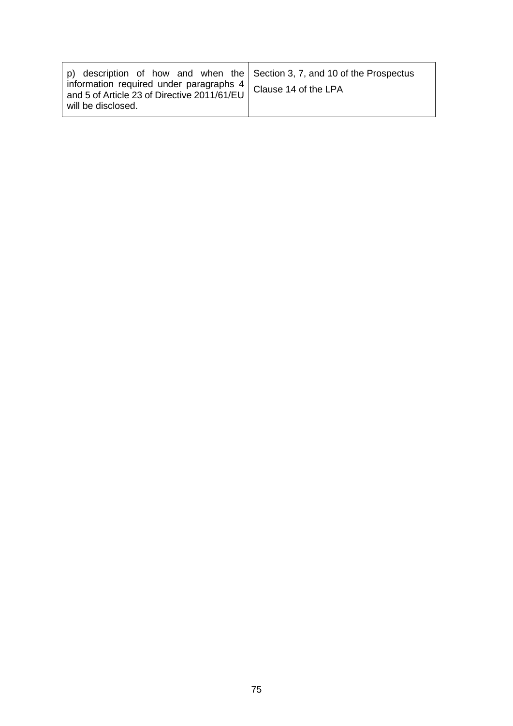| p) description of how and when the Section 3, 7, and 10 of the Prospectus<br>information required under paragraphs $4 \mid$ Clause 14 of the LPA<br>and 5 of Article 23 of Directive 2011/61/EU |  |
|-------------------------------------------------------------------------------------------------------------------------------------------------------------------------------------------------|--|
| will be disclosed.                                                                                                                                                                              |  |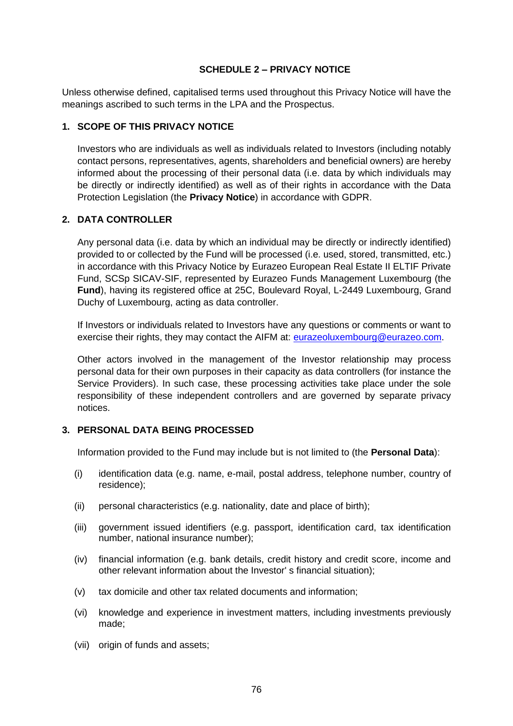## **SCHEDULE 2 – PRIVACY NOTICE**

Unless otherwise defined, capitalised terms used throughout this Privacy Notice will have the meanings ascribed to such terms in the LPA and the Prospectus.

## **1. SCOPE OF THIS PRIVACY NOTICE**

Investors who are individuals as well as individuals related to Investors (including notably contact persons, representatives, agents, shareholders and beneficial owners) are hereby informed about the processing of their personal data (i.e. data by which individuals may be directly or indirectly identified) as well as of their rights in accordance with the Data Protection Legislation (the **Privacy Notice**) in accordance with GDPR.

## **2. DATA CONTROLLER**

Any personal data (i.e. data by which an individual may be directly or indirectly identified) provided to or collected by the Fund will be processed (i.e. used, stored, transmitted, etc.) in accordance with this Privacy Notice by Eurazeo European Real Estate II ELTIF Private Fund, SCSp SICAV-SIF, represented by Eurazeo Funds Management Luxembourg (the **Fund**), having its registered office at 25C, Boulevard Royal, L-2449 Luxembourg, Grand Duchy of Luxembourg, acting as data controller.

If Investors or individuals related to Investors have any questions or comments or want to exercise their rights, they may contact the AIFM at: [eurazeoluxembourg@eurazeo.com.](mailto:eurazeoluxembourg@eurazeo.com)

Other actors involved in the management of the Investor relationship may process personal data for their own purposes in their capacity as data controllers (for instance the Service Providers). In such case, these processing activities take place under the sole responsibility of these independent controllers and are governed by separate privacy notices.

## **3. PERSONAL DATA BEING PROCESSED**

Information provided to the Fund may include but is not limited to (the **Personal Data**):

- (i) identification data (e.g. name, e-mail, postal address, telephone number, country of residence);
- (ii) personal characteristics (e.g. nationality, date and place of birth);
- (iii) government issued identifiers (e.g. passport, identification card, tax identification number, national insurance number);
- (iv) financial information (e.g. bank details, credit history and credit score, income and other relevant information about the Investor' s financial situation);
- (v) tax domicile and other tax related documents and information;
- (vi) knowledge and experience in investment matters, including investments previously made;
- (vii) origin of funds and assets;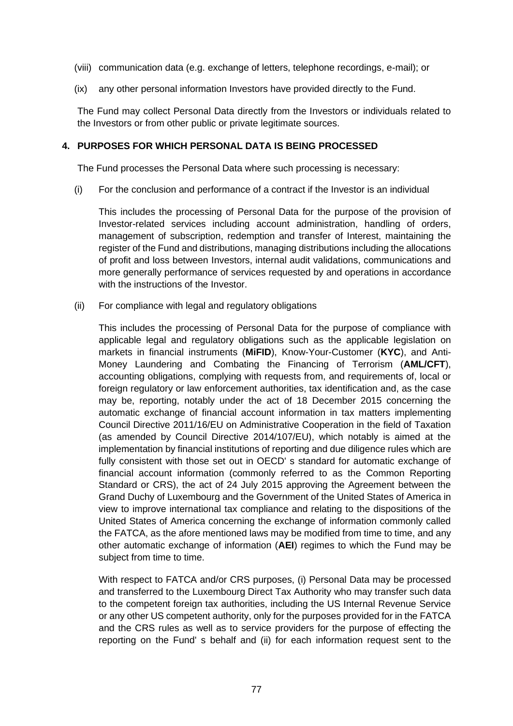- (viii) communication data (e.g. exchange of letters, telephone recordings, e-mail); or
- (ix) any other personal information Investors have provided directly to the Fund.

The Fund may collect Personal Data directly from the Investors or individuals related to the Investors or from other public or private legitimate sources.

## **4. PURPOSES FOR WHICH PERSONAL DATA IS BEING PROCESSED**

The Fund processes the Personal Data where such processing is necessary:

(i) For the conclusion and performance of a contract if the Investor is an individual

This includes the processing of Personal Data for the purpose of the provision of Investor-related services including account administration, handling of orders, management of subscription, redemption and transfer of Interest, maintaining the register of the Fund and distributions, managing distributions including the allocations of profit and loss between Investors, internal audit validations, communications and more generally performance of services requested by and operations in accordance with the instructions of the Investor.

(ii) For compliance with legal and regulatory obligations

This includes the processing of Personal Data for the purpose of compliance with applicable legal and regulatory obligations such as the applicable legislation on markets in financial instruments (**MiFID**), Know-Your-Customer (**KYC**), and Anti-Money Laundering and Combating the Financing of Terrorism (**AML/CFT**), accounting obligations, complying with requests from, and requirements of, local or foreign regulatory or law enforcement authorities, tax identification and, as the case may be, reporting, notably under the act of 18 December 2015 concerning the automatic exchange of financial account information in tax matters implementing Council Directive 2011/16/EU on Administrative Cooperation in the field of Taxation (as amended by Council Directive 2014/107/EU), which notably is aimed at the implementation by financial institutions of reporting and due diligence rules which are fully consistent with those set out in OECD' s standard for automatic exchange of financial account information (commonly referred to as the Common Reporting Standard or CRS), the act of 24 July 2015 approving the Agreement between the Grand Duchy of Luxembourg and the Government of the United States of America in view to improve international tax compliance and relating to the dispositions of the United States of America concerning the exchange of information commonly called the FATCA, as the afore mentioned laws may be modified from time to time, and any other automatic exchange of information (**AEI**) regimes to which the Fund may be subject from time to time.

With respect to FATCA and/or CRS purposes, (i) Personal Data may be processed and transferred to the Luxembourg Direct Tax Authority who may transfer such data to the competent foreign tax authorities, including the US Internal Revenue Service or any other US competent authority, only for the purposes provided for in the FATCA and the CRS rules as well as to service providers for the purpose of effecting the reporting on the Fund' s behalf and (ii) for each information request sent to the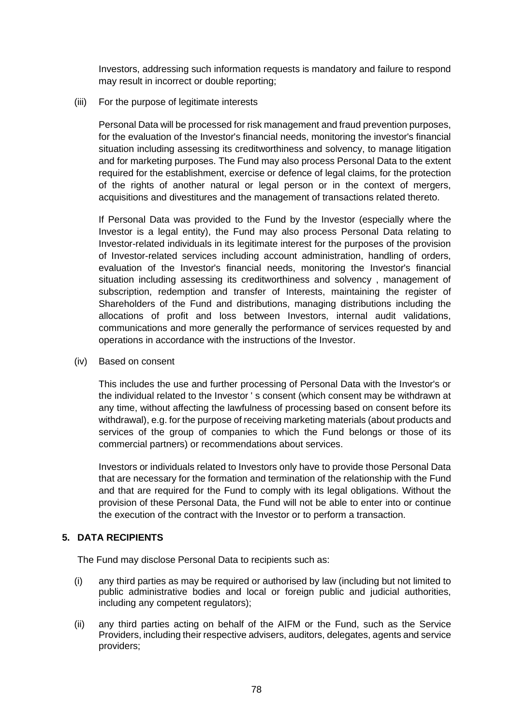Investors, addressing such information requests is mandatory and failure to respond may result in incorrect or double reporting;

### (iii) For the purpose of legitimate interests

Personal Data will be processed for risk management and fraud prevention purposes, for the evaluation of the Investor's financial needs, monitoring the investor's financial situation including assessing its creditworthiness and solvency, to manage litigation and for marketing purposes. The Fund may also process Personal Data to the extent required for the establishment, exercise or defence of legal claims, for the protection of the rights of another natural or legal person or in the context of mergers, acquisitions and divestitures and the management of transactions related thereto.

If Personal Data was provided to the Fund by the Investor (especially where the Investor is a legal entity), the Fund may also process Personal Data relating to Investor-related individuals in its legitimate interest for the purposes of the provision of Investor-related services including account administration, handling of orders, evaluation of the Investor's financial needs, monitoring the Investor's financial situation including assessing its creditworthiness and solvency , management of subscription, redemption and transfer of Interests, maintaining the register of Shareholders of the Fund and distributions, managing distributions including the allocations of profit and loss between Investors, internal audit validations, communications and more generally the performance of services requested by and operations in accordance with the instructions of the Investor.

### (iv) Based on consent

This includes the use and further processing of Personal Data with the Investor's or the individual related to the Investor ' s consent (which consent may be withdrawn at any time, without affecting the lawfulness of processing based on consent before its withdrawal), e.g. for the purpose of receiving marketing materials (about products and services of the group of companies to which the Fund belongs or those of its commercial partners) or recommendations about services.

Investors or individuals related to Investors only have to provide those Personal Data that are necessary for the formation and termination of the relationship with the Fund and that are required for the Fund to comply with its legal obligations. Without the provision of these Personal Data, the Fund will not be able to enter into or continue the execution of the contract with the Investor or to perform a transaction.

## **5. DATA RECIPIENTS**

The Fund may disclose Personal Data to recipients such as:

- (i) any third parties as may be required or authorised by law (including but not limited to public administrative bodies and local or foreign public and judicial authorities, including any competent regulators);
- (ii) any third parties acting on behalf of the AIFM or the Fund, such as the Service Providers, including their respective advisers, auditors, delegates, agents and service providers;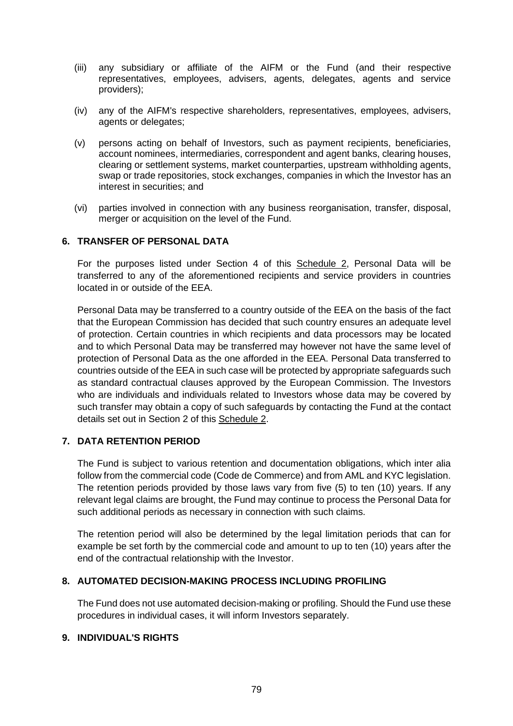- (iii) any subsidiary or affiliate of the AIFM or the Fund (and their respective representatives, employees, advisers, agents, delegates, agents and service providers);
- (iv) any of the AIFM's respective shareholders, representatives, employees, advisers, agents or delegates;
- (v) persons acting on behalf of Investors, such as payment recipients, beneficiaries, account nominees, intermediaries, correspondent and agent banks, clearing houses, clearing or settlement systems, market counterparties, upstream withholding agents, swap or trade repositories, stock exchanges, companies in which the Investor has an interest in securities; and
- (vi) parties involved in connection with any business reorganisation, transfer, disposal, merger or acquisition on the level of the Fund.

## **6. TRANSFER OF PERSONAL DATA**

For the purposes listed under Section 4 of this Schedule 2, Personal Data will be transferred to any of the aforementioned recipients and service providers in countries located in or outside of the EEA.

Personal Data may be transferred to a country outside of the EEA on the basis of the fact that the European Commission has decided that such country ensures an adequate level of protection. Certain countries in which recipients and data processors may be located and to which Personal Data may be transferred may however not have the same level of protection of Personal Data as the one afforded in the EEA. Personal Data transferred to countries outside of the EEA in such case will be protected by appropriate safeguards such as standard contractual clauses approved by the European Commission. The Investors who are individuals and individuals related to Investors whose data may be covered by such transfer may obtain a copy of such safeguards by contacting the Fund at the contact details set out in Section 2 of this Schedule 2.

## **7. DATA RETENTION PERIOD**

The Fund is subject to various retention and documentation obligations, which inter alia follow from the commercial code (Code de Commerce) and from AML and KYC legislation. The retention periods provided by those laws vary from five (5) to ten (10) years. If any relevant legal claims are brought, the Fund may continue to process the Personal Data for such additional periods as necessary in connection with such claims.

The retention period will also be determined by the legal limitation periods that can for example be set forth by the commercial code and amount to up to ten (10) years after the end of the contractual relationship with the Investor.

## **8. AUTOMATED DECISION-MAKING PROCESS INCLUDING PROFILING**

The Fund does not use automated decision-making or profiling. Should the Fund use these procedures in individual cases, it will inform Investors separately.

## **9. INDIVIDUAL'S RIGHTS**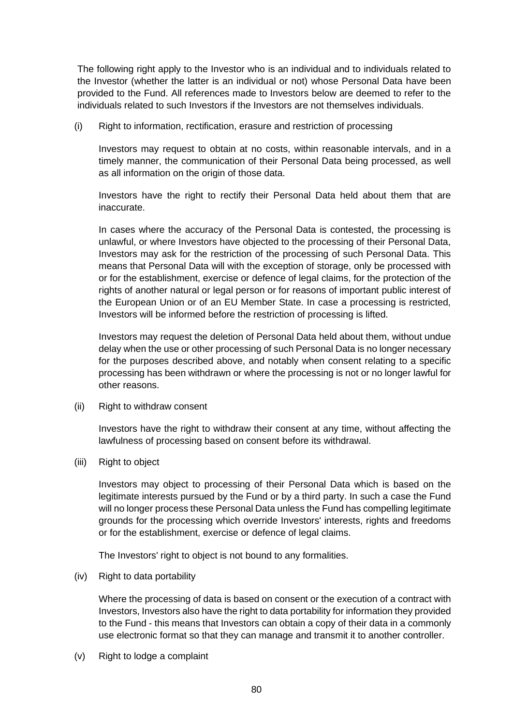The following right apply to the Investor who is an individual and to individuals related to the Investor (whether the latter is an individual or not) whose Personal Data have been provided to the Fund. All references made to Investors below are deemed to refer to the individuals related to such Investors if the Investors are not themselves individuals.

(i) Right to information, rectification, erasure and restriction of processing

Investors may request to obtain at no costs, within reasonable intervals, and in a timely manner, the communication of their Personal Data being processed, as well as all information on the origin of those data.

Investors have the right to rectify their Personal Data held about them that are inaccurate.

In cases where the accuracy of the Personal Data is contested, the processing is unlawful, or where Investors have objected to the processing of their Personal Data, Investors may ask for the restriction of the processing of such Personal Data. This means that Personal Data will with the exception of storage, only be processed with or for the establishment, exercise or defence of legal claims, for the protection of the rights of another natural or legal person or for reasons of important public interest of the European Union or of an EU Member State. In case a processing is restricted, Investors will be informed before the restriction of processing is lifted.

Investors may request the deletion of Personal Data held about them, without undue delay when the use or other processing of such Personal Data is no longer necessary for the purposes described above, and notably when consent relating to a specific processing has been withdrawn or where the processing is not or no longer lawful for other reasons.

(ii) Right to withdraw consent

Investors have the right to withdraw their consent at any time, without affecting the lawfulness of processing based on consent before its withdrawal.

(iii) Right to object

Investors may object to processing of their Personal Data which is based on the legitimate interests pursued by the Fund or by a third party. In such a case the Fund will no longer process these Personal Data unless the Fund has compelling legitimate grounds for the processing which override Investors' interests, rights and freedoms or for the establishment, exercise or defence of legal claims.

The Investors' right to object is not bound to any formalities.

(iv) Right to data portability

Where the processing of data is based on consent or the execution of a contract with Investors, Investors also have the right to data portability for information they provided to the Fund - this means that Investors can obtain a copy of their data in a commonly use electronic format so that they can manage and transmit it to another controller.

(v) Right to lodge a complaint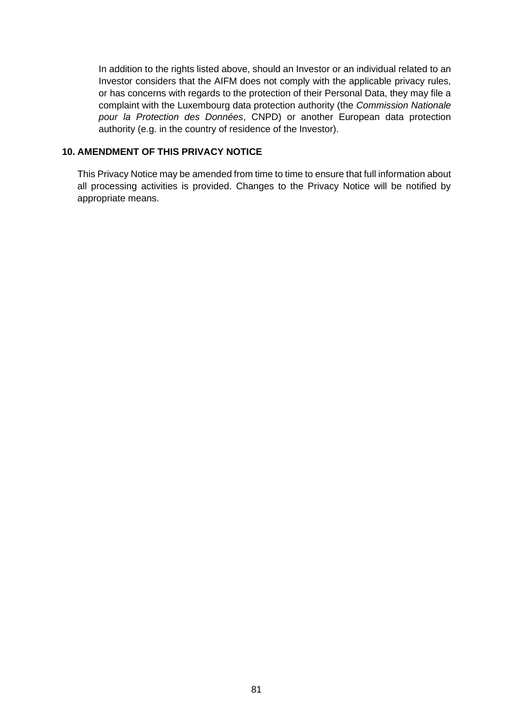In addition to the rights listed above, should an Investor or an individual related to an Investor considers that the AIFM does not comply with the applicable privacy rules, or has concerns with regards to the protection of their Personal Data, they may file a complaint with the Luxembourg data protection authority (the *Commission Nationale pour la Protection des Données*, CNPD) or another European data protection authority (e.g. in the country of residence of the Investor).

## **10. AMENDMENT OF THIS PRIVACY NOTICE**

This Privacy Notice may be amended from time to time to ensure that full information about all processing activities is provided. Changes to the Privacy Notice will be notified by appropriate means.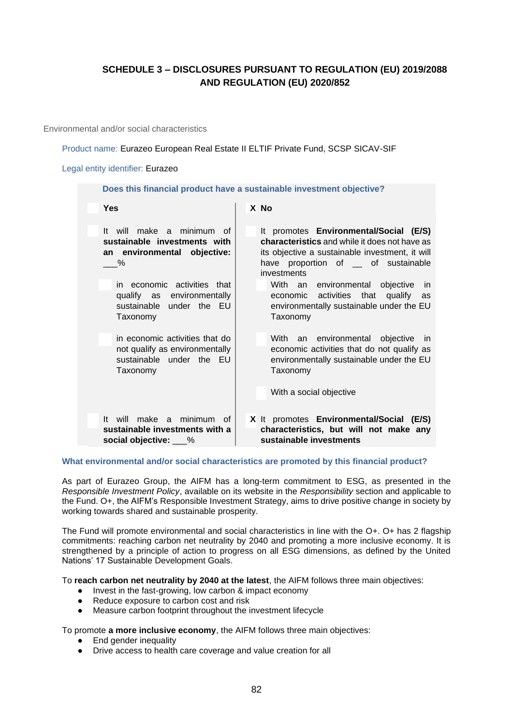## **SCHEDULE 3 – DISCLOSURES PURSUANT TO REGULATION (EU) 2019/2088 AND REGULATION (EU) 2020/852**

Environmental and/or social characteristics

Product name: Eurazeo European Real Estate II ELTIF Private Fund, SCSP SICAV-SIF

#### Legal entity identifier: Eurazeo

| Does this financial product have a sustainable investment objective?                                     |                                                                                                                                                                                                          |
|----------------------------------------------------------------------------------------------------------|----------------------------------------------------------------------------------------------------------------------------------------------------------------------------------------------------------|
| Yes                                                                                                      | X No                                                                                                                                                                                                     |
| make a minimum of<br>It will<br>sustainable investments with<br>an environmental objective:<br>%         | It promotes Environmental/Social (E/S)<br><b>characteristics</b> and while it does not have as<br>its objective a sustainable investment, it will<br>have proportion of __ of sustainable<br>investments |
| in economic activities that<br>qualify as environmentally<br>sustainable under the EU<br>Taxonomy        | With an environmental objective in<br>economic activities that qualify<br>as<br>environmentally sustainable under the EU<br>Taxonomy                                                                     |
| in economic activities that do<br>not qualify as environmentally<br>sustainable under the EU<br>Taxonomy | an environmental objective in<br>With<br>economic activities that do not qualify as<br>environmentally sustainable under the EU<br>Taxonomy<br>With a social objective                                   |
| make a minimum<br>lt.<br>will<br>of                                                                      | X It promotes Environmental/Social (E/S)                                                                                                                                                                 |
| sustainable investments with a<br>social objective: 6                                                    | characteristics, but will not make any<br>sustainable investments                                                                                                                                        |

### **What environmental and/or social characteristics are promoted by this financial product?**

As part of Eurazeo Group, the AIFM has a long-term commitment to ESG, as presented in the *Responsible Investment Policy*, available on its website in the *Responsibility* section and applicable to the Fund. O+, the AIFM's Responsible Investment Strategy, aims to drive positive change in society by working towards shared and sustainable prosperity.

The Fund will promote environmental and social characteristics in line with the O+. O+ has 2 flagship commitments: reaching carbon net neutrality by 2040 and promoting a more inclusive economy. It is strengthened by a principle of action to progress on all ESG dimensions, as defined by the United Nations' 17 Sustainable Development Goals.

To **reach carbon net neutrality by 2040 at the latest**, the AIFM follows three main objectives:

- Invest in the fast-growing, low carbon & impact economy
- Reduce exposure to carbon cost and risk
- Measure carbon footprint throughout the investment lifecycle

To promote **a more inclusive economy**, the AIFM follows three main objectives:

- End gender inequality
- Drive access to health care coverage and value creation for all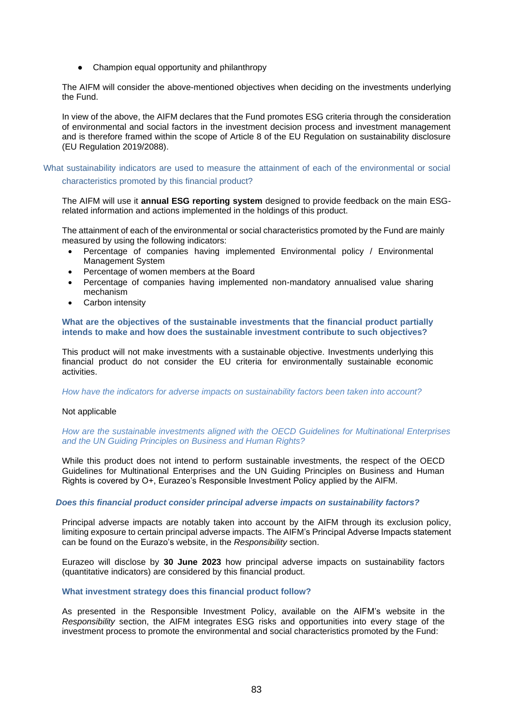● Champion equal opportunity and philanthropy

The AIFM will consider the above-mentioned objectives when deciding on the investments underlying the Fund.

In view of the above, the AIFM declares that the Fund promotes ESG criteria through the consideration of environmental and social factors in the investment decision process and investment management and is therefore framed within the scope of Article 8 of the EU Regulation on sustainability disclosure (EU Regulation 2019/2088).

### What sustainability indicators are used to measure the attainment of each of the environmental or social characteristics promoted by this financial product?

The AIFM will use it **annual ESG reporting system** designed to provide feedback on the main ESGrelated information and actions implemented in the holdings of this product.

The attainment of each of the environmental or social characteristics promoted by the Fund are mainly measured by using the following indicators:

- Percentage of companies having implemented Environmental policy / Environmental Management System
- Percentage of women members at the Board
- Percentage of companies having implemented non-mandatory annualised value sharing mechanism
- Carbon intensity

#### **What are the objectives of the sustainable investments that the financial product partially intends to make and how does the sustainable investment contribute to such objectives?**

This product will not make investments with a sustainable objective. Investments underlying this financial product do not consider the EU criteria for environmentally sustainable economic activities.

#### *How have the indicators for adverse impacts on sustainability factors been taken into account?*

### Not applicable

*How are the sustainable investments aligned with the OECD Guidelines for Multinational Enterprises and the UN Guiding Principles on Business and Human Rights?*

While this product does not intend to perform sustainable investments, the respect of the OECD Guidelines for Multinational Enterprises and the UN Guiding Principles on Business and Human Rights is covered by O+, Eurazeo's Responsible Investment Policy applied by the AIFM.

### *Does this financial product consider principal adverse impacts on sustainability factors?*

Principal adverse impacts are notably taken into account by the AIFM through its exclusion policy, limiting exposure to certain principal adverse impacts. The AIFM's Principal Adverse Impacts statement can be found on the Eurazo's website, in the *Responsibility* section.

Eurazeo will disclose by **30 June 2023** how principal adverse impacts on sustainability factors (quantitative indicators) are considered by this financial product.

### **What investment strategy does this financial product follow?**

As presented in the Responsible Investment Policy, available on the AIFM's website in the *Responsibility* section, the AIFM integrates ESG risks and opportunities into every stage of the investment process to promote the environmental and social characteristics promoted by the Fund: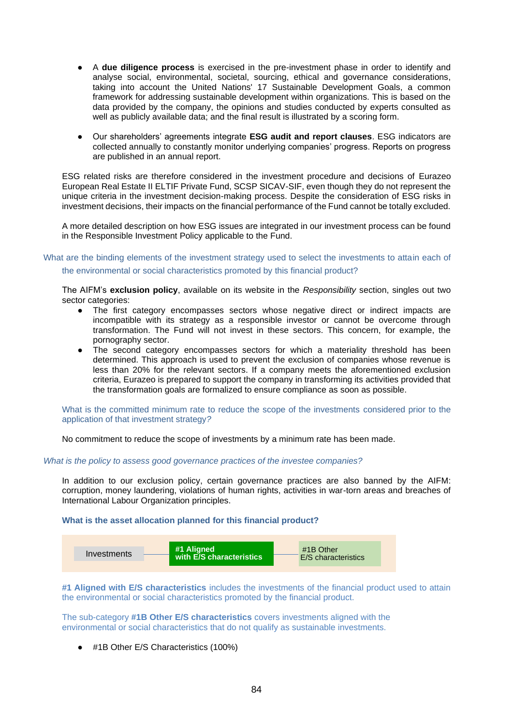- A **due diligence process** is exercised in the pre-investment phase in order to identify and analyse social, environmental, societal, sourcing, ethical and governance considerations, taking into account the United Nations' 17 Sustainable Development Goals, a common framework for addressing sustainable development within organizations. This is based on the data provided by the company, the opinions and studies conducted by experts consulted as well as publicly available data; and the final result is illustrated by a scoring form.
- Our shareholders' agreements integrate **ESG audit and report clauses**. ESG indicators are collected annually to constantly monitor underlying companies' progress. Reports on progress are published in an annual report.

ESG related risks are therefore considered in the investment procedure and decisions of Eurazeo European Real Estate II ELTIF Private Fund, SCSP SICAV-SIF, even though they do not represent the unique criteria in the investment decision-making process. Despite the consideration of ESG risks in investment decisions, their impacts on the financial performance of the Fund cannot be totally excluded.

A more detailed description on how ESG issues are integrated in our investment process can be found in the Responsible Investment Policy applicable to the Fund.

What are the binding elements of the investment strategy used to select the investments to attain each of the environmental or social characteristics promoted by this financial product?

The AIFM's **exclusion policy**, available on its website in the *Responsibility* section, singles out two sector categories:

- The first category encompasses sectors whose negative direct or indirect impacts are incompatible with its strategy as a responsible investor or cannot be overcome through transformation. The Fund will not invest in these sectors. This concern, for example, the pornography sector.
- The second category encompasses sectors for which a materiality threshold has been determined. This approach is used to prevent the exclusion of companies whose revenue is less than 20% for the relevant sectors. If a company meets the aforementioned exclusion criteria, Eurazeo is prepared to support the company in transforming its activities provided that the transformation goals are formalized to ensure compliance as soon as possible.

What is the committed minimum rate to reduce the scope of the investments considered prior to the application of that investment strategy*?*

No commitment to reduce the scope of investments by a minimum rate has been made.

#### *What is the policy to assess good governance practices of the investee companies?*

In addition to our exclusion policy, certain governance practices are also banned by the AIFM: corruption, money laundering, violations of human rights, activities in war-torn areas and breaches of International Labour Organization principles.

### **What is the asset allocation planned for this financial product?**



**#1 Aligned with E/S characteristics** includes the investments of the financial product used to attain the environmental or social characteristics promoted by the financial product.

The sub-category **#1B Other E/S characteristics** covers investments aligned with the environmental or social characteristics that do not qualify as sustainable investments.

● #1B Other E/S Characteristics (100%)